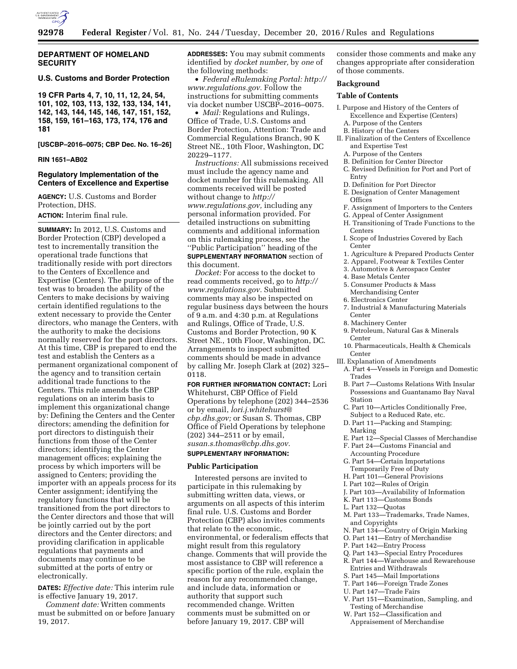

## **DEPARTMENT OF HOMELAND SECURITY**

## **U.S. Customs and Border Protection**

**19 CFR Parts 4, 7, 10, 11, 12, 24, 54, 101, 102, 103, 113, 132, 133, 134, 141, 142, 143, 144, 145, 146, 147, 151, 152, 158, 159, 161–163, 173, 174, 176 and 181** 

**[USCBP–2016–0075; CBP Dec. No. 16–26]** 

#### **RIN 1651–AB02**

## **Regulatory Implementation of the Centers of Excellence and Expertise**

**AGENCY:** U.S. Customs and Border Protection, DHS.

**ACTION:** Interim final rule.

**SUMMARY:** In 2012, U.S. Customs and Border Protection (CBP) developed a test to incrementally transition the operational trade functions that traditionally reside with port directors to the Centers of Excellence and Expertise (Centers). The purpose of the test was to broaden the ability of the Centers to make decisions by waiving certain identified regulations to the extent necessary to provide the Center directors, who manage the Centers, with the authority to make the decisions normally reserved for the port directors. At this time, CBP is prepared to end the test and establish the Centers as a permanent organizational component of the agency and to transition certain additional trade functions to the Centers. This rule amends the CBP regulations on an interim basis to implement this organizational change by: Defining the Centers and the Center directors; amending the definition for port directors to distinguish their functions from those of the Center directors; identifying the Center management offices; explaining the process by which importers will be assigned to Centers; providing the importer with an appeals process for its Center assignment; identifying the regulatory functions that will be transitioned from the port directors to the Center directors and those that will be jointly carried out by the port directors and the Center directors; and providing clarification in applicable regulations that payments and documents may continue to be submitted at the ports of entry or electronically.

**DATES:** *Effective date:* This interim rule is effective January 19, 2017.

*Comment date:* Written comments must be submitted on or before January 19, 2017.

**ADDRESSES:** You may submit comments identified by *docket number,* by *one* of the following methods:

• *Federal eRulemaking Portal: [http://](http://www.regulations.gov)  [www.regulations.gov.](http://www.regulations.gov)* Follow the instructions for submitting comments via docket number USCBP–2016–0075.

• *Mail:* Regulations and Rulings, Office of Trade, U.S. Customs and Border Protection, Attention: Trade and Commercial Regulations Branch, 90 K Street NE., 10th Floor, Washington, DC 20229–1177.

*Instructions:* All submissions received must include the agency name and docket number for this rulemaking. All comments received will be posted without change to *[http://](http://www.regulations.gov) [www.regulations.gov,](http://www.regulations.gov)* including any personal information provided. For detailed instructions on submitting comments and additional information on this rulemaking process, see the ''Public Participation'' heading of the **SUPPLEMENTARY INFORMATION** section of

this document.

*Docket:* For access to the docket to read comments received, go to *[http://](http://www.regulations.gov) [www.regulations.gov.](http://www.regulations.gov)* Submitted comments may also be inspected on regular business days between the hours of 9 a.m. and 4:30 p.m. at Regulations and Rulings, Office of Trade, U.S. Customs and Border Protection, 90 K Street NE., 10th Floor, Washington, DC. Arrangements to inspect submitted comments should be made in advance by calling Mr. Joseph Clark at (202) 325– 0118.

**FOR FURTHER INFORMATION CONTACT:** Lori Whitehurst, CBP Office of Field Operations by telephone (202) 344–2536 or by email, *[lori.j.whitehurst@](mailto:lori.j.whitehurst@cbp.dhs.gov) [cbp.dhs.gov;](mailto:lori.j.whitehurst@cbp.dhs.gov)* or Susan S. Thomas, CBP Office of Field Operations by telephone (202) 344–2511 or by email, *[susan.s.thomas@cbp.dhs.gov.](mailto:susan.s.thomas@cbp.dhs.gov)* 

# **SUPPLEMENTARY INFORMATION:**

## **Public Participation**

Interested persons are invited to participate in this rulemaking by submitting written data, views, or arguments on all aspects of this interim final rule. U.S. Customs and Border Protection (CBP) also invites comments that relate to the economic, environmental, or federalism effects that might result from this regulatory change. Comments that will provide the most assistance to CBP will reference a specific portion of the rule, explain the reason for any recommended change, and include data, information or authority that support such recommended change. Written comments must be submitted on or before January 19, 2017. CBP will

consider those comments and make any changes appropriate after consideration of those comments.

#### **Background**

#### **Table of Contents**

- I. Purpose and History of the Centers of Excellence and Expertise (Centers) A. Purpose of the Centers
	- B. History of the Centers
- II. Finalization of the Centers of Excellence and Expertise Test
	- A. Purpose of the Centers
- B. Definition for Center Director
- C. Revised Definition for Port and Port of Entry
- D. Definition for Port Director
- E. Designation of Center Management **Offices**
- F. Assignment of Importers to the Centers
- G. Appeal of Center Assignment
- H. Transitioning of Trade Functions to the Centers
- I. Scope of Industries Covered by Each Center
- 1. Agriculture & Prepared Products Center
- 2. Apparel, Footwear & Textiles Center
- 3. Automotive & Aerospace Center
- 4. Base Metals Center
- 5. Consumer Products & Mass
- Merchandising Center 6. Electronics Center
- 7. Industrial & Manufacturing Materials Center
- 8. Machinery Center
- 9. Petroleum, Natural Gas & Minerals Center
- 10. Pharmaceuticals, Health & Chemicals Center
- III. Explanation of Amendments
	- A. Part 4—Vessels in Foreign and Domestic Trades
	- B. Part 7—Customs Relations With Insular Possessions and Guantanamo Bay Naval Station
	- C. Part 10—Articles Conditionally Free, Subject to a Reduced Rate, etc.
	- D. Part 11—Packing and Stamping; Marking
	- E. Part 12—Special Classes of Merchandise
	- F. Part 24—Customs Financial and Accounting Procedure
	- G. Part 54—Certain Importations Temporarily Free of Duty
	- H. Part 101—General Provisions
	- I. Part 102—Rules of Origin
	- J. Part 103—Availability of Information
	- K. Part 113—Customs Bonds
- L. Part 132—Quotas
- M. Part 133—Trademarks, Trade Names, and Copyrights
- N. Part 134—Country of Origin Marking
- O. Part 141—Entry of Merchandise
- P. Part 142—Entry Process
- Q. Part 143—Special Entry Procedures
- R. Part 144—Warehouse and Rewarehouse Entries and Withdrawals
- S. Part 145—Mail Importations
- T. Part 146—Foreign Trade Zones
- U. Part 147—Trade Fairs
- 
- V. Part 151—Examination, Sampling, and Testing of Merchandise
- W. Part 152—Classification and Appraisement of Merchandise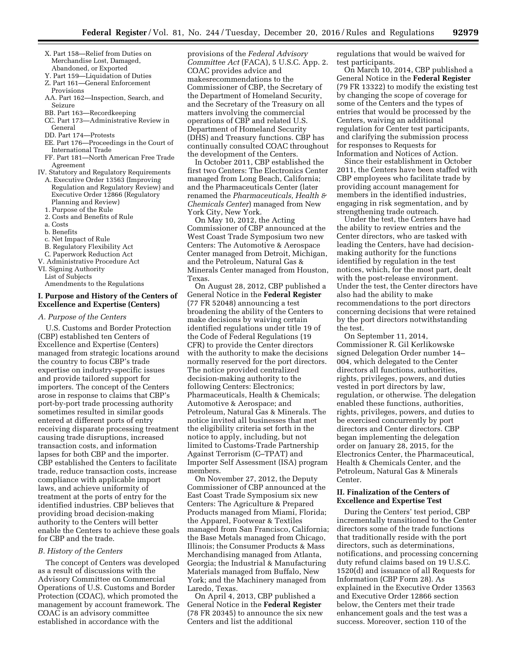- X. Part 158—Relief from Duties on Merchandise Lost, Damaged, Abandoned, or Exported
- Y. Part 159—Liquidation of Duties Z. Part 161—General Enforcement
- Provisions
- AA. Part 162—Inspection, Search, and Seizure
- BB. Part 163—Recordkeeping
- CC. Part 173—Administrative Review in General
- DD. Part 174—Protests
- EE. Part 176—Proceedings in the Court of International Trade
- FF. Part 181—North American Free Trade Agreement
- IV. Statutory and Regulatory Requirements A. Executive Order 13563 (Improving Regulation and Regulatory Review) and Executive Order 12866 (Regulatory
	- Planning and Review)
	- 1. Purpose of the Rule
	- 2. Costs and Benefits of Rule
	- a. Costs
	- b. Benefits c. Net Impact of Rule
	-
	- B. Regulatory Flexibility Act
- C. Paperwork Reduction Act V. Administrative Procedure Act
- VI. Signing Authority
- List of Subjects

Amendments to the Regulations

## **I. Purpose and History of the Centers of Excellence and Expertise (Centers)**

*A. Purpose of the Centers* 

U.S. Customs and Border Protection (CBP) established ten Centers of Excellence and Expertise (Centers) managed from strategic locations around the country to focus CBP's trade expertise on industry-specific issues and provide tailored support for importers. The concept of the Centers arose in response to claims that CBP's port-by-port trade processing authority sometimes resulted in similar goods entered at different ports of entry receiving disparate processing treatment causing trade disruptions, increased transaction costs, and information lapses for both CBP and the importer. CBP established the Centers to facilitate trade, reduce transaction costs, increase compliance with applicable import laws, and achieve uniformity of treatment at the ports of entry for the identified industries. CBP believes that providing broad decision-making authority to the Centers will better enable the Centers to achieve these goals for CBP and the trade.

#### *B. History of the Centers*

The concept of Centers was developed as a result of discussions with the Advisory Committee on Commercial Operations of U.S. Customs and Border Protection (COAC), which promoted the management by account framework. The COAC is an advisory committee established in accordance with the

provisions of the *Federal Advisory Committee Act* (FACA), 5 U.S.C. App. 2. COAC provides advice and makesrecommendations to the Commissioner of CBP, the Secretary of the Department of Homeland Security, and the Secretary of the Treasury on all matters involving the commercial operations of CBP and related U.S. Department of Homeland Security (DHS) and Treasury functions. CBP has continually consulted COAC throughout the development of the Centers.

In October 2011, CBP established the first two Centers: The Electronics Center managed from Long Beach, California; and the Pharmaceuticals Center (later renamed the *Pharmaceuticals, Health & Chemicals Center*) managed from New York City, New York.

On May 10, 2012, the Acting Commissioner of CBP announced at the West Coast Trade Symposium two new Centers: The Automotive & Aerospace Center managed from Detroit, Michigan, and the Petroleum, Natural Gas & Minerals Center managed from Houston, Texas.

On August 28, 2012, CBP published a General Notice in the **Federal Register**  (77 FR 52048) announcing a test broadening the ability of the Centers to make decisions by waiving certain identified regulations under title 19 of the Code of Federal Regulations (19 CFR) to provide the Center directors with the authority to make the decisions normally reserved for the port directors. The notice provided centralized decision-making authority to the following Centers: Electronics; Pharmaceuticals, Health & Chemicals; Automotive & Aerospace; and Petroleum, Natural Gas & Minerals. The notice invited all businesses that met the eligibility criteria set forth in the notice to apply, including, but not limited to Customs-Trade Partnership Against Terrorism (C–TPAT) and Importer Self Assessment (ISA) program members.

On November 27, 2012, the Deputy Commissioner of CBP announced at the East Coast Trade Symposium six new Centers: The Agriculture & Prepared Products managed from Miami, Florida; the Apparel, Footwear & Textiles managed from San Francisco, California; the Base Metals managed from Chicago, Illinois; the Consumer Products & Mass Merchandising managed from Atlanta, Georgia; the Industrial & Manufacturing Materials managed from Buffalo, New York; and the Machinery managed from Laredo, Texas.

On April 4, 2013, CBP published a General Notice in the **Federal Register**  (78 FR 20345) to announce the six new Centers and list the additional

regulations that would be waived for test participants.

On March 10, 2014, CBP published a General Notice in the **Federal Register**  (79 FR 13322) to modify the existing test by changing the scope of coverage for some of the Centers and the types of entries that would be processed by the Centers, waiving an additional regulation for Center test participants, and clarifying the submission process for responses to Requests for Information and Notices of Action.

Since their establishment in October 2011, the Centers have been staffed with CBP employees who facilitate trade by providing account management for members in the identified industries, engaging in risk segmentation, and by strengthening trade outreach.

Under the test, the Centers have had the ability to review entries and the Center directors, who are tasked with leading the Centers, have had decisionmaking authority for the functions identified by regulation in the test notices, which, for the most part, dealt with the post-release environment. Under the test, the Center directors have also had the ability to make recommendations to the port directors concerning decisions that were retained by the port directors notwithstanding the test.

On September 11, 2014, Commissioner R. Gil Kerlikowske signed Delegation Order number 14– 004, which delegated to the Center directors all functions, authorities, rights, privileges, powers, and duties vested in port directors by law, regulation, or otherwise. The delegation enabled these functions, authorities, rights, privileges, powers, and duties to be exercised concurrently by port directors and Center directors. CBP began implementing the delegation order on January 28, 2015, for the Electronics Center, the Pharmaceutical, Health & Chemicals Center, and the Petroleum, Natural Gas & Minerals Center.

## **II. Finalization of the Centers of Excellence and Expertise Test**

During the Centers' test period, CBP incrementally transitioned to the Center directors some of the trade functions that traditionally reside with the port directors, such as determinations, notifications, and processing concerning duty refund claims based on 19 U.S.C. 1520(d) and issuance of all Requests for Information (CBP Form 28). As explained in the Executive Order 13563 and Executive Order 12866 section below, the Centers met their trade enhancement goals and the test was a success. Moreover, section 110 of the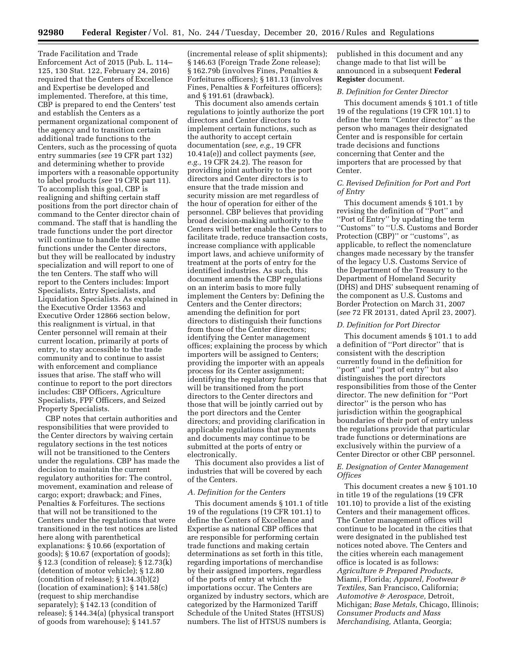Trade Facilitation and Trade Enforcement Act of 2015 (Pub. L. 114– 125, 130 Stat. 122, February 24, 2016) required that the Centers of Excellence and Expertise be developed and implemented. Therefore, at this time, CBP is prepared to end the Centers' test and establish the Centers as a permanent organizational component of the agency and to transition certain additional trade functions to the Centers, such as the processing of quota entry summaries (*see* 19 CFR part 132) and determining whether to provide importers with a reasonable opportunity to label products (*see* 19 CFR part 11). To accomplish this goal, CBP is realigning and shifting certain staff positions from the port director chain of command to the Center director chain of command. The staff that is handling the trade functions under the port director will continue to handle those same functions under the Center directors, but they will be reallocated by industry specialization and will report to one of the ten Centers. The staff who will report to the Centers includes: Import Specialists, Entry Specialists, and Liquidation Specialists. As explained in the Executive Order 13563 and Executive Order 12866 section below, this realignment is virtual, in that Center personnel will remain at their current location, primarily at ports of entry, to stay accessible to the trade community and to continue to assist with enforcement and compliance issues that arise. The staff who will continue to report to the port directors includes: CBP Officers, Agriculture Specialists, FPF Officers, and Seized Property Specialists.

CBP notes that certain authorities and responsibilities that were provided to the Center directors by waiving certain regulatory sections in the test notices will not be transitioned to the Centers under the regulations. CBP has made the decision to maintain the current regulatory authorities for: The control, movement, examination and release of cargo; export; drawback; and Fines, Penalties & Forfeitures. The sections that will not be transitioned to the Centers under the regulations that were transitioned in the test notices are listed here along with parenthetical explanations: § 10.66 (exportation of goods); § 10.67 (exportation of goods); § 12.3 (condition of release); § 12.73(k) (detention of motor vehicle); § 12.80 (condition of release); § 134.3(b)(2) (location of examination); § 141.58(c) (request to ship merchandise separately); § 142.13 (condition of release); § 144.34(a) (physical transport of goods from warehouse); § 141.57

(incremental release of split shipments); § 146.63 (Foreign Trade Zone release); § 162.79b (involves Fines, Penalties & Forfeitures officers); § 181.13 (involves Fines, Penalties & Forfeitures officers); and § 191.61 (drawback).

This document also amends certain regulations to jointly authorize the port directors and Center directors to implement certain functions, such as the authority to accept certain documentation (*see, e.g.,* 19 CFR 10.41a(e)) and collect payments (*see, e.g.,* 19 CFR 24.2). The reason for providing joint authority to the port directors and Center directors is to ensure that the trade mission and security mission are met regardless of the hour of operation for either of the personnel. CBP believes that providing broad decision-making authority to the Centers will better enable the Centers to facilitate trade, reduce transaction costs, increase compliance with applicable import laws, and achieve uniformity of treatment at the ports of entry for the identified industries. As such, this document amends the CBP regulations on an interim basis to more fully implement the Centers by: Defining the Centers and the Center directors; amending the definition for port directors to distinguish their functions from those of the Center directors; identifying the Center management offices; explaining the process by which importers will be assigned to Centers; providing the importer with an appeals process for its Center assignment; identifying the regulatory functions that will be transitioned from the port directors to the Center directors and those that will be jointly carried out by the port directors and the Center directors; and providing clarification in applicable regulations that payments and documents may continue to be submitted at the ports of entry or electronically.

This document also provides a list of industries that will be covered by each of the Centers.

#### *A. Definition for the Centers*

This document amends § 101.1 of title 19 of the regulations (19 CFR 101.1) to define the Centers of Excellence and Expertise as national CBP offices that are responsible for performing certain trade functions and making certain determinations as set forth in this title, regarding importations of merchandise by their assigned importers, regardless of the ports of entry at which the importations occur. The Centers are organized by industry sectors, which are categorized by the Harmonized Tariff Schedule of the United States (HTSUS) numbers. The list of HTSUS numbers is

published in this document and any change made to that list will be announced in a subsequent **Federal Register** document.

## *B. Definition for Center Director*

This document amends § 101.1 of title 19 of the regulations (19 CFR 101.1) to define the term ''Center director'' as the person who manages their designated Center and is responsible for certain trade decisions and functions concerning that Center and the importers that are processed by that Center.

## *C. Revised Definition for Port and Port of Entry*

This document amends § 101.1 by revising the definition of ''Port'' and ''Port of Entry'' by updating the term ''Customs'' to ''U.S. Customs and Border Protection (CBP)'' or ''customs'', as applicable, to reflect the nomenclature changes made necessary by the transfer of the legacy U.S. Customs Service of the Department of the Treasury to the Department of Homeland Security (DHS) and DHS' subsequent renaming of the component as U.S. Customs and Border Protection on March 31, 2007 (*see* 72 FR 20131, dated April 23, 2007).

#### *D. Definition for Port Director*

This document amends § 101.1 to add a definition of ''Port director'' that is consistent with the description currently found in the definition for ''port'' and ''port of entry'' but also distinguishes the port directors responsibilities from those of the Center director. The new definition for ''Port director'' is the person who has jurisdiction within the geographical boundaries of their port of entry unless the regulations provide that particular trade functions or determinations are exclusively within the purview of a Center Director or other CBP personnel.

## *E. Designation of Center Management Offices*

This document creates a new § 101.10 in title 19 of the regulations (19 CFR 101.10) to provide a list of the existing Centers and their management offices. The Center management offices will continue to be located in the cities that were designated in the published test notices noted above. The Centers and the cities wherein each management office is located is as follows: *Agriculture & Prepared Products,*  Miami, Florida; *Apparel, Footwear & Textiles,* San Francisco, California; *Automotive & Aerospace,* Detroit, Michigan; *Base Metals,* Chicago, Illinois; *Consumer Products and Mass Merchandising,* Atlanta, Georgia;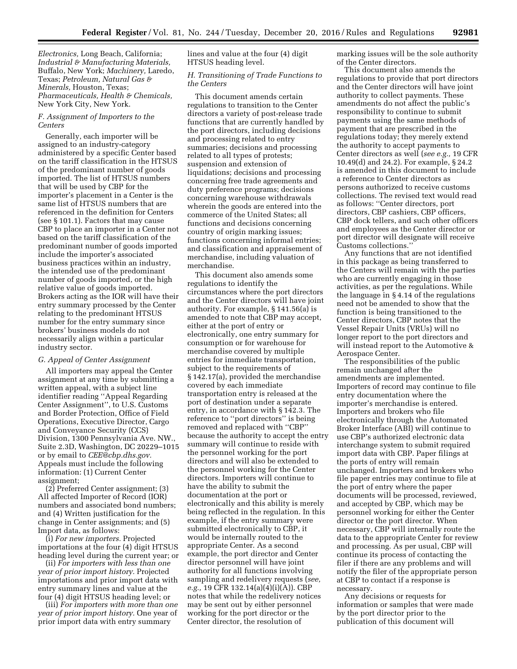*Electronics,* Long Beach, California; *Industrial & Manufacturing Materials,*  Buffalo, New York; *Machinery,* Laredo, Texas; *Petroleum, Natural Gas & Minerals,* Houston, Texas; *Pharmaceuticals, Health & Chemicals,*  New York City, New York.

## *F. Assignment of Importers to the Centers*

Generally, each importer will be assigned to an industry-category administered by a specific Center based on the tariff classification in the HTSUS of the predominant number of goods imported. The list of HTSUS numbers that will be used by CBP for the importer's placement in a Center is the same list of HTSUS numbers that are referenced in the definition for Centers (see § 101.1). Factors that may cause CBP to place an importer in a Center not based on the tariff classification of the predominant number of goods imported include the importer's associated business practices within an industry, the intended use of the predominant number of goods imported, or the high relative value of goods imported. Brokers acting as the IOR will have their entry summary processed by the Center relating to the predominant HTSUS number for the entry summary since brokers' business models do not necessarily align within a particular industry sector.

#### *G. Appeal of Center Assignment*

All importers may appeal the Center assignment at any time by submitting a written appeal, with a subject line identifier reading ''Appeal Regarding Center Assignment'', to U.S. Customs and Border Protection, Office of Field Operations, Executive Director, Cargo and Conveyance Security (CCS) Division, 1300 Pennsylvania Ave. NW., Suite 2.3D, Washington, DC 20229–1015 or by email to *[CEE@cbp.dhs.gov.](mailto:CEE@cbp.dhs.gov)*  Appeals must include the following information: (1) Current Center assignment;

(2) Preferred Center assignment; (3) All affected Importer of Record (IOR) numbers and associated bond numbers; and (4) Written justification for the change in Center assignments; and (5) Import data, as follows:

(i) *For new importers.* Projected importations at the four (4) digit HTSUS heading level during the current year; or

(ii) *For importers with less than one year of prior import history.* Projected importations and prior import data with entry summary lines and value at the four (4) digit HTSUS heading level; or

(iii) *For importers with more than one year of prior import history.* One year of prior import data with entry summary

lines and value at the four (4) digit HTSUS heading level.

## *H. Transitioning of Trade Functions to the Centers*

This document amends certain regulations to transition to the Center directors a variety of post-release trade functions that are currently handled by the port directors, including decisions and processing related to entry summaries; decisions and processing related to all types of protests; suspension and extension of liquidations; decisions and processing concerning free trade agreements and duty preference programs; decisions concerning warehouse withdrawals wherein the goods are entered into the commerce of the United States; all functions and decisions concerning country of origin marking issues; functions concerning informal entries; and classification and appraisement of merchandise, including valuation of merchandise.

This document also amends some regulations to identify the circumstances where the port directors and the Center directors will have joint authority. For example, § 141.56(a) is amended to note that CBP may accept, either at the port of entry or electronically, one entry summary for consumption or for warehouse for merchandise covered by multiple entries for immediate transportation, subject to the requirements of § 142.17(a), provided the merchandise covered by each immediate transportation entry is released at the port of destination under a separate entry, in accordance with § 142.3. The reference to ''port directors'' is being removed and replaced with ''CBP'' because the authority to accept the entry summary will continue to reside with the personnel working for the port directors and will also be extended to the personnel working for the Center directors. Importers will continue to have the ability to submit the documentation at the port or electronically and this ability is merely being reflected in the regulation. In this example, if the entry summary were submitted electronically to CBP, it would be internally routed to the appropriate Center. As a second example, the port director and Center director personnel will have joint authority for all functions involving sampling and redelivery requests (*see, e.g.,* 19 CFR 132.14(a)(4)(i)(A)). CBP notes that while the redelivery notices may be sent out by either personnel working for the port director or the Center director, the resolution of

marking issues will be the sole authority of the Center directors.

This document also amends the regulations to provide that port directors and the Center directors will have joint authority to collect payments. These amendments do not affect the public's responsibility to continue to submit payments using the same methods of payment that are prescribed in the regulations today; they merely extend the authority to accept payments to Center directors as well (*see e.g.,* 19 CFR 10.49(d) and 24.2). For example, § 24.2 is amended in this document to include a reference to Center directors as persons authorized to receive customs collections. The revised text would read as follows: ''Center directors, port directors, CBP cashiers, CBP officers, CBP dock tellers, and such other officers and employees as the Center director or port director will designate will receive Customs collections.''

Any functions that are not identified in this package as being transferred to the Centers will remain with the parties who are currently engaging in those activities, as per the regulations. While the language in § 4.14 of the regulations need not be amended to show that the function is being transitioned to the Center directors, CBP notes that the Vessel Repair Units (VRUs) will no longer report to the port directors and will instead report to the Automotive & Aerospace Center.

The responsibilities of the public remain unchanged after the amendments are implemented. Importers of record may continue to file entry documentation where the importer's merchandise is entered. Importers and brokers who file electronically through the Automated Broker Interface (ABI) will continue to use CBP's authorized electronic data interchange system to submit required import data with CBP. Paper filings at the ports of entry will remain unchanged. Importers and brokers who file paper entries may continue to file at the port of entry where the paper documents will be processed, reviewed, and accepted by CBP, which may be personnel working for either the Center director or the port director. When necessary, CBP will internally route the data to the appropriate Center for review and processing. As per usual, CBP will continue its process of contacting the filer if there are any problems and will notify the filer of the appropriate person at CBP to contact if a response is necessary.

Any decisions or requests for information or samples that were made by the port director prior to the publication of this document will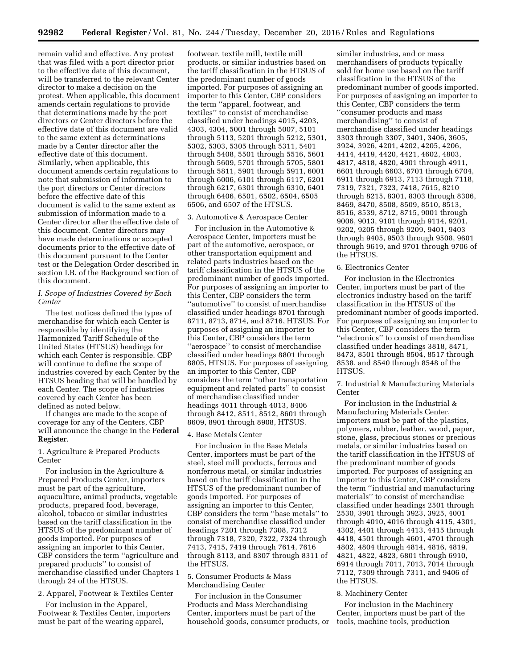remain valid and effective. Any protest that was filed with a port director prior to the effective date of this document, will be transferred to the relevant Center director to make a decision on the protest. When applicable, this document amends certain regulations to provide that determinations made by the port directors or Center directors before the effective date of this document are valid to the same extent as determinations made by a Center director after the effective date of this document. Similarly, when applicable, this document amends certain regulations to note that submission of information to the port directors or Center directors before the effective date of this document is valid to the same extent as submission of information made to a Center director after the effective date of this document. Center directors may have made determinations or accepted documents prior to the effective date of this document pursuant to the Center test or the Delegation Order described in section I.B. of the Background section of this document.

## *I. Scope of Industries Covered by Each Center*

The test notices defined the types of merchandise for which each Center is responsible by identifying the Harmonized Tariff Schedule of the United States (HTSUS) headings for which each Center is responsible. CBP will continue to define the scope of industries covered by each Center by the HTSUS heading that will be handled by each Center. The scope of industries covered by each Center has been defined as noted below.

If changes are made to the scope of coverage for any of the Centers, CBP will announce the change in the **Federal Register**.

1. Agriculture & Prepared Products Center

For inclusion in the Agriculture & Prepared Products Center, importers must be part of the agriculture, aquaculture, animal products, vegetable products, prepared food, beverage, alcohol, tobacco or similar industries based on the tariff classification in the HTSUS of the predominant number of goods imported. For purposes of assigning an importer to this Center, CBP considers the term ''agriculture and prepared products'' to consist of merchandise classified under Chapters 1 through 24 of the HTSUS.

## 2. Apparel, Footwear & Textiles Center

For inclusion in the Apparel, Footwear & Textiles Center, importers must be part of the wearing apparel,

footwear, textile mill, textile mill products, or similar industries based on the tariff classification in the HTSUS of the predominant number of goods imported. For purposes of assigning an importer to this Center, CBP considers the term ''apparel, footwear, and textiles'' to consist of merchandise classified under headings 4015, 4203, 4303, 4304, 5001 through 5007, 5101 through 5113, 5201 through 5212, 5301, 5302, 5303, 5305 through 5311, 5401 through 5408, 5501 through 5516, 5601 through 5609, 5701 through 5705, 5801 through 5811, 5901 through 5911, 6001 through 6006, 6101 through 6117, 6201 through 6217, 6301 through 6310, 6401 through 6406, 6501, 6502, 6504, 6505 6506, and 6507 of the HTSUS.

#### 3. Automotive & Aerospace Center

For inclusion in the Automotive & Aerospace Center, importers must be part of the automotive, aerospace, or other transportation equipment and related parts industries based on the tariff classification in the HTSUS of the predominant number of goods imported. For purposes of assigning an importer to this Center, CBP considers the term ''automotive'' to consist of merchandise classified under headings 8701 through 8711, 8713, 8714, and 8716, HTSUS. For purposes of assigning an importer to this Center, CBP considers the term ''aerospace'' to consist of merchandise classified under headings 8801 through 8805, HTSUS. For purposes of assigning an importer to this Center, CBP considers the term ''other transportation equipment and related parts'' to consist of merchandise classified under headings 4011 through 4013, 8406 through 8412, 8511, 8512, 8601 through 8609, 8901 through 8908, HTSUS.

## 4. Base Metals Center

For inclusion in the Base Metals Center, importers must be part of the steel, steel mill products, ferrous and nonferrous metal, or similar industries based on the tariff classification in the HTSUS of the predominant number of goods imported. For purposes of assigning an importer to this Center, CBP considers the term ''base metals'' to consist of merchandise classified under headings 7201 through 7308, 7312 through 7318, 7320, 7322, 7324 through 7413, 7415, 7419 through 7614, 7616 through 8113, and 8307 through 8311 of the HTSUS.

## 5. Consumer Products & Mass Merchandising Center

For inclusion in the Consumer Products and Mass Merchandising Center, importers must be part of the household goods, consumer products, or

similar industries, and or mass merchandisers of products typically sold for home use based on the tariff classification in the HTSUS of the predominant number of goods imported. For purposes of assigning an importer to this Center, CBP considers the term ''consumer products and mass merchandising'' to consist of merchandise classified under headings 3303 through 3307, 3401, 3406, 3605, 3924, 3926, 4201, 4202, 4205, 4206, 4414, 4419, 4420, 4421, 4602, 4803, 4817, 4818, 4820, 4901 through 4911, 6601 through 6603, 6701 through 6704, 6911 through 6913, 7113 through 7118, 7319, 7321, 7323, 7418, 7615, 8210 through 8215, 8301, 8303 through 8306, 8469, 8470, 8508, 8509, 8510, 8513, 8516, 8539, 8712, 8715, 9001 through 9006, 9013, 9101 through 9114, 9201, 9202, 9205 through 9209, 9401, 9403 through 9405, 9503 through 9508, 9601 through 9619, and 9701 through 9706 of the HTSUS.

#### 6. Electronics Center

For inclusion in the Electronics Center, importers must be part of the electronics industry based on the tariff classification in the HTSUS of the predominant number of goods imported. For purposes of assigning an importer to this Center, CBP considers the term ''electronics'' to consist of merchandise classified under headings 3818, 8471, 8473, 8501 through 8504, 8517 through 8538, and 8540 through 8548 of the HTSUS.

7. Industrial & Manufacturing Materials Center

For inclusion in the Industrial & Manufacturing Materials Center, importers must be part of the plastics, polymers, rubber, leather, wood, paper, stone, glass, precious stones or precious metals, or similar industries based on the tariff classification in the HTSUS of the predominant number of goods imported. For purposes of assigning an importer to this Center, CBP considers the term ''industrial and manufacturing materials'' to consist of merchandise classified under headings 2501 through 2530, 3901 through 3923, 3925, 4001 through 4010, 4016 through 4115, 4301, 4302, 4401 through 4413, 4415 through 4418, 4501 through 4601, 4701 through 4802, 4804 through 4814, 4816, 4819, 4821, 4822, 4823, 6801 through 6910, 6914 through 7011, 7013, 7014 through 7112, 7309 through 7311, and 9406 of the HTSUS.

#### 8. Machinery Center

For inclusion in the Machinery Center, importers must be part of the tools, machine tools, production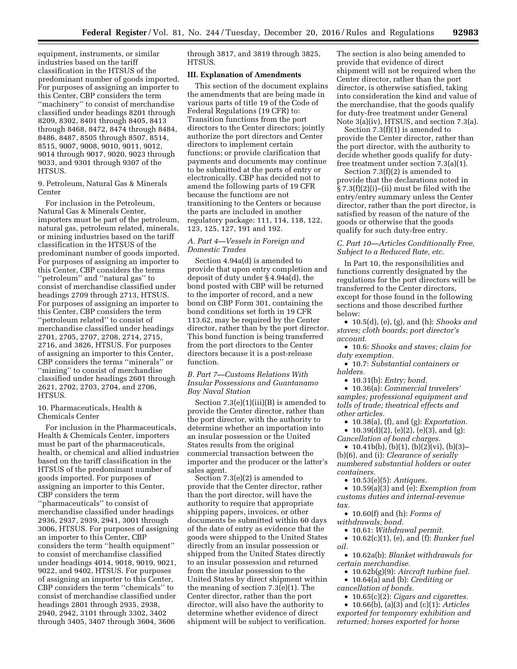equipment, instruments, or similar industries based on the tariff classification in the HTSUS of the predominant number of goods imported. For purposes of assigning an importer to this Center, CBP considers the term ''machinery'' to consist of merchandise classified under headings 8201 through 8209, 8302, 8401 through 8405, 8413 through 8468, 8472, 8474 through 8484, 8486, 8487, 8505 through 8507, 8514, 8515, 9007, 9008, 9010, 9011, 9012, 9014 through 9017, 9020, 9023 through 9033, and 9301 through 9307 of the HTSUS.

9. Petroleum, Natural Gas & Minerals Center

For inclusion in the Petroleum, Natural Gas & Minerals Center, importers must be part of the petroleum, natural gas, petroleum related, minerals, or mining industries based on the tariff classification in the HTSUS of the predominant number of goods imported. For purposes of assigning an importer to this Center, CBP considers the terms ''petroleum'' and ''natural gas'' to consist of merchandise classified under headings 2709 through 2713, HTSUS. For purposes of assigning an importer to this Center, CBP considers the term ''petroleum related'' to consist of merchandise classified under headings 2701, 2705, 2707, 2708, 2714, 2715, 2716, and 3826, HTSUS. For purposes of assigning an importer to this Center, CBP considers the terms ''minerals'' or ''mining'' to consist of merchandise classified under headings 2601 through 2621, 2702, 2703, 2704, and 2706, HTSUS.

## 10. Pharmaceuticals, Health & Chemicals Center

For inclusion in the Pharmaceuticals, Health & Chemicals Center, importers must be part of the pharmaceuticals, health, or chemical and allied industries based on the tariff classification in the HTSUS of the predominant number of goods imported. For purposes of assigning an importer to this Center, CBP considers the term ''pharmaceuticals'' to consist of merchandise classified under headings 2936, 2937, 2939, 2941, 3001 through 3006, HTSUS. For purposes of assigning an importer to this Center, CBP considers the term ''health equipment'' to consist of merchandise classified under headings 4014, 9018, 9019, 9021, 9022, and 9402, HTSUS. For purposes of assigning an importer to this Center, CBP considers the term ''chemicals'' to consist of merchandise classified under headings 2801 through 2935, 2938, 2940, 2942, 3101 through 3302, 3402 through 3405, 3407 through 3604, 3606

through 3817, and 3819 through 3825, HTSUS.

## **III. Explanation of Amendments**

This section of the document explains the amendments that are being made in various parts of title 19 of the Code of Federal Regulations (19 CFR) to: Transition functions from the port directors to the Center directors; jointly authorize the port directors and Center directors to implement certain functions; or provide clarification that payments and documents may continue to be submitted at the ports of entry or electronically. CBP has decided not to amend the following parts of 19 CFR because the functions are not transitioning to the Centers or because the parts are included in another regulatory package: 111, 114, 118, 122, 123, 125, 127, 191 and 192.

## *A. Part 4—Vessels in Foreign and Domestic Trades*

Section 4.94a(d) is amended to provide that upon entry completion and deposit of duty under § 4.94a(d), the bond posted with CBP will be returned to the importer of record, and a new bond on CBP Form 301, containing the bond conditions set forth in 19 CFR 113.62, may be required by the Center director, rather than by the port director. This bond function is being transferred from the port directors to the Center directors because it is a post-release function.

## *B. Part 7—Customs Relations With Insular Possessions and Guantanamo Bay Naval Station*

Section 7.3(e)(1)(iii)(B) is amended to provide the Center director, rather than the port director, with the authority to determine whether an importation into an insular possession or the United States results from the original commercial transaction between the importer and the producer or the latter's sales agent.

Section 7.3(e)(2) is amended to provide that the Center director, rather than the port director, will have the authority to require that appropriate shipping papers, invoices, or other documents be submitted within 60 days of the date of entry as evidence that the goods were shipped to the United States directly from an insular possession or shipped from the United States directly to an insular possession and returned from the insular possession to the United States by direct shipment within the meaning of section 7.3(e)(1). The Center director, rather than the port director, will also have the authority to determine whether evidence of direct shipment will be subject to verification.

The section is also being amended to provide that evidence of direct shipment will not be required when the Center director, rather than the port director, is otherwise satisfied, taking into consideration the kind and value of the merchandise, that the goods qualify for duty-free treatment under General Note 3(a)(iv), HTSUS, and section 7.3(a).

Section 7.3(f)(1) is amended to provide the Center director, rather than the port director, with the authority to decide whether goods qualify for dutyfree treatment under section 7.3(a)(1).

Section 7.3(f)(2) is amended to provide that the declarations noted in § 7.3(f)(2)(i)–(ii) must be filed with the entry/entry summary unless the Center director, rather than the port director, is satisfied by reason of the nature of the goods or otherwise that the goods qualify for such duty-free entry.

*C. Part 10—Articles Conditionally Free, Subject to a Reduced Rate, etc.* 

In Part 10, the responsibilities and functions currently designated by the regulations for the port directors will be transferred to the Center directors, except for those found in the following sections and those described further below:

• 10.5(d), (e), (g), and (h): *Shooks and staves; cloth boards; port director's account.* 

- 10.6: *Shooks and staves; claim for duty exemption.*
- 10.7: *Substantial containers or holders.*

• 10.31(b): *Entry; bond.* 

• 10.36(a): *Commercial travelers' samples; professional equipment and tolls of trade; theatrical effects and other articles.* 

• 10.38(a), (f), and (g): *Exportation.*  • 10.39(d)(2), (e)(2), (e)(3), and (g): *Cancellation of bond charges.* 

• 10.41b(b), (b)(1), (b)(2)(vi), (b)(3)– (b)(6), and (i): *Clearance of serially numbered substantial holders or outer containers.* 

• 10.53(e)(5): *Antiques.* 

• 10.59(a)(3) and (e): *Exemption from customs duties and internal-revenue tax.* 

• 10.60(f) and (h): *Forms of withdrawals; bond.* 

• 10.61: *Withdrawal permit.* 

• 10.62(c)(1), (e), and (f): *Bunker fuel oil.* 

• 10.62a(b): *Blanket withdrawals for certain merchandise.* 

- 10.62b(g)(9): *Aircraft turbine fuel.*
- 10.64(a) and (b): *Crediting or cancellation of bonds.*

• 10.65(c)(2): *Cigars and cigarettes.* 

• 10.66(b), (a)(3) and (c)(1): *Articles exported for temporary exhibition and returned; horses exported for horse*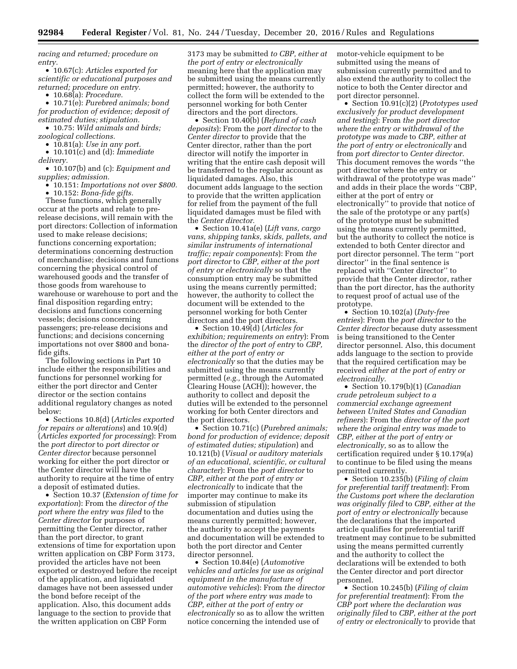*racing and returned; procedure on entry.* 

• 10.67(c): *Articles exported for scientific or educational purposes and returned; procedure on entry.* 

• 10.68(a): *Procedure.* 

• 10.71(e): *Purebred animals; bond for production of evidence; deposit of estimated duties; stipulation.* 

• 10.75: *Wild animals and birds; zoological collections.* 

• 10.81(a): *Use in any port.* 

• 10.101(c) and (d): *Immediate delivery.* 

• 10.107(b) and (c): *Equipment and supplies; admission.* 

• 10.151: *Importations not over \$800.* 

• 10.152: *Bona-fide gifts.* 

These functions, which generally occur at the ports and relate to prerelease decisions, will remain with the port directors: Collection of information used to make release decisions; functions concerning exportation; determinations concerning destruction of merchandise; decisions and functions concerning the physical control of warehoused goods and the transfer of those goods from warehouse to warehouse or warehouse to port and the final disposition regarding entry; decisions and functions concerning vessels; decisions concerning passengers; pre-release decisions and functions; and decisions concerning importations not over \$800 and bonafide gifts.

The following sections in Part 10 include either the responsibilities and functions for personnel working for either the port director and Center director or the section contains additional regulatory changes as noted below:

• Sections 10.8(d) (*Articles exported for repairs or alterations*) and 10.9(d) (*Articles exported for processing*): From the *port director* to *port director or Center director* because personnel working for either the port director or the Center director will have the authority to require at the time of entry a deposit of estimated duties.

• Section 10.37 (*Extension of time for exportation*): From the *director of the port where the entry was filed* to the *Center director* for purposes of permitting the Center director, rather than the port director, to grant extensions of time for exportation upon written application on CBP Form 3173, provided the articles have not been exported or destroyed before the receipt of the application, and liquidated damages have not been assessed under the bond before receipt of the application. Also, this document adds language to the section to provide that the written application on CBP Form

3173 may be submitted *to CBP, either at the port of entry or electronically*  meaning here that the application may be submitted using the means currently permitted; however, the authority to collect the form will be extended to the personnel working for both Center directors and the port directors.

• Section 10.40(b) (*Refund of cash deposits*): From the *port director* to the *Center director* to provide that the Center director, rather than the port director will notify the importer in writing that the entire cash deposit will be transferred to the regular account as liquidated damages. Also, this document adds language to the section to provide that the written application for relief from the payment of the full liquidated damages must be filed with the *Center director.* 

• Section 10.41a(e) (*Lift vans, cargo vans, shipping tanks, skids, pallets, and similar instruments of international traffic; repair components*): From *the port director* to *CBP, either at the port of entry or electronically* so that the consumption entry may be submitted using the means currently permitted; however, the authority to collect the document will be extended to the personnel working for both Center directors and the port directors.

• Section 10.49(d) (*Articles for exhibition; requirements on entry*): From the *director of the port of entry* to *CBP, either at the port of entry or electronically* so that the duties may be submitted using the means currently permitted (*e.g.,* through the Automated Clearing House (ACH)); however, the authority to collect and deposit the duties will be extended to the personnel working for both Center directors and the port directors.

• Section 10.71(c) (*Purebred animals; bond for production of evidence; deposit of estimated duties; stipulation*) and 10.121(b) (*Visual or auditory materials of an educational, scientific, or cultural character*): From the *port director* to *CBP, either at the port of entry or electronically* to indicate that the importer may continue to make its submission of stipulation documentation and duties using the means currently permitted; however, the authority to accept the payments and documentation will be extended to both the port director and Center director personnel.

• Section 10.84(e) (*Automotive vehicles and articles for use as original equipment in the manufacture of automotive vehicles*): From *the director of the port where entry was made* to *CBP, either at the port of entry or electronically* so as to allow the written notice concerning the intended use of

motor-vehicle equipment to be submitted using the means of submission currently permitted and to also extend the authority to collect the notice to both the Center director and port director personnel.

• Section 10.91(c)(2) (*Prototypes used exclusively for product development and testing*): From *the port director where the entry or withdrawal of the prototype was made* to *CBP, either at the port of entry or electronically* and from *port director* to *Center director.*  This document removes the words ''the port director where the entry or withdrawal of the prototype was made'' and adds in their place the words ''CBP, either at the port of entry or electronically'' to provide that notice of the sale of the prototype or any part(s) of the prototype must be submitted using the means currently permitted, but the authority to collect the notice is extended to both Center director and port director personnel. The term ''port director'' in the final sentence is replaced with ''Center director'' to provide that the Center director, rather than the port director, has the authority to request proof of actual use of the prototype.

• Section 10.102(a) (*Duty-free entries*): From the *port director* to the *Center director* because duty assessment is being transitioned to the Center director personnel. Also, this document adds language to the section to provide that the required certification may be received *either at the port of entry or electronically.* 

• Section 10.179(b)(1) (*Canadian crude petroleum subject to a commercial exchange agreement between United States and Canadian refiners*): From the *director of the port where the original entry was made* to *CBP, either at the port of entry or electronically,* so as to allow the certification required under § 10.179(a) to continue to be filed using the means permitted currently.

• Section 10.235(b) (*Filing of claim for preferential tariff treatment*): From *the Customs port where the declaration was originally filed* to *CBP, either at the port of entry or electronically* because the declarations that the imported article qualifies for preferential tariff treatment may continue to be submitted using the means permitted currently and the authority to collect the declarations will be extended to both the Center director and port director personnel.

• Section 10.245(b) (*Filing of claim for preferential treatment*): From *the CBP port where the declaration was originally filed* to *CBP, either at the port of entry or electronically* to provide that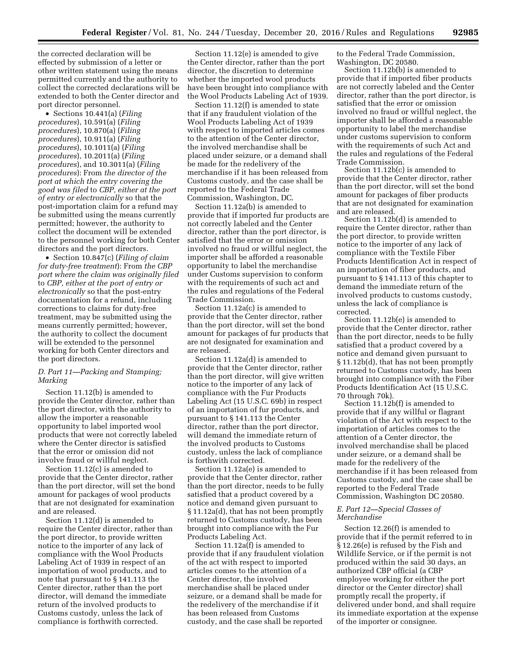the corrected declaration will be effected by submission of a letter or other written statement using the means permitted currently and the authority to collect the corrected declarations will be extended to both the Center director and port director personnel.

• Sections 10.441(a) (*Filing procedures*), 10.591(a) (*Filing procedures*), 10.870(a) (*Filing procedures*), 10.911(a) (*Filing procedures*), 10.1011(a) (*Filing procedures*), 10.2011(a) (*Filing procedures*), and 10.3011(a) (*Filing procedures*): From *the director of the port at which the entry covering the good was filed* to *CBP, either at the port of entry or electronically* so that the post-importation claim for a refund may be submitted using the means currently permitted; however, the authority to collect the document will be extended to the personnel working for both Center directors and the port directors.

• Section 10.847(c) (*Filing of claim for duty-free treatment*): From *the CBP port where the claim was originally filed*  to *CBP, either at the port of entry or electronically* so that the post-entry documentation for a refund, including corrections to claims for duty-free treatment, may be submitted using the means currently permitted; however, the authority to collect the document will be extended to the personnel working for both Center directors and the port directors.

## *D. Part 11—Packing and Stamping; Marking*

Section 11.12(b) is amended to provide the Center director, rather than the port director, with the authority to allow the importer a reasonable opportunity to label imported wool products that were not correctly labeled where the Center director is satisfied that the error or omission did not involve fraud or willful neglect.

Section 11.12(c) is amended to provide that the Center director, rather than the port director, will set the bond amount for packages of wool products that are not designated for examination and are released.

Section 11.12(d) is amended to require the Center director, rather than the port director, to provide written notice to the importer of any lack of compliance with the Wool Products Labeling Act of 1939 in respect of an importation of wool products, and to note that pursuant to § 141.113 the Center director, rather than the port director, will demand the immediate return of the involved products to Customs custody, unless the lack of compliance is forthwith corrected.

Section 11.12(e) is amended to give the Center director, rather than the port director, the discretion to determine whether the imported wool products have been brought into compliance with the Wool Products Labeling Act of 1939.

Section 11.12(f) is amended to state that if any fraudulent violation of the Wool Products Labeling Act of 1939 with respect to imported articles comes to the attention of the Center director, the involved merchandise shall be placed under seizure, or a demand shall be made for the redelivery of the merchandise if it has been released from Customs custody, and the case shall be reported to the Federal Trade Commission, Washington, DC.

Section 11.12a(b) is amended to provide that if imported fur products are not correctly labeled and the Center director, rather than the port director, is satisfied that the error or omission involved no fraud or willful neglect, the importer shall be afforded a reasonable opportunity to label the merchandise under Customs supervision to conform with the requirements of such act and the rules and regulations of the Federal Trade Commission.

Section 11.12a(c) is amended to provide that the Center director, rather than the port director, will set the bond amount for packages of fur products that are not designated for examination and are released.

Section 11.12a(d) is amended to provide that the Center director, rather than the port director, will give written notice to the importer of any lack of compliance with the Fur Products Labeling Act (15 U.S.C. 69b) in respect of an importation of fur products, and pursuant to § 141.113 the Center director, rather than the port director, will demand the immediate return of the involved products to Customs custody, unless the lack of compliance is forthwith corrected.

Section 11.12a(e) is amended to provide that the Center director, rather than the port director, needs to be fully satisfied that a product covered by a notice and demand given pursuant to § 11.12a(d), that has not been promptly returned to Customs custody, has been brought into compliance with the Fur Products Labeling Act.

Section 11.12a(f) is amended to provide that if any fraudulent violation of the act with respect to imported articles comes to the attention of a Center director, the involved merchandise shall be placed under seizure, or a demand shall be made for the redelivery of the merchandise if it has been released from Customs custody, and the case shall be reported

to the Federal Trade Commission, Washington, DC 20580.

Section 11.12b(b) is amended to provide that if imported fiber products are not correctly labeled and the Center director, rather than the port director, is satisfied that the error or omission involved no fraud or willful neglect, the importer shall be afforded a reasonable opportunity to label the merchandise under customs supervision to conform with the requirements of such Act and the rules and regulations of the Federal Trade Commission.

Section 11.12b(c) is amended to provide that the Center director, rather than the port director, will set the bond amount for packages of fiber products that are not designated for examination and are released.

Section 11.12b(d) is amended to require the Center director, rather than the port director, to provide written notice to the importer of any lack of compliance with the Textile Fiber Products Identification Act in respect of an importation of fiber products, and pursuant to § 141.113 of this chapter to demand the immediate return of the involved products to customs custody, unless the lack of compliance is corrected.

Section 11.12b(e) is amended to provide that the Center director, rather than the port director, needs to be fully satisfied that a product covered by a notice and demand given pursuant to § 11.12b(d), that has not been promptly returned to Customs custody, has been brought into compliance with the Fiber Products Identification Act (15 U.S.C. 70 through 70k).

Section 11.12b(f) is amended to provide that if any willful or flagrant violation of the Act with respect to the importation of articles comes to the attention of a Center director, the involved merchandise shall be placed under seizure, or a demand shall be made for the redelivery of the merchandise if it has been released from Customs custody, and the case shall be reported to the Federal Trade Commission, Washington DC 20580.

## *E. Part 12—Special Classes of Merchandise*

Section 12.26(f) is amended to provide that if the permit referred to in § 12.26(e) is refused by the Fish and Wildlife Service, or if the permit is not produced within the said 30 days, an authorized CBP official (a CBP employee working for either the port director or the Center director) shall promptly recall the property, if delivered under bond, and shall require its immediate exportation at the expense of the importer or consignee.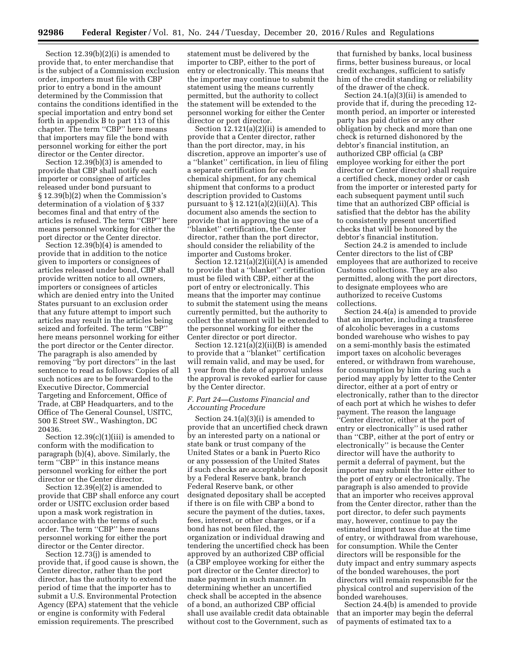Section 12.39(b)(2)(i) is amended to provide that, to enter merchandise that is the subject of a Commission exclusion order, importers must file with CBP prior to entry a bond in the amount determined by the Commission that contains the conditions identified in the special importation and entry bond set forth in appendix B to part 113 of this chapter. The term "CBP" here means that importers may file the bond with personnel working for either the port director or the Center director.

Section 12.39(b)(3) is amended to provide that CBP shall notify each importer or consignee of articles released under bond pursuant to § 12.39(b)(2) when the Commission's determination of a violation of § 337 becomes final and that entry of the articles is refused. The term ''CBP'' here means personnel working for either the port director or the Center director.

Section 12.39(b)(4) is amended to provide that in addition to the notice given to importers or consignees of articles released under bond, CBP shall provide written notice to all owners, importers or consignees of articles which are denied entry into the United States pursuant to an exclusion order that any future attempt to import such articles may result in the articles being seized and forfeited. The term ''CBP'' here means personnel working for either the port director or the Center director. The paragraph is also amended by removing ''by port directors'' in the last sentence to read as follows: Copies of all such notices are to be forwarded to the Executive Director, Commercial Targeting and Enforcement, Office of Trade, at CBP Headquarters, and to the Office of The General Counsel, USITC, 500 E Street SW., Washington, DC 20436.

Section  $12.39(c)(1)(iii)$  is amended to conform with the modification to paragraph (b)(4), above. Similarly, the term ''CBP'' in this instance means personnel working for either the port director or the Center director.

Section 12.39(e)(2) is amended to provide that CBP shall enforce any court order or USITC exclusion order based upon a mask work registration in accordance with the terms of such order. The term ''CBP'' here means personnel working for either the port director or the Center director.

Section 12.73(j) is amended to provide that, if good cause is shown, the Center director, rather than the port director, has the authority to extend the period of time that the importer has to submit a U.S. Environmental Protection Agency (EPA) statement that the vehicle or engine is conformity with Federal emission requirements. The prescribed

statement must be delivered by the importer to CBP, either to the port of entry or electronically. This means that the importer may continue to submit the statement using the means currently permitted, but the authority to collect the statement will be extended to the personnel working for either the Center director or port director.

Section  $12.121(a)(2)(ii)$  is amended to provide that a Center director, rather than the port director, may, in his discretion, approve an importer's use of a ''blanket'' certification, in lieu of filing a separate certification for each chemical shipment, for any chemical shipment that conforms to a product description provided to Customs pursuant to  $\S 12.121(a)(2)(ii)(A)$ . This document also amends the section to provide that in approving the use of a ''blanket'' certification, the Center director, rather than the port director, should consider the reliability of the importer and Customs broker.

Section 12.121(a)(2)(ii)(A) is amended to provide that a ''blanket'' certification must be filed with CBP, either at the port of entry or electronically. This means that the importer may continue to submit the statement using the means currently permitted, but the authority to collect the statement will be extended to the personnel working for either the Center director or port director.

Section 12.121(a)(2)(ii)(B) is amended to provide that a ''blanket'' certification will remain valid, and may be used, for 1 year from the date of approval unless the approval is revoked earlier for cause by the Center director.

## *F. Part 24—Customs Financial and Accounting Procedure*

Section 24.1(a)(3)(i) is amended to provide that an uncertified check drawn by an interested party on a national or state bank or trust company of the United States or a bank in Puerto Rico or any possession of the United States if such checks are acceptable for deposit by a Federal Reserve bank, branch Federal Reserve bank, or other designated depositary shall be accepted if there is on file with CBP a bond to secure the payment of the duties, taxes, fees, interest, or other charges, or if a bond has not been filed, the organization or individual drawing and tendering the uncertified check has been approved by an authorized CBP official (a CBP employee working for either the port director or the Center director) to make payment in such manner. In determining whether an uncertified check shall be accepted in the absence of a bond, an authorized CBP official shall use available credit data obtainable without cost to the Government, such as

that furnished by banks, local business firms, better business bureaus, or local credit exchanges, sufficient to satisfy him of the credit standing or reliability of the drawer of the check.

Section 24.1(a)(3)(ii) is amended to provide that if, during the preceding 12 month period, an importer or interested party has paid duties or any other obligation by check and more than one check is returned dishonored by the debtor's financial institution, an authorized CBP official (a CBP employee working for either the port director or Center director) shall require a certified check, money order or cash from the importer or interested party for each subsequent payment until such time that an authorized CBP official is satisfied that the debtor has the ability to consistently present uncertified checks that will be honored by the debtor's financial institution.

Section 24.2 is amended to include Center directors to the list of CBP employees that are authorized to receive Customs collections. They are also permitted, along with the port directors, to designate employees who are authorized to receive Customs collections.

Section 24.4(a) is amended to provide that an importer, including a transferee of alcoholic beverages in a customs bonded warehouse who wishes to pay on a semi-monthly basis the estimated import taxes on alcoholic beverages entered, or withdrawn from warehouse, for consumption by him during such a period may apply by letter to the Center director, either at a port of entry or electronically, rather than to the director of each port at which he wishes to defer payment. The reason the language ''Center director, either at the port of entry or electronically'' is used rather than ''CBP, either at the port of entry or electronically'' is because the Center director will have the authority to permit a deferral of payment, but the importer may submit the letter either to the port of entry or electronically. The paragraph is also amended to provide that an importer who receives approval from the Center director, rather than the port director, to defer such payments may, however, continue to pay the estimated import taxes due at the time of entry, or withdrawal from warehouse, for consumption. While the Center directors will be responsible for the duty impact and entry summary aspects of the bonded warehouses, the port directors will remain responsible for the physical control and supervision of the bonded warehouses.

Section 24.4(b) is amended to provide that an importer may begin the deferral of payments of estimated tax to a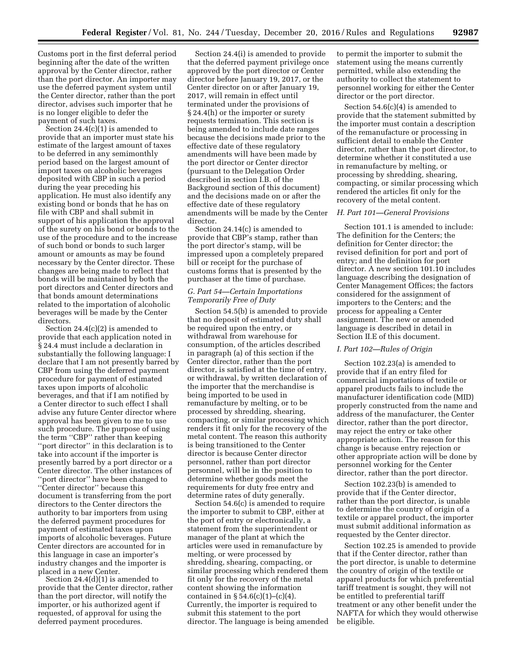Customs port in the first deferral period beginning after the date of the written approval by the Center director, rather than the port director. An importer may use the deferred payment system until the Center director, rather than the port director, advises such importer that he is no longer eligible to defer the payment of such taxes.

Section 24.4(c)(1) is amended to provide that an importer must state his estimate of the largest amount of taxes to be deferred in any semimonthly period based on the largest amount of import taxes on alcoholic beverages deposited with CBP in such a period during the year preceding his application. He must also identify any existing bond or bonds that he has on file with CBP and shall submit in support of his application the approval of the surety on his bond or bonds to the use of the procedure and to the increase of such bond or bonds to such larger amount or amounts as may be found necessary by the Center director. These changes are being made to reflect that bonds will be maintained by both the port directors and Center directors and that bonds amount determinations related to the importation of alcoholic beverages will be made by the Center directors.

Section 24.4(c)(2) is amended to provide that each application noted in § 24.4 must include a declaration in substantially the following language: I declare that I am not presently barred by CBP from using the deferred payment procedure for payment of estimated taxes upon imports of alcoholic beverages, and that if I am notified by a Center director to such effect I shall advise any future Center director where approval has been given to me to use such procedure. The purpose of using the term ''CBP'' rather than keeping "port director" in this declaration is to take into account if the importer is presently barred by a port director or a Center director. The other instances of ''port director'' have been changed to ''Center director'' because this document is transferring from the port directors to the Center directors the authority to bar importers from using the deferred payment procedures for payment of estimated taxes upon imports of alcoholic beverages. Future Center directors are accounted for in this language in case an importer's industry changes and the importer is placed in a new Center.

Section 24.4(d)(1) is amended to provide that the Center director, rather than the port director, will notify the importer, or his authorized agent if requested, of approval for using the deferred payment procedures.

Section 24.4(i) is amended to provide that the deferred payment privilege once approved by the port director or Center director before January 19, 2017, or the Center director on or after January 19, 2017, will remain in effect until terminated under the provisions of § 24.4(h) or the importer or surety requests termination. This section is being amended to include date ranges because the decisions made prior to the effective date of these regulatory amendments will have been made by the port director or Center director (pursuant to the Delegation Order described in section I.B. of the Background section of this document) and the decisions made on or after the effective date of these regulatory amendments will be made by the Center director.

Section 24.14(c) is amended to provide that CBP's stamp, rather than the port director's stamp, will be impressed upon a completely prepared bill or receipt for the purchase of customs forms that is presented by the purchaser at the time of purchase.

## *G. Part 54—Certain Importations Temporarily Free of Duty*

Section 54.5(b) is amended to provide that no deposit of estimated duty shall be required upon the entry, or withdrawal from warehouse for consumption, of the articles described in paragraph (a) of this section if the Center director, rather than the port director, is satisfied at the time of entry, or withdrawal, by written declaration of the importer that the merchandise is being imported to be used in remanufacture by melting, or to be processed by shredding, shearing, compacting, or similar processing which renders it fit only for the recovery of the metal content. The reason this authority is being transitioned to the Center director is because Center director personnel, rather than port director personnel, will be in the position to determine whether goods meet the requirements for duty free entry and determine rates of duty generally.

Section 54.6(c) is amended to require the importer to submit to CBP, either at the port of entry or electronically, a statement from the superintendent or manager of the plant at which the articles were used in remanufacture by melting, or were processed by shredding, shearing, compacting, or similar processing which rendered them fit only for the recovery of the metal content showing the information contained in  $\S 54.6(c)(1)$ – $(c)(4)$ . Currently, the importer is required to submit this statement to the port director. The language is being amended

to permit the importer to submit the statement using the means currently permitted, while also extending the authority to collect the statement to personnel working for either the Center director or the port director.

Section 54.6(c)(4) is amended to provide that the statement submitted by the importer must contain a description of the remanufacture or processing in sufficient detail to enable the Center director, rather than the port director, to determine whether it constituted a use in remanufacture by melting, or processing by shredding, shearing, compacting, or similar processing which rendered the articles fit only for the recovery of the metal content.

#### *H. Part 101—General Provisions*

Section 101.1 is amended to include: The definition for the Centers; the definition for Center director; the revised definition for port and port of entry; and the definition for port director. A new section 101.10 includes language describing the designation of Center Management Offices; the factors considered for the assignment of importers to the Centers; and the process for appealing a Center assignment. The new or amended language is described in detail in Section II.E of this document.

## *I. Part 102—Rules of Origin*

Section 102.23(a) is amended to provide that if an entry filed for commercial importations of textile or apparel products fails to include the manufacturer identification code (MID) properly constructed from the name and address of the manufacturer, the Center director, rather than the port director, may reject the entry or take other appropriate action. The reason for this change is because entry rejection or other appropriate action will be done by personnel working for the Center director, rather than the port director.

Section 102.23(b) is amended to provide that if the Center director, rather than the port director, is unable to determine the country of origin of a textile or apparel product, the importer must submit additional information as requested by the Center director.

Section 102.25 is amended to provide that if the Center director, rather than the port director, is unable to determine the country of origin of the textile or apparel products for which preferential tariff treatment is sought, they will not be entitled to preferential tariff treatment or any other benefit under the NAFTA for which they would otherwise be eligible.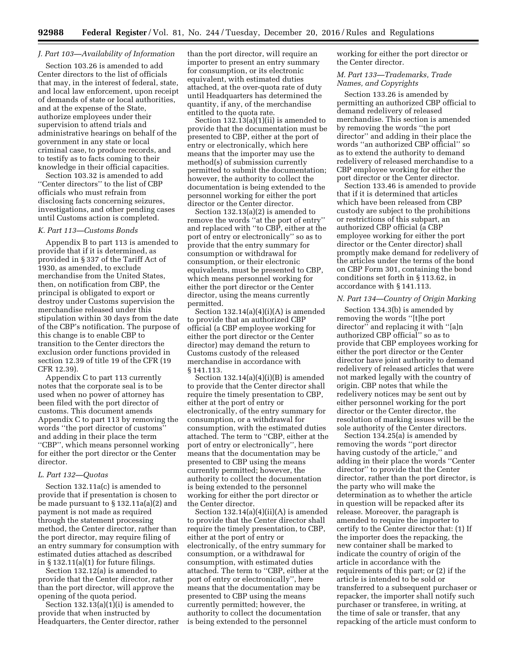## *J. Part 103—Availability of Information*

Section 103.26 is amended to add Center directors to the list of officials that may, in the interest of federal, state, and local law enforcement, upon receipt of demands of state or local authorities, and at the expense of the State, authorize employees under their supervision to attend trials and administrative hearings on behalf of the government in any state or local criminal case, to produce records, and to testify as to facts coming to their knowledge in their official capacities.

Section 103.32 is amended to add ''Center directors'' to the list of CBP officials who must refrain from disclosing facts concerning seizures, investigations, and other pending cases until Customs action is completed.

#### *K. Part 113—Customs Bonds*

Appendix B to part 113 is amended to provide that if it is determined, as provided in § 337 of the Tariff Act of 1930, as amended, to exclude merchandise from the United States, then, on notification from CBP, the principal is obligated to export or destroy under Customs supervision the merchandise released under this stipulation within 30 days from the date of the CBP's notification. The purpose of this change is to enable CBP to transition to the Center directors the exclusion order functions provided in section 12.39 of title 19 of the CFR (19 CFR 12.39).

Appendix C to part 113 currently notes that the corporate seal is to be used when no power of attorney has been filed with the port director of customs. This document amends Appendix C to part 113 by removing the words ''the port director of customs'' and adding in their place the term ''CBP'', which means personnel working for either the port director or the Center director.

## *L. Part 132—Quotas*

Section 132.11a(c) is amended to provide that if presentation is chosen to be made pursuant to § 132.11a(a)(2) and payment is not made as required through the statement processing method, the Center director, rather than the port director, may require filing of an entry summary for consumption with estimated duties attached as described in  $\S 132.11(a)(1)$  for future filings.

Section 132.12(a) is amended to provide that the Center director, rather than the port director, will approve the opening of the quota period.

Section  $132.13(a)(1)(i)$  is amended to provide that when instructed by Headquarters, the Center director, rather than the port director, will require an importer to present an entry summary for consumption, or its electronic equivalent, with estimated duties attached, at the over-quota rate of duty until Headquarters has determined the quantity, if any, of the merchandise entitled to the quota rate.

Section  $132.13(a)(1)(ii)$  is amended to provide that the documentation must be presented to CBP, either at the port of entry or electronically, which here means that the importer may use the method(s) of submission currently permitted to submit the documentation; however, the authority to collect the documentation is being extended to the personnel working for either the port director or the Center director.

Section 132.13(a)(2) is amended to remove the words ''at the port of entry'' and replaced with ''to CBP, either at the port of entry or electronically'' so as to provide that the entry summary for consumption or withdrawal for consumption, or their electronic equivalents, must be presented to CBP, which means personnel working for either the port director or the Center director, using the means currently permitted.

Section  $132.14(a)(4)(i)(A)$  is amended to provide that an authorized CBP official (a CBP employee working for either the port director or the Center director) may demand the return to Customs custody of the released merchandise in accordance with § 141.113.

Section  $132.14(a)(4)(i)(B)$  is amended to provide that the Center director shall require the timely presentation to CBP, either at the port of entry or electronically, of the entry summary for consumption, or a withdrawal for consumption, with the estimated duties attached. The term to ''CBP, either at the port of entry or electronically'', here means that the documentation may be presented to CBP using the means currently permitted; however, the authority to collect the documentation is being extended to the personnel working for either the port director or the Center director.

Section 132.14(a)(4)(ii)(A) is amended to provide that the Center director shall require the timely presentation, to CBP, either at the port of entry or electronically, of the entry summary for consumption, or a withdrawal for consumption, with estimated duties attached. The term to ''CBP, either at the port of entry or electronically'', here means that the documentation may be presented to CBP using the means currently permitted; however, the authority to collect the documentation is being extended to the personnel

working for either the port director or the Center director.

## *M. Part 133—Trademarks, Trade Names, and Copyrights*

Section 133.26 is amended by permitting an authorized CBP official to demand redelivery of released merchandise. This section is amended by removing the words ''the port director'' and adding in their place the words ''an authorized CBP official'' so as to extend the authority to demand redelivery of released merchandise to a CBP employee working for either the port director or the Center director.

Section 133.46 is amended to provide that if it is determined that articles which have been released from CBP custody are subject to the prohibitions or restrictions of this subpart, an authorized CBP official (a CBP employee working for either the port director or the Center director) shall promptly make demand for redelivery of the articles under the terms of the bond on CBP Form 301, containing the bond conditions set forth in § 113.62, in accordance with § 141.113.

#### *N. Part 134—Country of Origin Marking*

Section 134.3(b) is amended by removing the words ''[t]he port director'' and replacing it with ''[a]n authorized CBP official'' so as to provide that CBP employees working for either the port director or the Center director have joint authority to demand redelivery of released articles that were not marked legally with the country of origin. CBP notes that while the redelivery notices may be sent out by either personnel working for the port director or the Center director, the resolution of marking issues will be the sole authority of the Center directors.

Section 134.25(a) is amended by removing the words ''port director having custody of the article,'' and adding in their place the words ''Center director'' to provide that the Center director, rather than the port director, is the party who will make the determination as to whether the article in question will be repacked after its release. Moreover, the paragraph is amended to require the importer to certify to the Center director that: (1) If the importer does the repacking, the new container shall be marked to indicate the country of origin of the article in accordance with the requirements of this part; or (2) if the article is intended to be sold or transferred to a subsequent purchaser or repacker, the importer shall notify such purchaser or transferee, in writing, at the time of sale or transfer, that any repacking of the article must conform to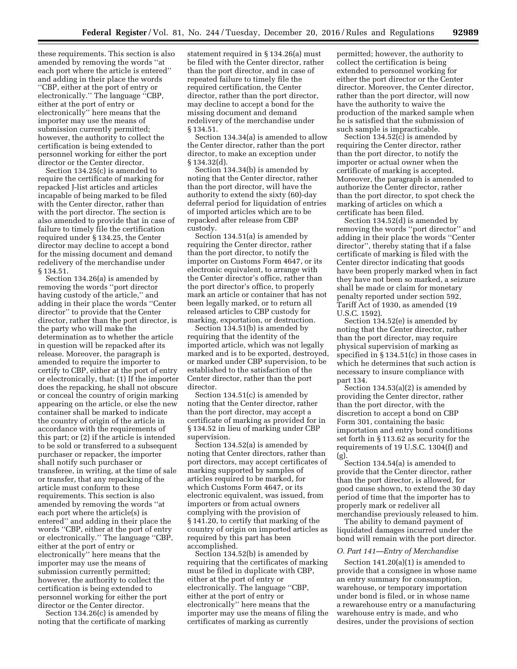these requirements. This section is also amended by removing the words ''at each port where the article is entered'' and adding in their place the words ''CBP, either at the port of entry or electronically.'' The language ''CBP, either at the port of entry or electronically'' here means that the importer may use the means of submission currently permitted; however, the authority to collect the certification is being extended to personnel working for either the port director or the Center director.

Section 134.25(c) is amended to require the certificate of marking for repacked J-list articles and articles incapable of being marked to be filed with the Center director, rather than with the port director. The section is also amended to provide that in case of failure to timely file the certification required under § 134.25, the Center director may decline to accept a bond for the missing document and demand redelivery of the merchandise under § 134.51.

Section 134.26(a) is amended by removing the words ''port director having custody of the article,'' and adding in their place the words ''Center director'' to provide that the Center director, rather than the port director, is the party who will make the determination as to whether the article in question will be repacked after its release. Moreover, the paragraph is amended to require the importer to certify to CBP, either at the port of entry or electronically, that: (1) If the importer does the repacking, he shall not obscure or conceal the country of origin marking appearing on the article, or else the new container shall be marked to indicate the country of origin of the article in accordance with the requirements of this part; or (2) if the article is intended to be sold or transferred to a subsequent purchaser or repacker, the importer shall notify such purchaser or transferee, in writing, at the time of sale or transfer, that any repacking of the article must conform to these requirements. This section is also amended by removing the words ''at each port where the article(s) is entered'' and adding in their place the words ''CBP, either at the port of entry or electronically.'' The language ''CBP, either at the port of entry or electronically'' here means that the importer may use the means of submission currently permitted; however, the authority to collect the certification is being extended to personnel working for either the port director or the Center director.

Section 134.26(c) is amended by noting that the certificate of marking

statement required in § 134.26(a) must be filed with the Center director, rather than the port director, and in case of repeated failure to timely file the required certification, the Center director, rather than the port director, may decline to accept a bond for the missing document and demand redelivery of the merchandise under § 134.51.

Section 134.34(a) is amended to allow the Center director, rather than the port director, to make an exception under § 134.32(d).

Section 134.34(b) is amended by noting that the Center director, rather than the port director, will have the authority to extend the sixty (60)-day deferral period for liquidation of entries of imported articles which are to be repacked after release from CBP custody.

Section 134.51(a) is amended by requiring the Center director, rather than the port director, to notify the importer on Customs Form 4647, or its electronic equivalent, to arrange with the Center director's office, rather than the port director's office, to properly mark an article or container that has not been legally marked, or to return all released articles to CBP custody for marking, exportation, or destruction.

Section 134.51(b) is amended by requiring that the identity of the imported article, which was not legally marked and is to be exported, destroyed, or marked under CBP supervision, to be established to the satisfaction of the Center director, rather than the port director.

Section 134.51(c) is amended by noting that the Center director, rather than the port director, may accept a certificate of marking as provided for in § 134.52 in lieu of marking under CBP supervision.

Section 134.52(a) is amended by noting that Center directors, rather than port directors, may accept certificates of marking supported by samples of articles required to be marked, for which Customs Form 4647, or its electronic equivalent, was issued, from importers or from actual owners complying with the provision of § 141.20, to certify that marking of the country of origin on imported articles as required by this part has been accomplished.

Section 134.52(b) is amended by requiring that the certificates of marking must be filed in duplicate with CBP, either at the port of entry or electronically. The language ''CBP, either at the port of entry or electronically'' here means that the importer may use the means of filing the certificates of marking as currently

permitted; however, the authority to collect the certification is being extended to personnel working for either the port director or the Center director. Moreover, the Center director, rather than the port director, will now have the authority to waive the production of the marked sample when he is satisfied that the submission of such sample is impracticable.

Section 134.52(c) is amended by requiring the Center director, rather than the port director, to notify the importer or actual owner when the certificate of marking is accepted. Moreover, the paragraph is amended to authorize the Center director, rather than the port director, to spot check the marking of articles on which a certificate has been filed.

Section 134.52(d) is amended by removing the words ''port director'' and adding in their place the words ''Center director'', thereby stating that if a false certificate of marking is filed with the Center director indicating that goods have been properly marked when in fact they have not been so marked, a seizure shall be made or claim for monetary penalty reported under section 592, Tariff Act of 1930, as amended (19 U.S.C. 1592).

Section 134.52(e) is amended by noting that the Center director, rather than the port director, may require physical supervision of marking as specified in § 134.51(c) in those cases in which he determines that such action is necessary to insure compliance with part 134.

Section 134.53(a)(2) is amended by providing the Center director, rather than the port director, with the discretion to accept a bond on CBP Form 301, containing the basic importation and entry bond conditions set forth in § 113.62 as security for the requirements of 19 U.S.C. 1304(f) and (g).

Section 134.54(a) is amended to provide that the Center director, rather than the port director, is allowed, for good cause shown, to extend the 30 day period of time that the importer has to properly mark or redeliver all merchandise previously released to him.

The ability to demand payment of liquidated damages incurred under the bond will remain with the port director.

#### *O. Part 141—Entry of Merchandise*

Section 141.20(a)(1) is amended to provide that a consignee in whose name an entry summary for consumption, warehouse, or temporary importation under bond is filed, or in whose name a rewarehouse entry or a manufacturing warehouse entry is made, and who desires, under the provisions of section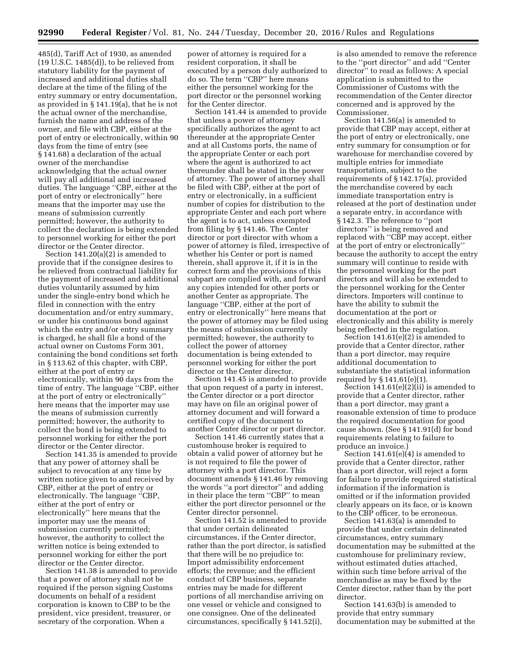485(d), Tariff Act of 1930, as amended  $(19 \text{ U.S.C. } 1485(d))$ , to be relieved from statutory liability for the payment of increased and additional duties shall declare at the time of the filing of the entry summary or entry documentation, as provided in § 141.19(a), that he is not the actual owner of the merchandise, furnish the name and address of the owner, and file with CBP, either at the port of entry or electronically, within 90 days from the time of entry (see § 141.68) a declaration of the actual owner of the merchandise acknowledging that the actual owner will pay all additional and increased duties. The language ''CBP, either at the port of entry or electronically'' here means that the importer may use the means of submission currently permitted; however, the authority to collect the declaration is being extended to personnel working for either the port director or the Center director.

Section 141.20(a)(2) is amended to provide that if the consignee desires to be relieved from contractual liability for the payment of increased and additional duties voluntarily assumed by him under the single-entry bond which he filed in connection with the entry documentation and/or entry summary, or under his continuous bond against which the entry and/or entry summary is charged, he shall file a bond of the actual owner on Customs Form 301, containing the bond conditions set forth in § 113.62 of this chapter, with CBP, either at the port of entry or electronically, within 90 days from the time of entry. The language ''CBP, either at the port of entry or electronically'' here means that the importer may use the means of submission currently permitted; however, the authority to collect the bond is being extended to personnel working for either the port director or the Center director.

Section 141.35 is amended to provide that any power of attorney shall be subject to revocation at any time by written notice given to and received by CBP, either at the port of entry or electronically. The language ''CBP, either at the port of entry or electronically'' here means that the importer may use the means of submission currently permitted; however, the authority to collect the written notice is being extended to personnel working for either the port director or the Center director.

Section 141.38 is amended to provide that a power of attorney shall not be required if the person signing Customs documents on behalf of a resident corporation is known to CBP to be the president, vice president, treasurer, or secretary of the corporation. When a

power of attorney is required for a resident corporation, it shall be executed by a person duly authorized to do so. The term ''CBP'' here means either the personnel working for the port director or the personnel working for the Center director.

Section 141.44 is amended to provide that unless a power of attorney specifically authorizes the agent to act thereunder at the appropriate Center and at all Customs ports, the name of the appropriate Center or each port where the agent is authorized to act thereunder shall be stated in the power of attorney. The power of attorney shall be filed with CBP, either at the port of entry or electronically, in a sufficient number of copies for distribution to the appropriate Center and each port where the agent is to act, unless exempted from filing by § 141.46. The Center director or port director with whom a power of attorney is filed, irrespective of whether his Center or port is named therein, shall approve it, if it is in the correct form and the provisions of this subpart are complied with, and forward any copies intended for other ports or another Center as appropriate. The language ''CBP, either at the port of entry or electronically'' here means that the power of attorney may be filed using the means of submission currently permitted; however, the authority to collect the power of attorney documentation is being extended to personnel working for either the port director or the Center director.

Section 141.45 is amended to provide that upon request of a party in interest, the Center director or a port director may have on file an original power of attorney document and will forward a certified copy of the document to another Center director or port director.

Section 141.46 currently states that a customhouse broker is required to obtain a valid power of attorney but he is not required to file the power of attorney with a port director. This document amends § 141.46 by removing the words ''a port director'' and adding in their place the term ''CBP'' to mean either the port director personnel or the Center director personnel.

Section 141.52 is amended to provide that under certain delineated circumstances, if the Center director, rather than the port director, is satisfied that there will be no prejudice to: Import admissibility enforcement efforts; the revenue; and the efficient conduct of CBP business, separate entries may be made for different portions of all merchandise arriving on one vessel or vehicle and consigned to one consignee. One of the delineated circumstances, specifically § 141.52(i),

is also amended to remove the reference to the ''port director'' and add ''Center director'' to read as follows: A special application is submitted to the Commissioner of Customs with the recommendation of the Center director concerned and is approved by the Commissioner.

Section 141.56(a) is amended to provide that CBP may accept, either at the port of entry or electronically, one entry summary for consumption or for warehouse for merchandise covered by multiple entries for immediate transportation, subject to the requirements of § 142.17(a), provided the merchandise covered by each immediate transportation entry is released at the port of destination under a separate entry, in accordance with § 142.3. The reference to ''port directors'' is being removed and replaced with ''CBP may accept, either at the port of entry or electronically'' because the authority to accept the entry summary will continue to reside with the personnel working for the port directors and will also be extended to the personnel working for the Center directors. Importers will continue to have the ability to submit the documentation at the port or electronically and this ability is merely being reflected in the regulation.

Section 141.61(e)(2) is amended to provide that a Center director, rather than a port director, may require additional documentation to substantiate the statistical information required by § 141.61(e)(1).

Section 141.61(e)(2)(ii) is amended to provide that a Center director, rather than a port director, may grant a reasonable extension of time to produce the required documentation for good cause shown. (See § 141.91(d) for bond requirements relating to failure to produce an invoice.)

Section 141.61(e)(4) is amended to provide that a Center director, rather than a port director, will reject a form for failure to provide required statistical information if the information is omitted or if the information provided clearly appears on its face, or is known to the CBP officer, to be erroneous.

Section 141.63(a) is amended to provide that under certain delineated circumstances, entry summary documentation may be submitted at the customhouse for preliminary review, without estimated duties attached, within such time before arrival of the merchandise as may be fixed by the Center director, rather than by the port director.

Section 141.63(b) is amended to provide that entry summary documentation may be submitted at the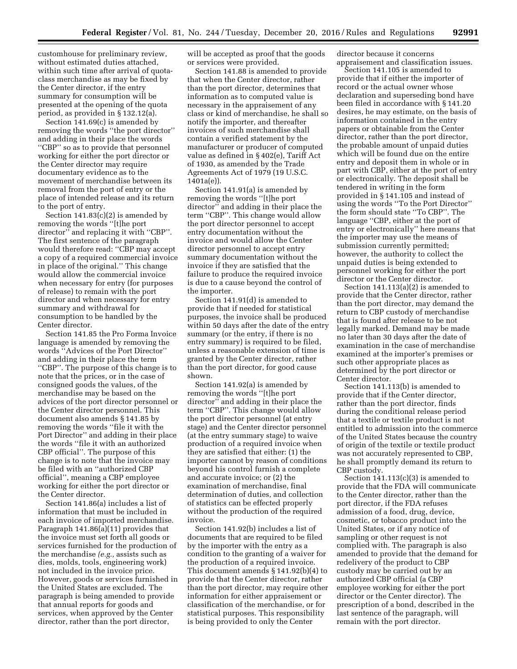customhouse for preliminary review, without estimated duties attached, within such time after arrival of quotaclass merchandise as may be fixed by the Center director, if the entry summary for consumption will be presented at the opening of the quota period, as provided in § 132.12(a).

Section 141.69(c) is amended by removing the words ''the port director'' and adding in their place the words ''CBP'' so as to provide that personnel working for either the port director or the Center director may require documentary evidence as to the movement of merchandise between its removal from the port of entry or the place of intended release and its return to the port of entry.

Section 141.83(c)(2) is amended by removing the words ''[t]he port director'' and replacing it with ''CBP''. The first sentence of the paragraph would therefore read: ''CBP may accept a copy of a required commercial invoice in place of the original.'' This change would allow the commercial invoice when necessary for entry (for purposes of release) to remain with the port director and when necessary for entry summary and withdrawal for consumption to be handled by the Center director.

Section 141.85 the Pro Forma Invoice language is amended by removing the words ''Advices of the Port Director'' and adding in their place the term ''CBP''. The purpose of this change is to note that the prices, or in the case of consigned goods the values, of the merchandise may be based on the advices of the port director personnel or the Center director personnel. This document also amends § 141.85 by removing the words ''file it with the Port Director'' and adding in their place the words ''file it with an authorized CBP official''. The purpose of this change is to note that the invoice may be filed with an ''authorized CBP official'', meaning a CBP employee working for either the port director or the Center director.

Section 141.86(a) includes a list of information that must be included in each invoice of imported merchandise. Paragraph 141.86(a)(11) provides that the invoice must set forth all goods or services furnished for the production of the merchandise *(e.g.,* assists such as dies, molds, tools, engineering work) not included in the invoice price. However, goods or services furnished in the United States are excluded. The paragraph is being amended to provide that annual reports for goods and services, when approved by the Center director, rather than the port director,

will be accepted as proof that the goods or services were provided.

Section 141.88 is amended to provide that when the Center director, rather than the port director, determines that information as to computed value is necessary in the appraisement of any class or kind of merchandise, he shall so notify the importer, and thereafter invoices of such merchandise shall contain a verified statement by the manufacturer or producer of computed value as defined in § 402(e), Tariff Act of 1930, as amended by the Trade Agreements Act of 1979 (19 U.S.C. 1401a(e)).

Section 141.91(a) is amended by removing the words ''[t]he port director'' and adding in their place the term ''CBP''. This change would allow the port director personnel to accept entry documentation without the invoice and would allow the Center director personnel to accept entry summary documentation without the invoice if they are satisfied that the failure to produce the required invoice is due to a cause beyond the control of the importer.

Section 141.91(d) is amended to provide that if needed for statistical purposes, the invoice shall be produced within 50 days after the date of the entry summary (or the entry, if there is no entry summary) is required to be filed, unless a reasonable extension of time is granted by the Center director, rather than the port director, for good cause shown.

Section 141.92(a) is amended by removing the words ''[t]he port director'' and adding in their place the term ''CBP''. This change would allow the port director personnel (at entry stage) and the Center director personnel (at the entry summary stage) to waive production of a required invoice when they are satisfied that either: (1) the importer cannot by reason of conditions beyond his control furnish a complete and accurate invoice; or (2) the examination of merchandise, final determination of duties, and collection of statistics can be effected properly without the production of the required invoice.

Section 141.92(b) includes a list of documents that are required to be filed by the importer with the entry as a condition to the granting of a waiver for the production of a required invoice. This document amends § 141.92(b)(4) to provide that the Center director, rather than the port director, may require other information for either appraisement or classification of the merchandise, or for statistical purposes. This responsibility is being provided to only the Center

director because it concerns appraisement and classification issues.

Section 141.105 is amended to provide that if either the importer of record or the actual owner whose declaration and superseding bond have been filed in accordance with § 141.20 desires, he may estimate, on the basis of information contained in the entry papers or obtainable from the Center director, rather than the port director, the probable amount of unpaid duties which will be found due on the entire entry and deposit them in whole or in part with CBP, either at the port of entry or electronically. The deposit shall be tendered in writing in the form provided in § 141.105 and instead of using the words ''To the Port Director'' the form should state ''To CBP''. The language ''CBP, either at the port of entry or electronically'' here means that the importer may use the means of submission currently permitted; however, the authority to collect the unpaid duties is being extended to personnel working for either the port director or the Center director.

Section 141.113(a)(2) is amended to provide that the Center director, rather than the port director, may demand the return to CBP custody of merchandise that is found after release to be not legally marked. Demand may be made no later than 30 days after the date of examination in the case of merchandise examined at the importer's premises or such other appropriate places as determined by the port director or Center director.

Section 141.113(b) is amended to provide that if the Center director, rather than the port director, finds during the conditional release period that a textile or textile product is not entitled to admission into the commerce of the United States because the country of origin of the textile or textile product was not accurately represented to CBP, he shall promptly demand its return to CBP custody.

Section  $141.113(c)(3)$  is amended to provide that the FDA will communicate to the Center director, rather than the port director, if the FDA refuses admission of a food, drug, device, cosmetic, or tobacco product into the United States, or if any notice of sampling or other request is not complied with. The paragraph is also amended to provide that the demand for redelivery of the product to CBP custody may be carried out by an authorized CBP official (a CBP employee working for either the port director or the Center director). The prescription of a bond, described in the last sentence of the paragraph, will remain with the port director.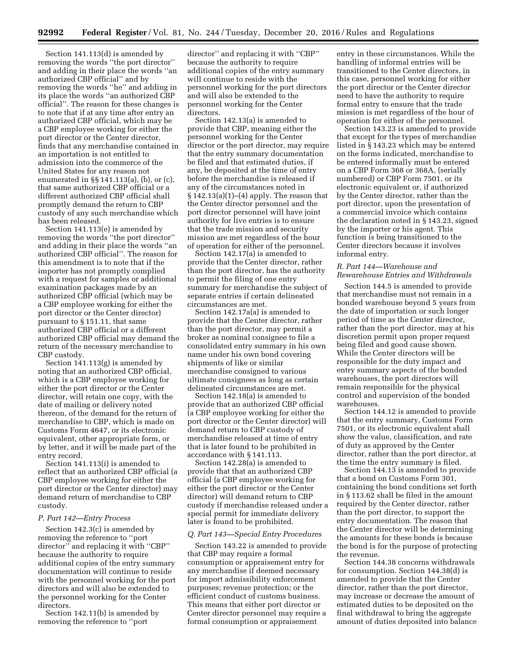Section 141.113(d) is amended by removing the words ''the port director'' and adding in their place the words ''an authorized CBP official'' and by removing the words ''he'' and adding in its place the words ''an authorized CBP official''. The reason for these changes is to note that if at any time after entry an authorized CBP official, which may be a CBP employee working for either the port director or the Center director, finds that any merchandise contained in an importation is not entitled to admission into the commerce of the United States for any reason not enumerated in §§ 141.113(a), (b), or (c), that same authorized CBP official or a different authorized CBP official shall promptly demand the return to CBP custody of any such merchandise which has been released.

Section 141.113(e) is amended by removing the words ''the port director'' and adding in their place the words ''an authorized CBP official''. The reason for this amendment is to note that if the importer has not promptly complied with a request for samples or additional examination packages made by an authorized CBP official (which may be a CBP employee working for either the port director or the Center director) pursuant to § 151.11, that same authorized CBP official or a different authorized CBP official may demand the return of the necessary merchandise to CBP custody.

Section 141.113(g) is amended by noting that an authorized CBP official, which is a CBP employee working for either the port director or the Center director, will retain one copy, with the date of mailing or delivery noted thereon, of the demand for the return of merchandise to CBP, which is made on Customs Form 4647, or its electronic equivalent, other appropriate form, or by letter, and it will be made part of the entry record.

Section 141.113(i) is amended to reflect that an authorized CBP official (a CBP employee working for either the port director or the Center director) may demand return of merchandise to CBP custody.

#### *P. Part 142—Entry Process*

Section 142.3(c) is amended by removing the reference to ''port director'' and replacing it with ''CBP'' because the authority to require additional copies of the entry summary documentation will continue to reside with the personnel working for the port directors and will also be extended to the personnel working for the Center directors.

Section 142.11(b) is amended by removing the reference to ''port

director'' and replacing it with ''CBP'' because the authority to require additional copies of the entry summary will continue to reside with the personnel working for the port directors and will also be extended to the personnel working for the Center directors.

Section 142.13(a) is amended to provide that CBP, meaning either the personnel working for the Center director or the port director, may require that the entry summary documentation be filed and that estimated duties, if any, be deposited at the time of entry before the merchandise is released if any of the circumstances noted in § 142.13(a)(1)–(4) apply. The reason that the Center director personnel and the port director personnel will have joint authority for live entries is to ensure that the trade mission and security mission are met regardless of the hour of operation for either of the personnel.

Section 142.17(a) is amended to provide that the Center director, rather than the port director, has the authority to permit the filing of one entry summary for merchandise the subject of separate entries if certain delineated circumstances are met.

Section 142.17a(a) is amended to provide that the Center director, rather than the port director, may permit a broker as nominal consignee to file a consolidated entry summary in his own name under his own bond covering shipments of like or similar merchandise consigned to various ultimate consignees as long as certain delineated circumstances are met.

Section 142.18(a) is amended to provide that an authorized CBP official (a CBP employee working for either the port director or the Center director) will demand return to CBP custody of merchandise released at time of entry that is later found to be prohibited in accordance with § 141.113.

Section 142.28(a) is amended to provide that that an authorized CBP official (a CBP employee working for either the port director or the Center director) will demand return to CBP custody if merchandise released under a special permit for immediate delivery later is found to be prohibited.

## *Q. Part 143—Special Entry Procedures*

Section 143.22 is amended to provide that CBP may require a formal consumption or appraisement entry for any merchandise if deemed necessary for import admissibility enforcement purposes; revenue protection; or the efficient conduct of customs business. This means that either port director or Center director personnel may require a formal consumption or appraisement

entry in these circumstances. While the handling of informal entries will be transitioned to the Center directors, in this case, personnel working for either the port director or the Center director need to have the authority to require formal entry to ensure that the trade mission is met regardless of the hour of operation for either of the personnel.

Section 143.23 is amended to provide that except for the types of merchandise listed in § 143.23 which may be entered on the forms indicated, merchandise to be entered informally must be entered on a CBP Form 368 or 368A, (serially numbered) or CBP Form 7501, or its electronic equivalent or, if authorized by the Center director, rather than the port director, upon the presentation of a commercial invoice which contains the declaration noted in § 143.23, signed by the importer or his agent. This function is being transitioned to the Center directors because it involves informal entry.

## *R. Part 144—Warehouse and Rewarehouse Entries and Withdrawals*

Section 144.5 is amended to provide that merchandise must not remain in a bonded warehouse beyond 5 years from the date of importation or such longer period of time as the Center director, rather than the port director, may at his discretion permit upon proper request being filed and good cause shown. While the Center directors will be responsible for the duty impact and entry summary aspects of the bonded warehouses, the port directors will remain responsible for the physical control and supervision of the bonded warehouses.

Section 144.12 is amended to provide that the entry summary, Customs Form 7501, or its electronic equivalent shall show the value, classification, and rate of duty as approved by the Center director, rather than the port director, at the time the entry summary is filed.

Section 144.13 is amended to provide that a bond on Customs Form 301, containing the bond conditions set forth in § 113.62 shall be filed in the amount required by the Center director, rather than the port director, to support the entry documentation. The reason that the Center director will be determining the amounts for these bonds is because the bond is for the purpose of protecting the revenue.

Section 144.38 concerns withdrawals for consumption. Section 144.38(d) is amended to provide that the Center director, rather than the port director, may increase or decrease the amount of estimated duties to be deposited on the final withdrawal to bring the aggregate amount of duties deposited into balance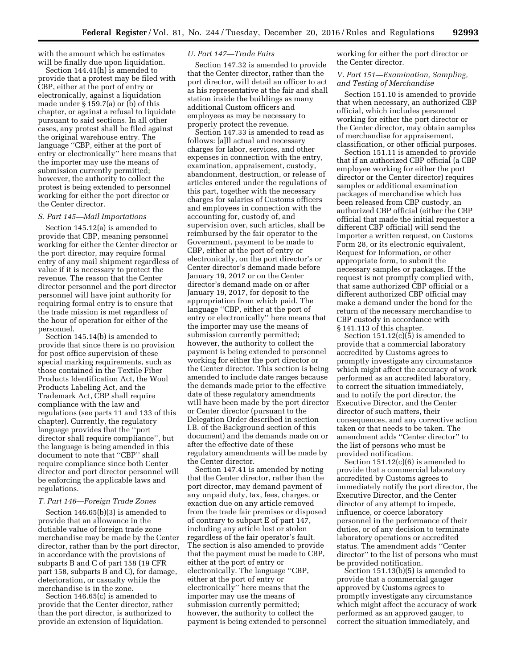with the amount which he estimates will be finally due upon liquidation.

Section 144.41(h) is amended to provide that a protest may be filed with CBP, either at the port of entry or electronically, against a liquidation made under § 159.7(a) or (b) of this chapter, or against a refusal to liquidate pursuant to said sections. In all other cases, any protest shall be filed against the original warehouse entry. The language ''CBP, either at the port of entry or electronically'' here means that the importer may use the means of submission currently permitted; however, the authority to collect the protest is being extended to personnel working for either the port director or the Center director.

#### *S. Part 145—Mail Importations*

Section 145.12(a) is amended to provide that CBP, meaning personnel working for either the Center director or the port director, may require formal entry of any mail shipment regardless of value if it is necessary to protect the revenue. The reason that the Center director personnel and the port director personnel will have joint authority for requiring formal entry is to ensure that the trade mission is met regardless of the hour of operation for either of the personnel.

Section 145.14(b) is amended to provide that since there is no provision for post office supervision of these special marking requirements, such as those contained in the Textile Fiber Products Identification Act, the Wool Products Labeling Act, and the Trademark Act, CBP shall require compliance with the law and regulations (see parts 11 and 133 of this chapter). Currently, the regulatory language provides that the ''port director shall require compliance'', but the language is being amended in this document to note that ''CBP'' shall require compliance since both Center director and port director personnel will be enforcing the applicable laws and regulations.

#### *T. Part 146—Foreign Trade Zones*

Section 146.65(b)(3) is amended to provide that an allowance in the dutiable value of foreign trade zone merchandise may be made by the Center director, rather than by the port director, in accordance with the provisions of subparts B and C of part 158 (19 CFR part 158, subparts B and C), for damage, deterioration, or casualty while the merchandise is in the zone.

Section 146.65(c) is amended to provide that the Center director, rather than the port director, is authorized to provide an extension of liquidation.

#### *U. Part 147—Trade Fairs*

Section 147.32 is amended to provide that the Center director, rather than the port director, will detail an officer to act as his representative at the fair and shall station inside the buildings as many additional Custom officers and employees as may be necessary to properly protect the revenue.

Section 147.33 is amended to read as follows: [a]ll actual and necessary charges for labor, services, and other expenses in connection with the entry, examination, appraisement, custody, abandonment, destruction, or release of articles entered under the regulations of this part, together with the necessary charges for salaries of Customs officers and employees in connection with the accounting for, custody of, and supervision over, such articles, shall be reimbursed by the fair operator to the Government, payment to be made to CBP, either at the port of entry or electronically, on the port director's or Center director's demand made before January 19, 2017 or on the Center director's demand made on or after January 19, 2017, for deposit to the appropriation from which paid. The language ''CBP, either at the port of entry or electronically'' here means that the importer may use the means of submission currently permitted; however, the authority to collect the payment is being extended to personnel working for either the port director or the Center director. This section is being amended to include date ranges because the demands made prior to the effective date of these regulatory amendments will have been made by the port director or Center director (pursuant to the Delegation Order described in section I.B. of the Background section of this document) and the demands made on or after the effective date of these regulatory amendments will be made by the Center director.

Section 147.41 is amended by noting that the Center director, rather than the port director, may demand payment of any unpaid duty, tax, fees, charges, or exaction due on any article removed from the trade fair premises or disposed of contrary to subpart E of part 147, including any article lost or stolen regardless of the fair operator's fault. The section is also amended to provide that the payment must be made to CBP, either at the port of entry or electronically. The language ''CBP, either at the port of entry or electronically'' here means that the importer may use the means of submission currently permitted; however, the authority to collect the payment is being extended to personnel working for either the port director or the Center director.

*V. Part 151—Examination, Sampling, and Testing of Merchandise* 

Section 151.10 is amended to provide that when necessary, an authorized CBP official, which includes personnel working for either the port director or the Center director, may obtain samples of merchandise for appraisement, classification, or other official purposes.

Section 151.11 is amended to provide that if an authorized CBP official (a CBP employee working for either the port director or the Center director) requires samples or additional examination packages of merchandise which has been released from CBP custody, an authorized CBP official (either the CBP official that made the initial requestor a different CBP official) will send the importer a written request, on Customs Form 28, or its electronic equivalent, Request for Information, or other appropriate form, to submit the necessary samples or packages. If the request is not promptly complied with, that same authorized CBP official or a different authorized CBP official may make a demand under the bond for the return of the necessary merchandise to CBP custody in accordance with § 141.113 of this chapter.

Section 151.12(c)(5) is amended to provide that a commercial laboratory accredited by Customs agrees to promptly investigate any circumstance which might affect the accuracy of work performed as an accredited laboratory, to correct the situation immediately, and to notify the port director, the Executive Director, and the Center director of such matters, their consequences, and any corrective action taken or that needs to be taken. The amendment adds ''Center director'' to the list of persons who must be provided notification.

Section 151.12(c)(6) is amended to provide that a commercial laboratory accredited by Customs agrees to immediately notify the port director, the Executive Director, and the Center director of any attempt to impede, influence, or coerce laboratory personnel in the performance of their duties, or of any decision to terminate laboratory operations or accredited status. The amendment adds ''Center director'' to the list of persons who must be provided notification.

Section 151.13(b)(5) is amended to provide that a commercial gauger approved by Customs agrees to promptly investigate any circumstance which might affect the accuracy of work performed as an approved gauger, to correct the situation immediately, and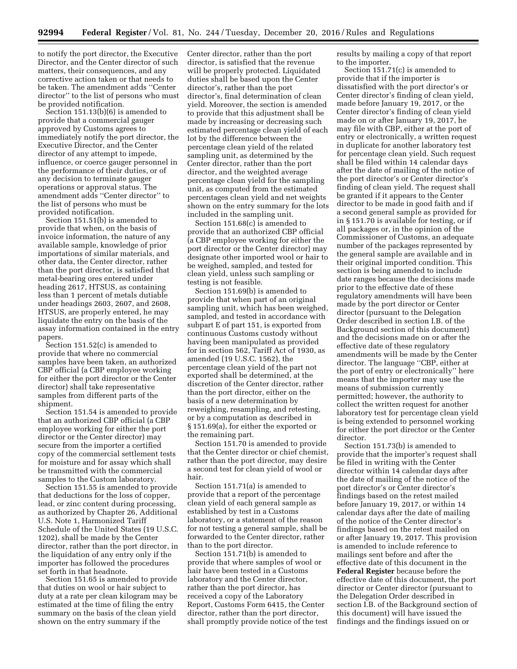to notify the port director, the Executive Director, and the Center director of such matters, their consequences, and any corrective action taken or that needs to be taken. The amendment adds ''Center director'' to the list of persons who must be provided notification.

Section 151.13(b)(6) is amended to provide that a commercial gauger approved by Customs agrees to immediately notify the port director, the Executive Director, and the Center director of any attempt to impede, influence, or coerce gauger personnel in the performance of their duties, or of any decision to terminate gauger operations or approval status. The amendment adds ''Center director'' to the list of persons who must be provided notification.

Section 151.51(b) is amended to provide that when, on the basis of invoice information, the nature of any available sample, knowledge of prior importations of similar materials, and other data, the Center director, rather than the port director, is satisfied that metal-bearing ores entered under heading 2617, HTSUS, as containing less than 1 percent of metals dutiable under headings 2603, 2607, and 2608, HTSUS, are properly entered, he may liquidate the entry on the basis of the assay information contained in the entry papers.

Section 151.52(c) is amended to provide that where no commercial samples have been taken, an authorized CBP official (a CBP employee working for either the port director or the Center director) shall take representative samples from different parts of the shipment.

Section 151.54 is amended to provide that an authorized CBP official (a CBP employee working for either the port director or the Center director) may secure from the importer a certified copy of the commercial settlement tests for moisture and for assay which shall be transmitted with the commercial samples to the Custom laboratory.

Section 151.55 is amended to provide that deductions for the loss of copper, lead, or zinc content during processing, as authorized by Chapter 26, Additional U.S. Note 1, Harmonized Tariff Schedule of the United States (19 U.S.C. 1202), shall be made by the Center director, rather than the port director, in the liquidation of any entry only if the importer has followed the procedures set forth in that headnote.

Section 151.65 is amended to provide that duties on wool or hair subject to duty at a rate per clean kilogram may be estimated at the time of filing the entry summary on the basis of the clean yield shown on the entry summary if the

Center director, rather than the port director, is satisfied that the revenue will be properly protected. Liquidated duties shall be based upon the Center director's, rather than the port director's, final determination of clean yield. Moreover, the section is amended to provide that this adjustment shall be made by increasing or decreasing such estimated percentage clean yield of each lot by the difference between the percentage clean yield of the related sampling unit, as determined by the Center director, rather than the port director, and the weighted average percentage clean yield for the sampling unit, as computed from the estimated percentages clean yield and net weights shown on the entry summary for the lots included in the sampling unit.

Section 151.68(c) is amended to provide that an authorized CBP official (a CBP employee working for either the port director or the Center director) may designate other imported wool or hair to be weighed, sampled, and tested for clean yield, unless such sampling or testing is not feasible.

Section 151.69(b) is amended to provide that when part of an original sampling unit, which has been weighed, sampled, and tested in accordance with subpart E of part 151, is exported from continuous Customs custody without having been manipulated as provided for in section 562, Tariff Act of 1930, as amended (19 U.S.C. 1562), the percentage clean yield of the part not exported shall be determined, at the discretion of the Center director, rather than the port director, either on the basis of a new determination by reweighing, resampling, and retesting, or by a computation as described in § 151.69(a), for either the exported or the remaining part.

Section 151.70 is amended to provide that the Center director or chief chemist, rather than the port director, may desire a second test for clean yield of wool or hair.

Section 151.71(a) is amended to provide that a report of the percentage clean yield of each general sample as established by test in a Customs laboratory, or a statement of the reason for not testing a general sample, shall be forwarded to the Center director, rather than to the port director.

Section 151.71(b) is amended to provide that where samples of wool or hair have been tested in a Customs laboratory and the Center director, rather than the port director, has received a copy of the Laboratory Report, Customs Form 6415, the Center director, rather than the port director, shall promptly provide notice of the test results by mailing a copy of that report to the importer.

Section 151.71(c) is amended to provide that if the importer is dissatisfied with the port director's or Center director's finding of clean yield, made before January 19, 2017, or the Center director's finding of clean yield made on or after January 19, 2017, he may file with CBP, either at the port of entry or electronically, a written request in duplicate for another laboratory test for percentage clean yield. Such request shall be filed within 14 calendar days after the date of mailing of the notice of the port director's or Center director's finding of clean yield. The request shall be granted if it appears to the Center director to be made in good faith and if a second general sample as provided for in § 151.70 is available for testing, or if all packages or, in the opinion of the Commissioner of Customs, an adequate number of the packages represented by the general sample are available and in their original imported condition. This section is being amended to include date ranges because the decisions made prior to the effective date of these regulatory amendments will have been made by the port director or Center director (pursuant to the Delegation Order described in section I.B. of the Background section of this document) and the decisions made on or after the effective date of these regulatory amendments will be made by the Center director. The language ''CBP, either at the port of entry or electronically'' here means that the importer may use the means of submission currently permitted; however, the authority to collect the written request for another laboratory test for percentage clean yield is being extended to personnel working for either the port director or the Center director.

Section 151.73(b) is amended to provide that the importer's request shall be filed in writing with the Center director within 14 calendar days after the date of mailing of the notice of the port director's or Center director's findings based on the retest mailed before January 19, 2017, or within 14 calendar days after the date of mailing of the notice of the Center director's findings based on the retest mailed on or after January 19, 2017. This provision is amended to include reference to mailings sent before and after the effective date of this document in the **Federal Register** because before the effective date of this document, the port director or Center director (pursuant to the Delegation Order described in section I.B. of the Background section of this document) will have issued the findings and the findings issued on or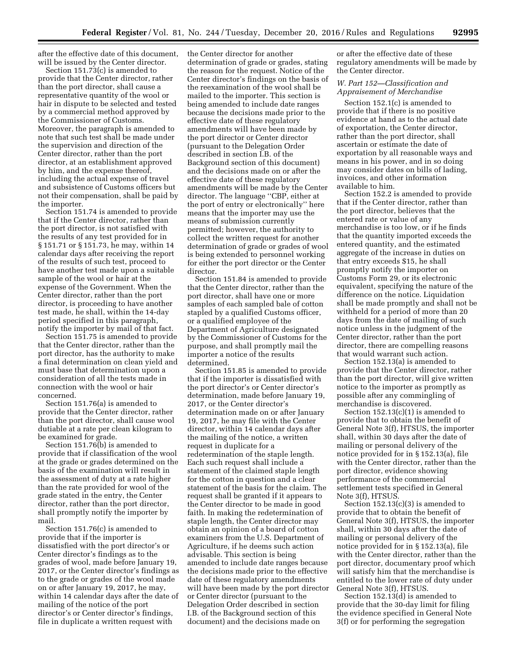after the effective date of this document, will be issued by the Center director.

Section 151.73(c) is amended to provide that the Center director, rather than the port director, shall cause a representative quantity of the wool or hair in dispute to be selected and tested by a commercial method approved by the Commissioner of Customs. Moreover, the paragraph is amended to note that such test shall be made under the supervision and direction of the Center director, rather than the port director, at an establishment approved by him, and the expense thereof, including the actual expense of travel and subsistence of Customs officers but not their compensation, shall be paid by the importer.

Section 151.74 is amended to provide that if the Center director, rather than the port director, is not satisfied with the results of any test provided for in § 151.71 or § 151.73, he may, within 14 calendar days after receiving the report of the results of such test, proceed to have another test made upon a suitable sample of the wool or hair at the expense of the Government. When the Center director, rather than the port director, is proceeding to have another test made, he shall, within the 14-day period specified in this paragraph, notify the importer by mail of that fact.

Section 151.75 is amended to provide that the Center director, rather than the port director, has the authority to make a final determination on clean yield and must base that determination upon a consideration of all the tests made in connection with the wool or hair concerned.

Section 151.76(a) is amended to provide that the Center director, rather than the port director, shall cause wool dutiable at a rate per clean kilogram to be examined for grade.

Section 151.76(b) is amended to provide that if classification of the wool at the grade or grades determined on the basis of the examination will result in the assessment of duty at a rate higher than the rate provided for wool of the grade stated in the entry, the Center director, rather than the port director, shall promptly notify the importer by mail.

Section 151.76(c) is amended to provide that if the importer is dissatisfied with the port director's or Center director's findings as to the grades of wool, made before January 19, 2017, or the Center director's findings as to the grade or grades of the wool made on or after January 19, 2017, he may, within 14 calendar days after the date of mailing of the notice of the port director's or Center director's findings, file in duplicate a written request with

the Center director for another determination of grade or grades, stating the reason for the request. Notice of the Center director's findings on the basis of the reexamination of the wool shall be mailed to the importer. This section is being amended to include date ranges because the decisions made prior to the effective date of these regulatory amendments will have been made by the port director or Center director (pursuant to the Delegation Order described in section I.B. of the Background section of this document) and the decisions made on or after the effective date of these regulatory amendments will be made by the Center director. The language ''CBP, either at the port of entry or electronically'' here means that the importer may use the means of submission currently permitted; however, the authority to collect the written request for another determination of grade or grades of wool is being extended to personnel working for either the port director or the Center director.

Section 151.84 is amended to provide that the Center director, rather than the port director, shall have one or more samples of each sampled bale of cotton stapled by a qualified Customs officer, or a qualified employee of the Department of Agriculture designated by the Commissioner of Customs for the purpose, and shall promptly mail the importer a notice of the results determined.

Section 151.85 is amended to provide that if the importer is dissatisfied with the port director's or Center director's determination, made before January 19, 2017, or the Center director's determination made on or after January 19, 2017, he may file with the Center director, within 14 calendar days after the mailing of the notice, a written request in duplicate for a redetermination of the staple length. Each such request shall include a statement of the claimed staple length for the cotton in question and a clear statement of the basis for the claim. The request shall be granted if it appears to the Center director to be made in good faith. In making the redetermination of staple length, the Center director may obtain an opinion of a board of cotton examiners from the U.S. Department of Agriculture, if he deems such action advisable. This section is being amended to include date ranges because the decisions made prior to the effective date of these regulatory amendments will have been made by the port director or Center director (pursuant to the Delegation Order described in section I.B. of the Background section of this document) and the decisions made on

or after the effective date of these regulatory amendments will be made by the Center director.

## *W. Part 152—Classification and Appraisement of Merchandise*

Section 152.1(c) is amended to provide that if there is no positive evidence at hand as to the actual date of exportation, the Center director, rather than the port director, shall ascertain or estimate the date of exportation by all reasonable ways and means in his power, and in so doing may consider dates on bills of lading, invoices, and other information available to him.

Section 152.2 is amended to provide that if the Center director, rather than the port director, believes that the entered rate or value of any merchandise is too low, or if he finds that the quantity imported exceeds the entered quantity, and the estimated aggregate of the increase in duties on that entry exceeds \$15, he shall promptly notify the importer on Customs Form 29, or its electronic equivalent, specifying the nature of the difference on the notice. Liquidation shall be made promptly and shall not be withheld for a period of more than 20 days from the date of mailing of such notice unless in the judgment of the Center director, rather than the port director, there are compelling reasons that would warrant such action.

Section 152.13(a) is amended to provide that the Center director, rather than the port director, will give written notice to the importer as promptly as possible after any commingling of merchandise is discovered.

Section  $152.13(c)(1)$  is amended to provide that to obtain the benefit of General Note 3(f), HTSUS, the importer shall, within 30 days after the date of mailing or personal delivery of the notice provided for in § 152.13(a), file with the Center director, rather than the port director, evidence showing performance of the commercial settlement tests specified in General Note 3(f), HTSUS.

Section 152.13(c)(3) is amended to provide that to obtain the benefit of General Note 3(f), HTSUS, the importer shall, within 30 days after the date of mailing or personal delivery of the notice provided for in § 152.13(a), file with the Center director, rather than the port director, documentary proof which will satisfy him that the merchandise is entitled to the lower rate of duty under General Note 3(f), HTSUS.

Section 152.13(d) is amended to provide that the 30-day limit for filing the evidence specified in General Note 3(f) or for performing the segregation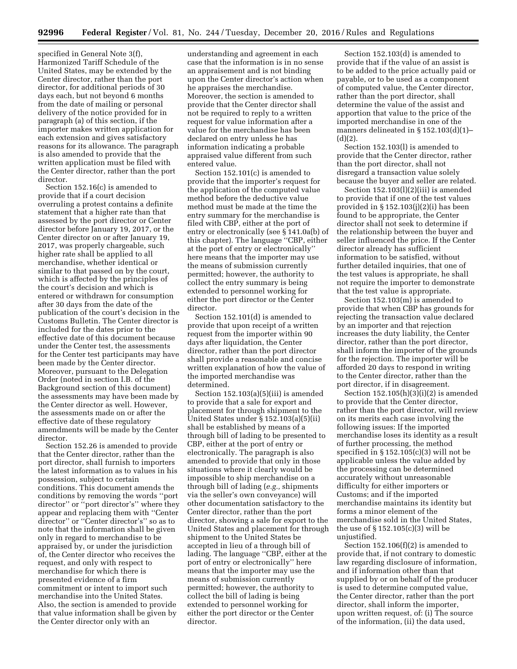specified in General Note 3(f), Harmonized Tariff Schedule of the United States, may be extended by the Center director, rather than the port director, for additional periods of 30 days each, but not beyond 6 months from the date of mailing or personal delivery of the notice provided for in paragraph (a) of this section, if the importer makes written application for each extension and gives satisfactory reasons for its allowance. The paragraph is also amended to provide that the written application must be filed with the Center director, rather than the port director.

Section 152.16(c) is amended to provide that if a court decision overruling a protest contains a definite statement that a higher rate than that assessed by the port director or Center director before January 19, 2017, or the Center director on or after January 19, 2017, was properly chargeable, such higher rate shall be applied to all merchandise, whether identical or similar to that passed on by the court, which is affected by the principles of the court's decision and which is entered or withdrawn for consumption after 30 days from the date of the publication of the court's decision in the Customs Bulletin. The Center director is included for the dates prior to the effective date of this document because under the Center test, the assessments for the Center test participants may have been made by the Center director. Moreover, pursuant to the Delegation Order (noted in section I.B. of the Background section of this document) the assessments may have been made by the Center director as well. However, the assessments made on or after the effective date of these regulatory amendments will be made by the Center director.

Section 152.26 is amended to provide that the Center director, rather than the port director, shall furnish to importers the latest information as to values in his possession, subject to certain conditions. This document amends the conditions by removing the words ''port director" or "port director's" where they appear and replacing them with ''Center director'' or ''Center director's'' so as to note that the information shall be given only in regard to merchandise to be appraised by, or under the jurisdiction of, the Center director who receives the request, and only with respect to merchandise for which there is presented evidence of a firm commitment or intent to import such merchandise into the United States. Also, the section is amended to provide that value information shall be given by the Center director only with an

understanding and agreement in each case that the information is in no sense an appraisement and is not binding upon the Center director's action when he appraises the merchandise. Moreover, the section is amended to provide that the Center director shall not be required to reply to a written request for value information after a value for the merchandise has been declared on entry unless he has information indicating a probable appraised value different from such entered value.

Section 152.101(c) is amended to provide that the importer's request for the application of the computed value method before the deductive value method must be made at the time the entry summary for the merchandise is filed with CBP, either at the port of entry or electronically (see § 141.0a(b) of this chapter). The language ''CBP, either at the port of entry or electronically'' here means that the importer may use the means of submission currently permitted; however, the authority to collect the entry summary is being extended to personnel working for either the port director or the Center director.

Section 152.101(d) is amended to provide that upon receipt of a written request from the importer within 90 days after liquidation, the Center director, rather than the port director shall provide a reasonable and concise written explanation of how the value of the imported merchandise was determined.

Section 152.103(a)(5)(iii) is amended to provide that a sale for export and placement for through shipment to the United States under § 152.103(a)(5)(ii) shall be established by means of a through bill of lading to be presented to CBP, either at the port of entry or electronically. The paragraph is also amended to provide that only in those situations where it clearly would be impossible to ship merchandise on a through bill of lading (*e.g.,* shipments via the seller's own conveyance) will other documentation satisfactory to the Center director, rather than the port director, showing a sale for export to the United States and placement for through shipment to the United States be accepted in lieu of a through bill of lading. The language ''CBP, either at the port of entry or electronically'' here means that the importer may use the means of submission currently permitted; however, the authority to collect the bill of lading is being extended to personnel working for either the port director or the Center director.

Section 152.103(d) is amended to provide that if the value of an assist is to be added to the price actually paid or payable, or to be used as a component of computed value, the Center director, rather than the port director, shall determine the value of the assist and apportion that value to the price of the imported merchandise in one of the manners delineated in § 152.103(d)(1)–  $(d)(2)$ .

Section 152.103(l) is amended to provide that the Center director, rather than the port director, shall not disregard a transaction value solely because the buyer and seller are related.

Section 152.103(l)(2)(iii) is amended to provide that if one of the test values provided in § 152.103(j)(2)(i) has been found to be appropriate, the Center director shall not seek to determine if the relationship between the buyer and seller influenced the price. If the Center director already has sufficient information to be satisfied, without further detailed inquiries, that one of the test values is appropriate, he shall not require the importer to demonstrate that the test value is appropriate.

Section 152.103(m) is amended to provide that when CBP has grounds for rejecting the transaction value declared by an importer and that rejection increases the duty liability, the Center director, rather than the port director, shall inform the importer of the grounds for the rejection. The importer will be afforded 20 days to respond in writing to the Center director, rather than the port director, if in disagreement.

Section 152.105(h)(3)(i)(2) is amended to provide that the Center director, rather than the port director, will review on its merits each case involving the following issues: If the imported merchandise loses its identity as a result of further processing, the method specified in § 152.105(c)(3) will not be applicable unless the value added by the processing can be determined accurately without unreasonable difficulty for either importers or Customs; and if the imported merchandise maintains its identity but forms a minor element of the merchandise sold in the United States, the use of § 152.105(c)(3) will be unjustified.

Section 152.106(f)(2) is amended to provide that, if not contrary to domestic law regarding disclosure of information, and if information other than that supplied by or on behalf of the producer is used to determine computed value, the Center director, rather than the port director, shall inform the importer, upon written request, of: (i) The source of the information, (ii) the data used,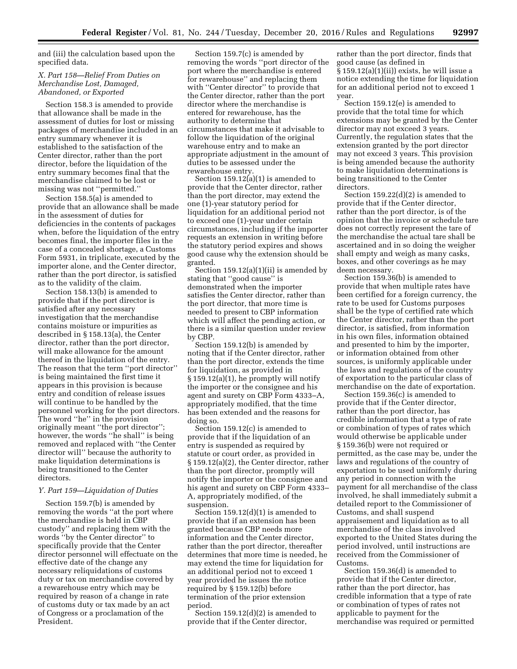and (iii) the calculation based upon the specified data.

## *X. Part 158—Relief From Duties on Merchandise Lost, Damaged, Abandoned, or Exported*

Section 158.3 is amended to provide that allowance shall be made in the assessment of duties for lost or missing packages of merchandise included in an entry summary whenever it is established to the satisfaction of the Center director, rather than the port director, before the liquidation of the entry summary becomes final that the merchandise claimed to be lost or missing was not ''permitted.''

Section 158.5(a) is amended to provide that an allowance shall be made in the assessment of duties for deficiencies in the contents of packages when, before the liquidation of the entry becomes final, the importer files in the case of a concealed shortage, a Customs Form 5931, in triplicate, executed by the importer alone, and the Center director, rather than the port director, is satisfied as to the validity of the claim.

Section 158.13(b) is amended to provide that if the port director is satisfied after any necessary investigation that the merchandise contains moisture or impurities as described in § 158.13(a), the Center director, rather than the port director, will make allowance for the amount thereof in the liquidation of the entry. The reason that the term ''port director'' is being maintained the first time it appears in this provision is because entry and condition of release issues will continue to be handled by the personnel working for the port directors. The word "he" in the provision originally meant ''the port director''; however, the words ''he shall'' is being removed and replaced with ''the Center director will'' because the authority to make liquidation determinations is being transitioned to the Center directors.

## *Y. Part 159—Liquidation of Duties*

Section 159.7(b) is amended by removing the words ''at the port where the merchandise is held in CBP custody'' and replacing them with the words ''by the Center director'' to specifically provide that the Center director personnel will effectuate on the effective date of the change any necessary reliquidations of customs duty or tax on merchandise covered by a rewarehouse entry which may be required by reason of a change in rate of customs duty or tax made by an act of Congress or a proclamation of the President.

Section 159.7(c) is amended by removing the words ''port director of the port where the merchandise is entered for rewarehouse'' and replacing them with ''Center director'' to provide that the Center director, rather than the port director where the merchandise is entered for rewarehouse, has the authority to determine that circumstances that make it advisable to follow the liquidation of the original warehouse entry and to make an appropriate adjustment in the amount of duties to be assessed under the rewarehouse entry.

Section  $159.12(a)(1)$  is amended to provide that the Center director, rather than the port director, may extend the one (1)-year statutory period for liquidation for an additional period not to exceed one (1)-year under certain circumstances, including if the importer requests an extension in writing before the statutory period expires and shows good cause why the extension should be granted.

Section 159.12(a)(1)(ii) is amended by stating that ''good cause'' is demonstrated when the importer satisfies the Center director, rather than the port director, that more time is needed to present to CBP information which will affect the pending action, or there is a similar question under review by CBP.

Section 159.12(b) is amended by noting that if the Center director, rather than the port director, extends the time for liquidation, as provided in § 159.12(a)(1), he promptly will notify the importer or the consignee and his agent and surety on CBP Form 4333–A, appropriately modified, that the time has been extended and the reasons for doing so.

Section 159.12(c) is amended to provide that if the liquidation of an entry is suspended as required by statute or court order, as provided in § 159.12(a)(2), the Center director, rather than the port director, promptly will notify the importer or the consignee and his agent and surety on CBP Form 4333– A, appropriately modified, of the suspension.

Section 159.12(d)(1) is amended to provide that if an extension has been granted because CBP needs more information and the Center director, rather than the port director, thereafter determines that more time is needed, he may extend the time for liquidation for an additional period not to exceed 1 year provided he issues the notice required by § 159.12(b) before termination of the prior extension period.

Section 159.12(d)(2) is amended to provide that if the Center director,

rather than the port director, finds that good cause (as defined in § 159.12(a)(1)(ii)) exists, he will issue a notice extending the time for liquidation for an additional period not to exceed 1 year.

Section 159.12(e) is amended to provide that the total time for which extensions may be granted by the Center director may not exceed 3 years. Currently, the regulation states that the extension granted by the port director may not exceed 3 years. This provision is being amended because the authority to make liquidation determinations is being transitioned to the Center directors.

Section 159.22(d)(2) is amended to provide that if the Center director, rather than the port director, is of the opinion that the invoice or schedule tare does not correctly represent the tare of the merchandise the actual tare shall be ascertained and in so doing the weigher shall empty and weigh as many casks, boxes, and other coverings as he may deem necessary.

Section 159.36(b) is amended to provide that when multiple rates have been certified for a foreign currency, the rate to be used for Customs purposes shall be the type of certified rate which the Center director, rather than the port director, is satisfied, from information in his own files, information obtained and presented to him by the importer, or information obtained from other sources, is uniformly applicable under the laws and regulations of the country of exportation to the particular class of merchandise on the date of exportation.

Section 159.36(c) is amended to provide that if the Center director, rather than the port director, has credible information that a type of rate or combination of types of rates which would otherwise be applicable under § 159.36(b) were not required or permitted, as the case may be, under the laws and regulations of the country of exportation to be used uniformly during any period in connection with the payment for all merchandise of the class involved, he shall immediately submit a detailed report to the Commissioner of Customs, and shall suspend appraisement and liquidation as to all merchandise of the class involved exported to the United States during the period involved, until instructions are received from the Commissioner of Customs.

Section 159.36(d) is amended to provide that if the Center director, rather than the port director, has credible information that a type of rate or combination of types of rates not applicable to payment for the merchandise was required or permitted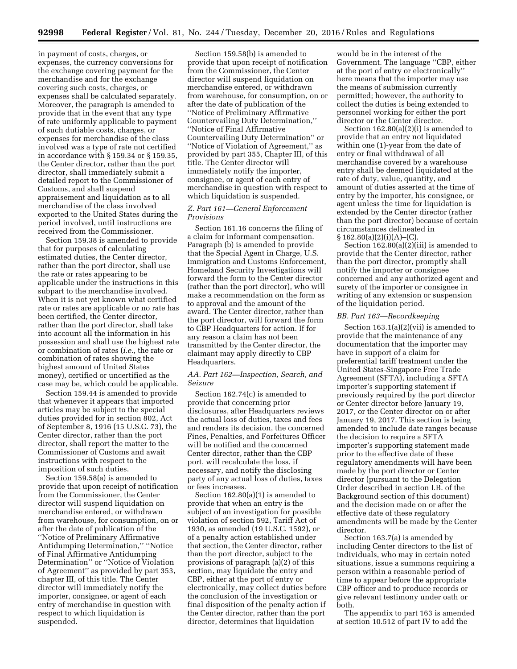in payment of costs, charges, or expenses, the currency conversions for the exchange covering payment for the merchandise and for the exchange covering such costs, charges, or expenses shall be calculated separately. Moreover, the paragraph is amended to provide that in the event that any type of rate uniformly applicable to payment of such dutiable costs, charges, or expenses for merchandise of the class involved was a type of rate not certified in accordance with § 159.34 or § 159.35, the Center director, rather than the port director, shall immediately submit a detailed report to the Commissioner of Customs, and shall suspend appraisement and liquidation as to all merchandise of the class involved exported to the United States during the period involved, until instructions are received from the Commissioner.

Section 159.38 is amended to provide that for purposes of calculating estimated duties, the Center director, rather than the port director, shall use the rate or rates appearing to be applicable under the instructions in this subpart to the merchandise involved. When it is not yet known what certified rate or rates are applicable or no rate has been certified, the Center director, rather than the port director, shall take into account all the information in his possession and shall use the highest rate or combination of rates (*i.e.,* the rate or combination of rates showing the highest amount of United States money), certified or uncertified as the case may be, which could be applicable.

Section 159.44 is amended to provide that whenever it appears that imported articles may be subject to the special duties provided for in section 802, Act of September 8, 1916 (15 U.S.C. 73), the Center director, rather than the port director, shall report the matter to the Commissioner of Customs and await instructions with respect to the imposition of such duties.

Section 159.58(a) is amended to provide that upon receipt of notification from the Commissioner, the Center director will suspend liquidation on merchandise entered, or withdrawn from warehouse, for consumption, on or after the date of publication of the ''Notice of Preliminary Affirmative Antidumping Determination,'' ''Notice of Final Affirmative Antidumping Determination'' or ''Notice of Violation of Agreement'' as provided by part 353, chapter III, of this title. The Center director will immediately notify the importer, consignee, or agent of each entry of merchandise in question with respect to which liquidation is suspended.

Section 159.58(b) is amended to provide that upon receipt of notification from the Commissioner, the Center director will suspend liquidation on merchandise entered, or withdrawn from warehouse, for consumption, on or after the date of publication of the ''Notice of Preliminary Affirmative Countervailing Duty Determination,'' ''Notice of Final Affirmative Countervailing Duty Determination'' or ''Notice of Violation of Agreement,'' as provided by part 355, Chapter III, of this title. The Center director will immediately notify the importer, consignee, or agent of each entry of merchandise in question with respect to which liquidation is suspended.

## *Z. Part 161—General Enforcement Provisions*

Section 161.16 concerns the filing of a claim for informant compensation. Paragraph (b) is amended to provide that the Special Agent in Charge, U.S. Immigration and Customs Enforcement, Homeland Security Investigations will forward the form to the Center director (rather than the port director), who will make a recommendation on the form as to approval and the amount of the award. The Center director, rather than the port director, will forward the form to CBP Headquarters for action. If for any reason a claim has not been transmitted by the Center director, the claimant may apply directly to CBP Headquarters.

## *AA. Part 162—Inspection, Search, and Seizure*

Section 162.74(c) is amended to provide that concerning prior disclosures, after Headquarters reviews the actual loss of duties, taxes and fees and renders its decision, the concerned Fines, Penalties, and Forfeitures Officer will be notified and the concerned Center director, rather than the CBP port, will recalculate the loss, if necessary, and notify the disclosing party of any actual loss of duties, taxes or fees increases.

Section 162.80(a)(1) is amended to provide that when an entry is the subject of an investigation for possible violation of section 592, Tariff Act of 1930, as amended (19 U.S.C. 1592), or of a penalty action established under that section, the Center director, rather than the port director, subject to the provisions of paragraph (a)(2) of this section, may liquidate the entry and CBP, either at the port of entry or electronically, may collect duties before the conclusion of the investigation or final disposition of the penalty action if the Center director, rather than the port director, determines that liquidation

would be in the interest of the Government. The language ''CBP, either at the port of entry or electronically'' here means that the importer may use the means of submission currently permitted; however, the authority to collect the duties is being extended to personnel working for either the port director or the Center director.

Section 162.80(a)(2)(i) is amended to provide that an entry not liquidated within one (1)-year from the date of entry or final withdrawal of all merchandise covered by a warehouse entry shall be deemed liquidated at the rate of duty, value, quantity, and amount of duties asserted at the time of entry by the importer, his consignee, or agent unless the time for liquidation is extended by the Center director (rather than the port director) because of certain circumstances delineated in  $§ 162.80(a)(2)(i)(A)–(C).$ 

Section 162.80(a)(2)(iii) is amended to provide that the Center director, rather than the port director, promptly shall notify the importer or consignee concerned and any authorized agent and surety of the importer or consignee in writing of any extension or suspension of the liquidation period.

#### *BB. Part 163—Recordkeeping*

Section 163.1(a)(2)(vii) is amended to provide that the maintenance of any documentation that the importer may have in support of a claim for preferential tariff treatment under the United States-Singapore Free Trade Agreement (SFTA), including a SFTA importer's supporting statement if previously required by the port director or Center director before January 19, 2017, or the Center director on or after January 19, 2017. This section is being amended to include date ranges because the decision to require a SFTA importer's supporting statement made prior to the effective date of these regulatory amendments will have been made by the port director or Center director (pursuant to the Delegation Order described in section I.B. of the Background section of this document) and the decision made on or after the effective date of these regulatory amendments will be made by the Center director.

Section 163.7(a) is amended by including Center directors to the list of individuals, who may in certain noted situations, issue a summons requiring a person within a reasonable period of time to appear before the appropriate CBP officer and to produce records or give relevant testimony under oath or both.

The appendix to part 163 is amended at section 10.512 of part IV to add the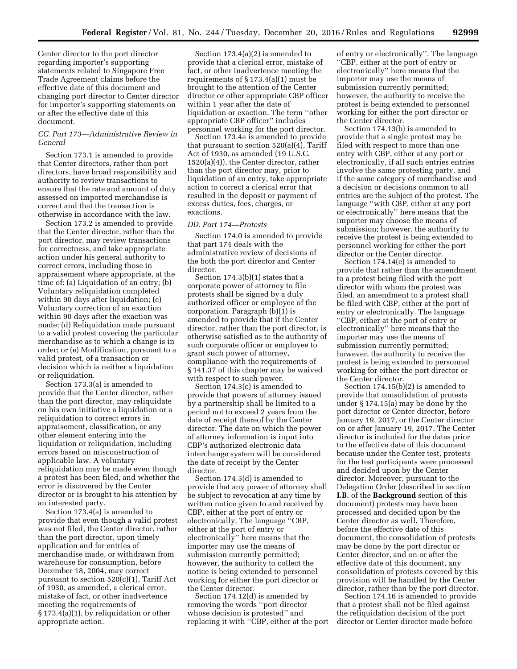Center director to the port director regarding importer's supporting statements related to Singapore Free Trade Agreement claims before the effective date of this document and changing port director to Center director for importer's supporting statements on or after the effective date of this document.

## *CC. Part 173—Administrative Review in General*

Section 173.1 is amended to provide that Center directors, rather than port directors, have broad responsibility and authority to review transactions to ensure that the rate and amount of duty assessed on imported merchandise is correct and that the transaction is otherwise in accordance with the law.

Section 173.2 is amended to provide that the Center director, rather than the port director, may review transactions for correctness, and take appropriate action under his general authority to correct errors, including those in appraisement where appropriate, at the time of: (a) Liquidation of an entry; (b) Voluntary reliquidation completed within 90 days after liquidation; (c) Voluntary correction of an exaction within 90 days after the exaction was made; (d) Reliquidation made pursuant to a valid protest covering the particular merchandise as to which a change is in order; or (e) Modification, pursuant to a valid protest, of a transaction or decision which is neither a liquidation or reliquidation.

Section 173.3(a) is amended to provide that the Center director, rather than the port director, may reliquidate on his own initiative a liquidation or a reliquidation to correct errors in appraisement, classification, or any other element entering into the liquidation or reliquidation, including errors based on misconstruction of applicable law. A voluntary reliquidation may be made even though a protest has been filed, and whether the error is discovered by the Center director or is brought to his attention by an interested party.

Section 173.4(a) is amended to provide that even though a valid protest was not filed, the Center director, rather than the port director, upon timely application and for entries of merchandise made, or withdrawn from warehouse for consumption, before December 18, 2004, may correct pursuant to section  $520(c)(1)$ , Tariff Act of 1930, as amended, a clerical error, mistake of fact, or other inadvertence meeting the requirements of § 173.4(a)(1), by reliquidation or other appropriate action.

Section 173.4(a)(2) is amended to provide that a clerical error, mistake of fact, or other inadvertence meeting the requirements of § 173.4(a)(1) must be brought to the attention of the Center director or other appropriate CBP officer within 1 year after the date of liquidation or exaction. The term ''other appropriate CBP officer'' includes personnel working for the port director.

Section 173.4a is amended to provide that pursuant to section 520(a)(4), Tariff Act of 1930, as amended (19 U.S.C. 1520(a)(4)), the Center director, rather than the port director may, prior to liquidation of an entry, take appropriate action to correct a clerical error that resulted in the deposit or payment of excess duties, fees, charges, or exactions.

#### *DD. Part 174—Protests*

Section 174.0 is amended to provide that part 174 deals with the administrative review of decisions of the both the port director and Center director.

Section 174.3(b)(1) states that a corporate power of attorney to file protests shall be signed by a duly authorized officer or employee of the corporation. Paragraph (b)(1) is amended to provide that if the Center director, rather than the port director, is otherwise satisfied as to the authority of such corporate officer or employee to grant such power of attorney, compliance with the requirements of § 141.37 of this chapter may be waived with respect to such power.

Section 174.3(c) is amended to provide that powers of attorney issued by a partnership shall be limited to a period not to exceed 2 years from the date of receipt thereof by the Center director. The date on which the power of attorney information is input into CBP's authorized electronic data interchange system will be considered the date of receipt by the Center director.

Section 174.3(d) is amended to provide that any power of attorney shall be subject to revocation at any time by written notice given to and received by CBP, either at the port of entry or electronically. The language ''CBP, either at the port of entry or electronically'' here means that the importer may use the means of submission currently permitted; however, the authority to collect the notice is being extended to personnel working for either the port director or the Center director.

Section 174.12(d) is amended by removing the words ''port director whose decision is protested'' and replacing it with ''CBP, either at the port

of entry or electronically''. The language ''CBP, either at the port of entry or electronically'' here means that the importer may use the means of submission currently permitted; however, the authority to receive the protest is being extended to personnel working for either the port director or the Center director.

Section 174.13(b) is amended to provide that a single protest may be filed with respect to more than one entry with CBP, either at any port or electronically, if all such entries entries involve the same protesting party, and if the same category of merchandise and a decision or decisions common to all entries are the subject of the protest. The language ''with CBP, either at any port or electronically'' here means that the importer may choose the means of submission; however, the authority to receive the protest is being extended to personnel working for either the port director or the Center director.

Section 174.14(e) is amended to provide that rather than the amendment to a protest being filed with the port director with whom the protest was filed, an amendment to a protest shall be filed with CBP, either at the port of entry or electronically. The language ''CBP, either at the port of entry or electronically'' here means that the importer may use the means of submission currently permitted; however, the authority to receive the protest is being extended to personnel working for either the port director or the Center director.

Section 174.15(b)(2) is amended to provide that consolidation of protests under § 174.15(a) may be done by the port director or Center director, before January 19, 2017, or the Center director on or after January 19, 2017. The Center director is included for the dates prior to the effective date of this document because under the Center test, protests for the test participants were processed and decided upon by the Center director. Moreover, pursuant to the Delegation Order (described in section **I.B.** of the **Background** section of this document) protests may have been processed and decided upon by the Center director as well. Therefore, before the effective date of this document, the consolidation of protests may be done by the port director or Center director, and on or after the effective date of this document, any consolidation of protests covered by this provision will be handled by the Center director, rather than by the port director.

Section 174.16 is amended to provide that a protest shall not be filed against the reliquidation decision of the port director or Center director made before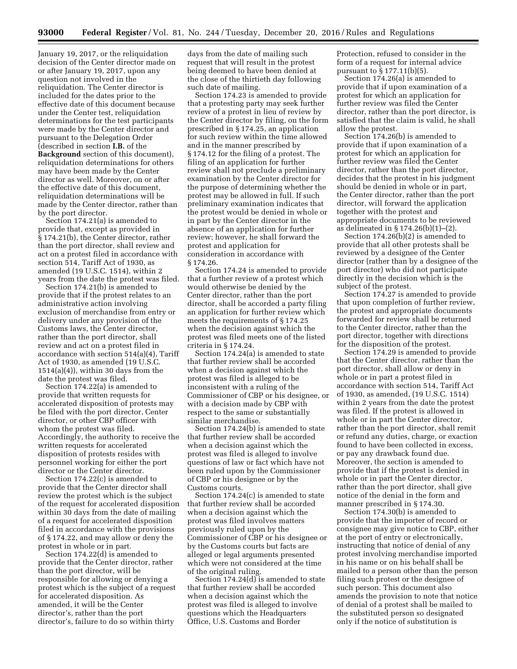January 19, 2017, or the reliquidation decision of the Center director made on or after January 19, 2017, upon any question not involved in the reliquidation. The Center director is included for the dates prior to the effective date of this document because under the Center test, reliquidation determinations for the test participants were made by the Center director and pursuant to the Delegation Order (described in section **I.B.** of the **Background** section of this document), reliquidation determinations for others may have been made by the Center director as well. Moreover, on or after the effective date of this document, reliquidation determinations will be made by the Center director, rather than by the port director.

Section 174.21(a) is amended to provide that, except as provided in § 174.21(b), the Center director, rather than the port director, shall review and act on a protest filed in accordance with section 514, Tariff Act of 1930, as amended (19 U.S.C. 1514), within 2 years from the date the protest was filed.

Section 174.21(b) is amended to provide that if the protest relates to an administrative action involving exclusion of merchandise from entry or delivery under any provision of the Customs laws, the Center director, rather than the port director, shall review and act on a protest filed in accordance with section 514(a)(4), Tariff Act of 1930, as amended (19 U.S.C. 1514(a)(4)), within 30 days from the date the protest was filed.

Section 174.22(a) is amended to provide that written requests for accelerated disposition of protests may be filed with the port director, Center director, or other CBP officer with whom the protest was filed. Accordingly, the authority to receive the written requests for accelerated disposition of protests resides with personnel working for either the port director or the Center director.

Section 174.22(c) is amended to provide that the Center director shall review the protest which is the subject of the request for accelerated disposition within 30 days from the date of mailing of a request for accelerated disposition filed in accordance with the provisions of § 174.22, and may allow or deny the protest in whole or in part.

Section 174.22(d) is amended to provide that the Center director, rather than the port director, will be responsible for allowing or denying a protest which is the subject of a request for accelerated disposition. As amended, it will be the Center director's, rather than the port director's, failure to do so within thirty

days from the date of mailing such request that will result in the protest being deemed to have been denied at the close of the thirtieth day following such date of mailing.

Section 174.23 is amended to provide that a protesting party may seek further review of a protest in lieu of review by the Center director by filing, on the form prescribed in § 174.25, an application for such review within the time allowed and in the manner prescribed by § 174.12 for the filing of a protest. The filing of an application for further review shall not preclude a preliminary examination by the Center director for the purpose of determining whether the protest may be allowed in full. If such preliminary examination indicates that the protest would be denied in whole or in part by the Center director in the absence of an application for further review; however, he shall forward the protest and application for consideration in accordance with § 174.26.

Section 174.24 is amended to provide that a further review of a protest which would otherwise be denied by the Center director, rather than the port director, shall be accorded a party filing an application for further review which meets the requirements of § 174.25 when the decision against which the protest was filed meets one of the listed criteria in § 174.24.

Section 174.24(a) is amended to state that further review shall be accorded when a decision against which the protest was filed is alleged to be inconsistent with a ruling of the Commissioner of CBP or his designee, or with a decision made by CBP with respect to the same or substantially similar merchandise.

Section 174.24(b) is amended to state that further review shall be accorded when a decision against which the protest was filed is alleged to involve questions of law or fact which have not been ruled upon by the Commissioner of CBP or his designee or by the Customs courts.

Section 174.24(c) is amended to state that further review shall be accorded when a decision against which the protest was filed involves matters previously ruled upon by the Commissioner of CBP or his designee or by the Customs courts but facts are alleged or legal arguments presented which were not considered at the time of the original ruling.

Section 174.24(d) is amended to state that further review shall be accorded when a decision against which the protest was filed is alleged to involve questions which the Headquarters Office, U.S. Customs and Border

Protection, refused to consider in the form of a request for internal advice pursuant to § 177.11(b)(5).

Section 174.26(a) is amended to provide that if upon examination of a protest for which an application for further review was filed the Center director, rather than the port director, is satisfied that the claim is valid, he shall allow the protest.

Section 174.26(b) is amended to provide that if upon examination of a protest for which an application for further review was filed the Center director, rather than the port director, decides that the protest in his judgment should be denied in whole or in part, the Center director, rather than the port director, will forward the application together with the protest and appropriate documents to be reviewed as delineated in § 174.26(b)(1)–(2).

Section 174.26(b)(2) is amended to provide that all other protests shall be reviewed by a designee of the Center director (rather than by a designee of the port director) who did not participate directly in the decision which is the subject of the protest.

Section 174.27 is amended to provide that upon completion of further review, the protest and appropriate documents forwarded for review shall be returned to the Center director, rather than the port director, together with directions for the disposition of the protest.

Section 174.29 is amended to provide that the Center director, rather than the port director, shall allow or deny in whole or in part a protest filed in accordance with section 514, Tariff Act of 1930, as amended, (19 U.S.C. 1514) within 2 years from the date the protest was filed. If the protest is allowed in whole or in part the Center director, rather than the port director, shall remit or refund any duties, charge, or exaction found to have been collected in excess, or pay any drawback found due. Moreover, the section is amended to provide that if the protest is denied in whole or in part the Center director, rather than the port director, shall give notice of the denial in the form and manner prescribed in § 174.30.

Section 174.30(b) is amended to provide that the importer of record or consignee may give notice to CBP, either at the port of entry or electronically, instructing that notice of denial of any protest involving merchandise imported in his name or on his behalf shall be mailed to a person other than the person filing such protest or the designee of such person. This document also amends the provision to note that notice of denial of a protest shall be mailed to the substituted person so designated only if the notice of substitution is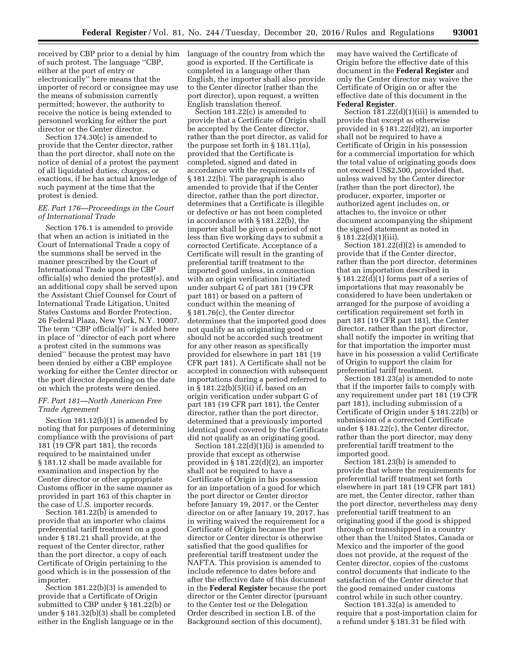received by CBP prior to a denial by him language of the country from which the of such protest. The language ''CBP, either at the port of entry or electronically'' here means that the importer of record or consignee may use the means of submission currently permitted; however, the authority to receive the notice is being extended to personnel working for either the port director or the Center director.

Section 174.30(c) is amended to provide that the Center director, rather than the port director, shall note on the notice of denial of a protest the payment of all liquidated duties, charges, or exactions, if he has actual knowledge of such payment at the time that the protest is denied.

## *EE. Part 176—Proceedings in the Court of International Trade*

Section 176.1 is amended to provide that when an action is initiated in the Court of International Trade a copy of the summons shall be served in the manner prescribed by the Court of International Trade upon the CBP official(s) who denied the protest(s), and an additional copy shall be served upon the Assistant Chief Counsel for Court of International Trade Litigation, United States Customs and Border Protection, 26 Federal Plaza, New York, N.Y. 10007. The term "CBP official(s)" is added here in place of ''director of each port where a protest cited in the summons was denied'' because the protest may have been denied by either a CBP employee working for either the Center director or the port director depending on the date on which the protests were denied.

## *FF. Part 181—North American Free Trade Agreement*

Section 181.12(b)(1) is amended by noting that for purposes of determining compliance with the provisions of part 181 (19 CFR part 181), the records required to be maintained under § 181.12 shall be made available for examination and inspection by the Center director or other appropriate Customs officer in the same manner as provided in part 163 of this chapter in the case of U.S. importer records.

Section 181.22(b) is amended to provide that an importer who claims preferential tariff treatment on a good under § 181.21 shall provide, at the request of the Center director, rather than the port director, a copy of each Certificate of Origin pertaining to the good which is in the possession of the importer.

Section 181.22(b)(3) is amended to provide that a Certificate of Origin submitted to CBP under § 181.22(b) or under § 181.32(b)(3) shall be completed either in the English language or in the

good is exported. If the Certificate is completed in a language other than English, the importer shall also provide to the Center director (rather than the port director), upon request, a written English translation thereof.

Section 181.22(c) is amended to provide that a Certificate of Origin shall be accepted by the Center director, rather than the port director, as valid for the purpose set forth in § 181.11(a), provided that the Certificate is completed, signed and dated in accordance with the requirements of § 181.22(b). The paragraph is also amended to provide that if the Center director, rather than the port director, determines that a Certificate is illegible or defective or has not been completed in accordance with § 181.22(b), the importer shall be given a period of not less than five working days to submit a corrected Certificate. Acceptance of a Certificate will result in the granting of preferential tariff treatment to the imported good unless, in connection with an origin verification initiated under subpart G of part 181 (19 CFR part 181) or based on a pattern of conduct within the meaning of § 181.76(c), the Center director determines that the imported good does not qualify as an originating good or should not be accorded such treatment for any other reason as specifically provided for elsewhere in part 181 (19 CFR part 181). A Certificate shall not be accepted in connection with subsequent importations during a period referred to in § 181.22(b)(5)(ii) if, based on an origin verification under subpart G of part 181 (19 CFR part 181), the Center director, rather than the port director, determined that a previously imported identical good covered by the Certificate did not qualify as an originating good.

Section  $181.22(d)(1)(i)$  is amended to provide that except as otherwise provided in § 181.22(d)(2), an importer shall not be required to have a Certificate of Origin in his possession for an importation of a good for which the port director or Center director before January 19, 2017, or the Center director on or after January 19, 2017, has in writing waived the requirement for a Certificate of Origin because the port director or Center director is otherwise satisfied that the good qualifies for preferential tariff treatment under the NAFTA. This provision is amended to include reference to dates before and after the effective date of this document in the **Federal Register** because the port director or the Center director (pursuant to the Center test or the Delegation Order described in section I.B. of the Background section of this document),

may have waived the Certificate of Origin before the effective date of this document in the **Federal Register** and only the Center director may waive the Certificate of Origin on or after the effective date of this document in the **Federal Register**.

Section 181.22(d)(1)(iii) is amended to provide that except as otherwise provided in § 181.22(d)(2), an importer shall not be required to have a Certificate of Origin in his possession for a commercial importation for which the total value of originating goods does not exceed US\$2,500, provided that, unless waived by the Center director (rather than the port director), the producer, exporter, importer or authorized agent includes on, or attaches to, the invoice or other document accompanying the shipment the signed statement as noted in  $§ 181.22(d)(1)(iii).$ 

Section 181.22(d)(2) is amended to provide that if the Center director, rather than the port director, determines that an importation described in § 181.22(d)(1) forms part of a series of importations that may reasonably be considered to have been undertaken or arranged for the purpose of avoiding a certification requirement set forth in part 181 (19 CFR part 181), the Center director, rather than the port director, shall notify the importer in writing that for that importation the importer must have in his possession a valid Certificate of Origin to support the claim for preferential tariff treatment.

Section 181.23(a) is amended to note that if the importer fails to comply with any requirement under part 181 (19 CFR part 181), including submission of a Certificate of Origin under § 181.22(b) or submission of a corrected Certificate under § 181.22(c), the Center director, rather than the port director, may deny preferential tariff treatment to the imported good.

Section 181.23(b) is amended to provide that where the requirements for preferential tariff treatment set forth elsewhere in part 181 (19 CFR part 181) are met, the Center director, rather than the port director, nevertheless may deny preferential tariff treatment to an originating good if the good is shipped through or transshipped in a country other than the United States, Canada or Mexico and the importer of the good does not provide, at the request of the Center director, copies of the customs control documents that indicate to the satisfaction of the Center director that the good remained under customs control while in such other country.

Section 181.32(a) is amended to require that a post-importation claim for a refund under § 181.31 be filed with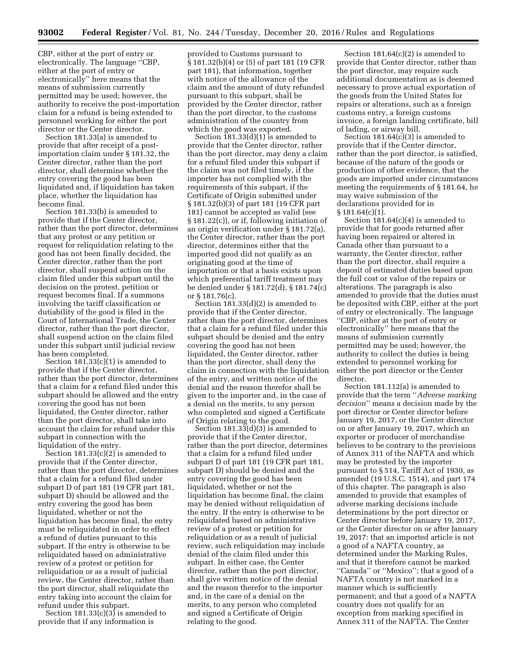CBP, either at the port of entry or electronically. The language ''CBP, either at the port of entry or electronically'' here means that the means of submission currently permitted may be used; however, the authority to receive the post-importation claim for a refund is being extended to personnel working for either the port director or the Center director.

Section 181.33(a) is amended to provide that after receipt of a postimportation claim under § 181.32, the Center director, rather than the port director, shall determine whether the entry covering the good has been liquidated and, if liquidation has taken place, whether the liquidation has become final.

Section 181.33(b) is amended to provide that if the Center director, rather than the port director, determines that any protest or any petition or request for reliquidation relating to the good has not been finally decided, the Center director, rather than the port director, shall suspend action on the claim filed under this subpart until the decision on the protest, petition or request becomes final. If a summons involving the tariff classification or dutiability of the good is filed in the Court of International Trade, the Center director, rather than the port director, shall suspend action on the claim filed under this subpart until judicial review has been completed.

Section  $181.33(c)(1)$  is amended to provide that if the Center director, rather than the port director, determines that a claim for a refund filed under this subpart should be allowed and the entry covering the good has not been liquidated, the Center director, rather than the port director, shall take into account the claim for refund under this subpart in connection with the liquidation of the entry.

Section  $181.33(c)(2)$  is amended to provide that if the Center director, rather than the port director, determines that a claim for a refund filed under subpart D of part 181 (19 CFR part 181, subpart D) should be allowed and the entry covering the good has been liquidated, whether or not the liquidation has become final, the entry must be reliquidated in order to effect a refund of duties pursuant to this subpart. If the entry is otherwise to be reliquidated based on administrative review of a protest or petition for reliquidation or as a result of judicial review, the Center director, rather than the port director, shall reliquidate the entry taking into account the claim for refund under this subpart.

Section  $181.33(c)(3)$  is amended to provide that if any information is

provided to Customs pursuant to § 181.32(b)(4) or (5) of part 181 (19 CFR part 181), that information, together with notice of the allowance of the claim and the amount of duty refunded pursuant to this subpart, shall be provided by the Center director, rather than the port director, to the customs administration of the country from which the good was exported.

Section 181.33(d)(1) is amended to provide that the Center director, rather than the port director, may deny a claim for a refund filed under this subpart if the claim was not filed timely, if the importer has not complied with the requirements of this subpart, if the Certificate of Origin submitted under § 181.32(b)(3) of part 181 (19 CFR part 181) cannot be accepted as valid (see § 181.22(c)), or if, following initiation of an origin verification under § 181.72(a), the Center director, rather than the port director, determines either that the imported good did not qualify as an originating good at the time of importation or that a basis exists upon which preferential tariff treatment may be denied under § 181.72(d), § 181.74(c) or § 181.76(c).

Section 181.33(d)(2) is amended to provide that if the Center director, rather than the port director, determines that a claim for a refund filed under this subpart should be denied and the entry covering the good has not been liquidated, the Center director, rather than the port director, shall deny the claim in connection with the liquidation of the entry, and written notice of the denial and the reason therefor shall be given to the importer and, in the case of a denial on the merits, to any person who completed and signed a Certificate of Origin relating to the good.

Section  $181.33(d)(3)$  is amended to provide that if the Center director, rather than the port director, determines that a claim for a refund filed under subpart D of part 181 (19 CFR part 181, subpart D) should be denied and the entry covering the good has been liquidated, whether or not the liquidation has become final, the claim may be denied without reliquidation of the entry. If the entry is otherwise to be reliquidated based on administrative review of a protest or petition for reliquidation or as a result of judicial review, such reliquidation may include denial of the claim filed under this subpart. In either case, the Center director, rather than the port director, shall give written notice of the denial and the reason therefor to the importer and, in the case of a denial on the merits, to any person who completed and signed a Certificate of Origin relating to the good.

Section  $181.64(c)(2)$  is amended to provide that Center director, rather than the port director, may require such additional documentation as is deemed necessary to prove actual exportation of the goods from the United States for repairs or alterations, such as a foreign customs entry, a foreign customs invoice, a foreign landing certificate, bill of lading, or airway bill.

Section 181.64(c)(3) is amended to provide that if the Center director, rather than the port director, is satisfied, because of the nature of the goods or production of other evidence, that the goods are imported under circumstances meeting the requirements of § 181.64, he may waive submission of the declarations provided for in  $§ 181.64(c)(1).$ 

Section 181.64(c)(4) is amended to provide that for goods returned after having been repaired or altered in Canada other than pursuant to a warranty, the Center director, rather than the port director, shall require a deposit of estimated duties based upon the full cost or value of the repairs or alterations. The paragraph is also amended to provide that the duties must be deposited with CBP, either at the port of entry or electronically. The language ''CBP, either at the port of entry or electronically'' here means that the means of submission currently permitted may be used; however, the authority to collect the duties is being extended to personnel working for either the port director or the Center director.

Section 181.112(a) is amended to provide that the term ''*Adverse marking decision*'' means a decision made by the port director or Center director before January 19, 2017, or the Center director on or after January 19, 2017, which an exporter or producer of merchandise believes to be contrary to the provisions of Annex 311 of the NAFTA and which may be protested by the importer pursuant to § 514, Tariff Act of 1930, as amended (19 U.S.C. 1514), and part 174 of this chapter. The paragraph is also amended to provide that examples of adverse marking decisions include determinations by the port director or Center director before January 19, 2017, or the Center director on or after January 19, 2017: that an imported article is not a good of a NAFTA country, as determined under the Marking Rules, and that it therefore cannot be marked ''Canada'' or ''Mexico''; that a good of a NAFTA country is not marked in a manner which is sufficiently permanent; and that a good of a NAFTA country does not qualify for an exception from marking specified in Annex 311 of the NAFTA. The Center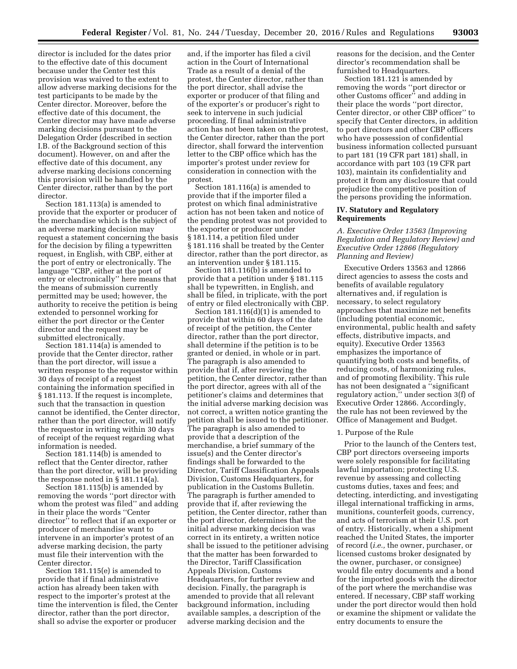director is included for the dates prior to the effective date of this document because under the Center test this provision was waived to the extent to allow adverse marking decisions for the test participants to be made by the Center director. Moreover, before the effective date of this document, the Center director may have made adverse marking decisions pursuant to the Delegation Order (described in section I.B. of the Background section of this document). However, on and after the effective date of this document, any adverse marking decisions concerning this provision will be handled by the Center director, rather than by the port director.

Section 181.113(a) is amended to provide that the exporter or producer of the merchandise which is the subject of an adverse marking decision may request a statement concerning the basis for the decision by filing a typewritten request, in English, with CBP, either at the port of entry or electronically. The language ''CBP, either at the port of entry or electronically'' here means that the means of submission currently permitted may be used; however, the authority to receive the petition is being extended to personnel working for either the port director or the Center director and the request may be submitted electronically.

Section 181.114(a) is amended to provide that the Center director, rather than the port director, will issue a written response to the requestor within 30 days of receipt of a request containing the information specified in § 181.113. If the request is incomplete, such that the transaction in question cannot be identified, the Center director, rather than the port director, will notify the requestor in writing within 30 days of receipt of the request regarding what information is needed.

Section 181.114(b) is amended to reflect that the Center director, rather than the port director, will be providing the response noted in § 181.114(a).

Section 181.115(b) is amended by removing the words ''port director with whom the protest was filed'' and adding in their place the words ''Center director<sup>5</sup> to reflect that if an exporter or producer of merchandise want to intervene in an importer's protest of an adverse marking decision, the party must file their intervention with the Center director.

Section 181.115(e) is amended to provide that if final administrative action has already been taken with respect to the importer's protest at the time the intervention is filed, the Center director, rather than the port director, shall so advise the exporter or producer

and, if the importer has filed a civil action in the Court of International Trade as a result of a denial of the protest, the Center director, rather than the port director, shall advise the exporter or producer of that filing and of the exporter's or producer's right to seek to intervene in such judicial proceeding. If final administrative action has not been taken on the protest, the Center director, rather than the port director, shall forward the intervention letter to the CBP office which has the importer's protest under review for consideration in connection with the protest.

Section 181.116(a) is amended to provide that if the importer filed a protest on which final administrative action has not been taken and notice of the pending protest was not provided to the exporter or producer under § 181.114, a petition filed under § 181.116 shall be treated by the Center director, rather than the port director, as an intervention under § 181.115.

Section 181.116(b) is amended to provide that a petition under § 181.115 shall be typewritten, in English, and shall be filed, in triplicate, with the port of entry or filed electronically with CBP.

Section 181.116(d)(1) is amended to provide that within 60 days of the date of receipt of the petition, the Center director, rather than the port director, shall determine if the petition is to be granted or denied, in whole or in part. The paragraph is also amended to provide that if, after reviewing the petition, the Center director, rather than the port director, agrees with all of the petitioner's claims and determines that the initial adverse marking decision was not correct, a written notice granting the petition shall be issued to the petitioner. The paragraph is also amended to provide that a description of the merchandise, a brief summary of the issue(s) and the Center director's findings shall be forwarded to the Director, Tariff Classification Appeals Division, Customs Headquarters, for publication in the Customs Bulletin. The paragraph is further amended to provide that if, after reviewing the petition, the Center director, rather than the port director, determines that the initial adverse marking decision was correct in its entirety, a written notice shall be issued to the petitioner advising that the matter has been forwarded to the Director, Tariff Classification Appeals Division, Customs Headquarters, for further review and decision. Finally, the paragraph is amended to provide that all relevant background information, including available samples, a description of the adverse marking decision and the

reasons for the decision, and the Center director's recommendation shall be furnished to Headquarters.

Section 181.121 is amended by removing the words ''port director or other Customs officer'' and adding in their place the words ''port director, Center director, or other CBP officer'' to specify that Center directors, in addition to port directors and other CBP officers who have possession of confidential business information collected pursuant to part 181 (19 CFR part 181) shall, in accordance with part 103 (19 CFR part 103), maintain its confidentiality and protect it from any disclosure that could prejudice the competitive position of the persons providing the information.

## **IV. Statutory and Regulatory Requirements**

*A. Executive Order 13563 (Improving Regulation and Regulatory Review) and Executive Order 12866 (Regulatory Planning and Review)* 

Executive Orders 13563 and 12866 direct agencies to assess the costs and benefits of available regulatory alternatives and, if regulation is necessary, to select regulatory approaches that maximize net benefits (including potential economic, environmental, public health and safety effects, distributive impacts, and equity). Executive Order 13563 emphasizes the importance of quantifying both costs and benefits, of reducing costs, of harmonizing rules, and of promoting flexibility. This rule has not been designated a ''significant regulatory action,'' under section 3(f) of Executive Order 12866. Accordingly, the rule has not been reviewed by the Office of Management and Budget.

## 1. Purpose of the Rule

Prior to the launch of the Centers test, CBP port directors overseeing imports were solely responsible for facilitating lawful importation; protecting U.S. revenue by assessing and collecting customs duties, taxes and fees; and detecting, interdicting, and investigating illegal international trafficking in arms, munitions, counterfeit goods, currency, and acts of terrorism at their U.S. port of entry. Historically, when a shipment reached the United States, the importer of record (*i.e.,* the owner, purchaser, or licensed customs broker designated by the owner, purchaser, or consignee) would file entry documents and a bond for the imported goods with the director of the port where the merchandise was entered. If necessary, CBP staff working under the port director would then hold or examine the shipment or validate the entry documents to ensure the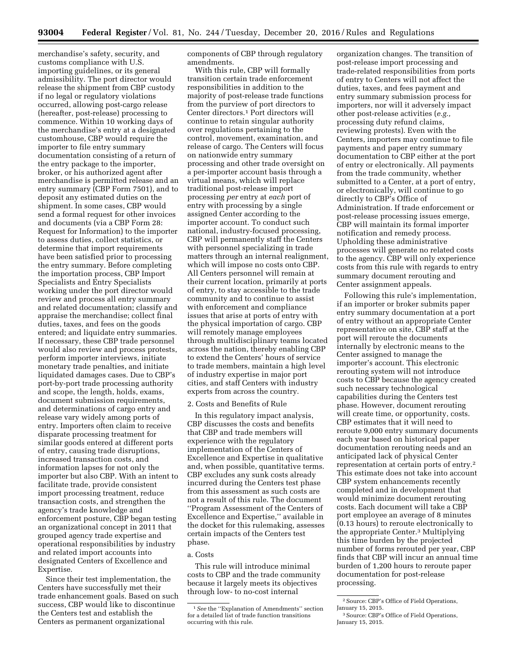merchandise's safety, security, and customs compliance with U.S. importing guidelines, or its general admissibility. The port director would release the shipment from CBP custody if no legal or regulatory violations occurred, allowing post-cargo release (hereafter, post-release) processing to commence. Within 10 working days of the merchandise's entry at a designated customhouse, CBP would require the importer to file entry summary documentation consisting of a return of the entry package to the importer, broker, or his authorized agent after merchandise is permitted release and an entry summary (CBP Form 7501), and to deposit any estimated duties on the shipment. In some cases, CBP would send a formal request for other invoices and documents (via a CBP Form 28: Request for Information) to the importer to assess duties, collect statistics, or determine that import requirements have been satisfied prior to processing the entry summary. Before completing the importation process, CBP Import Specialists and Entry Specialists working under the port director would review and process all entry summary and related documentation; classify and appraise the merchandise; collect final duties, taxes, and fees on the goods entered; and liquidate entry summaries. If necessary, these CBP trade personnel would also review and process protests, perform importer interviews, initiate monetary trade penalties, and initiate liquidated damages cases. Due to CBP's port-by-port trade processing authority and scope, the length, holds, exams, document submission requirements, and determinations of cargo entry and release vary widely among ports of entry. Importers often claim to receive disparate processing treatment for similar goods entered at different ports of entry, causing trade disruptions, increased transaction costs, and information lapses for not only the importer but also CBP. With an intent to facilitate trade, provide consistent import processing treatment, reduce transaction costs, and strengthen the agency's trade knowledge and enforcement posture, CBP began testing an organizational concept in 2011 that grouped agency trade expertise and operational responsibilities by industry and related import accounts into designated Centers of Excellence and Expertise.

Since their test implementation, the Centers have successfully met their trade enhancement goals. Based on such success, CBP would like to discontinue the Centers test and establish the Centers as permanent organizational

components of CBP through regulatory amendments.

With this rule, CBP will formally transition certain trade enforcement responsibilities in addition to the majority of post-release trade functions from the purview of port directors to Center directors.1 Port directors will continue to retain singular authority over regulations pertaining to the control, movement, examination, and release of cargo. The Centers will focus on nationwide entry summary processing and other trade oversight on a per-importer account basis through a virtual means, which will replace traditional post-release import processing *per* entry at *each* port of entry with processing by a single assigned Center according to the importer account. To conduct such national, industry-focused processing, CBP will permanently staff the Centers with personnel specializing in trade matters through an internal realignment, which will impose no costs onto CBP. All Centers personnel will remain at their current location, primarily at ports of entry, to stay accessible to the trade community and to continue to assist with enforcement and compliance issues that arise at ports of entry with the physical importation of cargo. CBP will remotely manage employees through multidisciplinary teams located across the nation, thereby enabling CBP to extend the Centers' hours of service to trade members, maintain a high level of industry expertise in major port cities, and staff Centers with industry experts from across the country.

## 2. Costs and Benefits of Rule

In this regulatory impact analysis, CBP discusses the costs and benefits that CBP and trade members will experience with the regulatory implementation of the Centers of Excellence and Expertise in qualitative and, when possible, quantitative terms. CBP excludes any sunk costs already incurred during the Centers test phase from this assessment as such costs are not a result of this rule. The document ''Program Assessment of the Centers of Excellence and Expertise,'' available in the docket for this rulemaking, assesses certain impacts of the Centers test phase.

#### a. Costs

This rule will introduce minimal costs to CBP and the trade community because it largely meets its objectives through low- to no-cost internal

organization changes. The transition of post-release import processing and trade-related responsibilities from ports of entry to Centers will not affect the duties, taxes, and fees payment and entry summary submission process for importers, nor will it adversely impact other post-release activities (*e.g.,*  processing duty refund claims, reviewing protests). Even with the Centers, importers may continue to file payments and paper entry summary documentation to CBP either at the port of entry or electronically. All payments from the trade community, whether submitted to a Center, at a port of entry, or electronically, will continue to go directly to CBP's Office of Administration. If trade enforcement or post-release processing issues emerge, CBP will maintain its formal importer notification and remedy process. Upholding these administrative processes will generate no related costs to the agency. CBP will only experience costs from this rule with regards to entry summary document rerouting and Center assignment appeals.

Following this rule's implementation, if an importer or broker submits paper entry summary documentation at a port of entry without an appropriate Center representative on site, CBP staff at the port will reroute the documents internally by electronic means to the Center assigned to manage the importer's account. This electronic rerouting system will not introduce costs to CBP because the agency created such necessary technological capabilities during the Centers test phase. However, document rerouting will create time, or opportunity, costs. CBP estimates that it will need to reroute 9,000 entry summary documents each year based on historical paper documentation rerouting needs and an anticipated lack of physical Center representation at certain ports of entry.2 This estimate does not take into account CBP system enhancements recently completed and in development that would minimize document rerouting costs. Each document will take a CBP port employee an average of 8 minutes (0.13 hours) to reroute electronically to the appropriate Center.3 Multiplying this time burden by the projected number of forms rerouted per year, CBP finds that CBP will incur an annual time burden of 1,200 hours to reroute paper documentation for post-release processing.

<sup>1</sup>*See* the ''Explanation of Amendments'' section for a detailed list of trade function transitions occurring with this rule.

<sup>2</sup>Source: CBP's Office of Field Operations, January 15, 2015.

<sup>3</sup>Source: CBP's Office of Field Operations, January 15, 2015.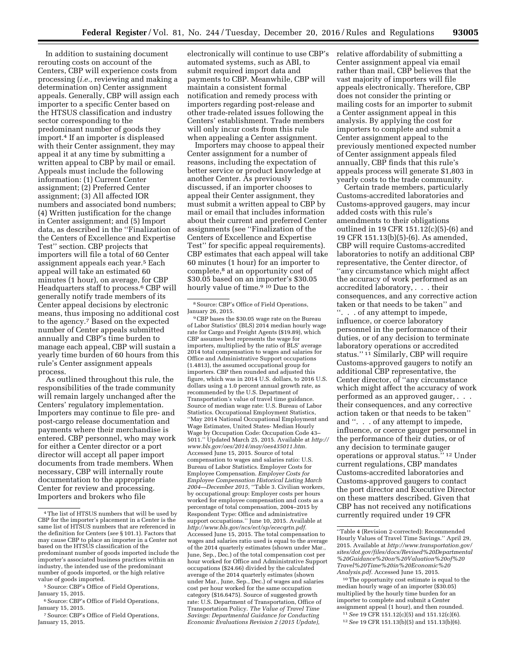In addition to sustaining document rerouting costs on account of the Centers, CBP will experience costs from processing (*i.e.,* reviewing and making a determination on) Center assignment appeals. Generally, CBP will assign each importer to a specific Center based on the HTSUS classification and industry sector corresponding to the predominant number of goods they import.4 If an importer is displeased with their Center assignment, they may appeal it at any time by submitting a written appeal to CBP by mail or email. Appeals must include the following information: (1) Current Center assignment; (2) Preferred Center assignment; (3) All affected IOR numbers and associated bond numbers; (4) Written justification for the change in Center assignment; and (5) Import data, as described in the ''Finalization of the Centers of Excellence and Expertise Test'' section. CBP projects that importers will file a total of 60 Center assignment appeals each year.<sup>5</sup> Each appeal will take an estimated 60 minutes (1 hour), on average, for CBP Headquarters staff to process.6 CBP will generally notify trade members of its Center appeal decisions by electronic means, thus imposing no additional cost to the agency.7 Based on the expected number of Center appeals submitted annually and CBP's time burden to manage each appeal, CBP will sustain a yearly time burden of 60 hours from this rule's Center assignment appeals process.

As outlined throughout this rule, the responsibilities of the trade community will remain largely unchanged after the Centers' regulatory implementation. Importers may continue to file pre- and post-cargo release documentation and payments where their merchandise is entered. CBP personnel, who may work for either a Center director or a port director will accept all paper import documents from trade members. When necessary, CBP will internally route documentation to the appropriate Center for review and processing. Importers and brokers who file

electronically will continue to use CBP's automated systems, such as ABI, to submit required import data and payments to CBP. Meanwhile, CBP will maintain a consistent formal notification and remedy process with importers regarding post-release and other trade-related issues following the Centers' establishment. Trade members will only incur costs from this rule when appealing a Center assignment.

Importers may choose to appeal their Center assignment for a number of reasons, including the expectation of better service or product knowledge at another Center. As previously discussed, if an importer chooses to appeal their Center assignment, they must submit a written appeal to CBP by mail or email that includes information about their current and preferred Center assignments (see ''Finalization of the Centers of Excellence and Expertise Test'' for specific appeal requirements). CBP estimates that each appeal will take 60 minutes (1 hour) for an importer to complete,8 at an opportunity cost of \$30.05 based on an importer's \$30.05 hourly value of time.<sup>9 10</sup> Due to the

9CBP bases the \$30.05 wage rate on the Bureau of Labor Statistics' (BLS) 2014 median hourly wage rate for Cargo and Freight Agents (\$19.89), which CBP assumes best represents the wage for importers, multiplied by the ratio of BLS' average 2014 total compensation to wages and salaries for Office and Administrative Support occupations (1.4813), the assumed occupational group for importers. CBP then rounded and adjusted this figure, which was in 2014 U.S. dollars, to 2016 U.S. dollars using a 1.0 percent annual growth rate, as recommended by the U.S. Department of Transportation's value of travel time guidance. Source of median wage rate: U.S. Bureau of Labor Statistics. Occupational Employment Statistics, ''May 2014 National Occupational Employment and Wage Estimates, United States- Median Hourly Wage by Occupation Code: Occupation Code 43– 5011.'' Updated March 25, 2015. Available at *[http://](http://www.bls.gov/oes/2014/may/oes435011.htm)  [www.bls.gov/oes/2014/may/oes435011.htm.](http://www.bls.gov/oes/2014/may/oes435011.htm)*  Accessed June 15, 2015. Source of total compensation to wages and salaries ratio: U.S. Bureau of Labor Statistics. Employer Costs for Employee Compensation. *Employer Costs for Employee Compensation Historical Listing March 2004—December 2015,* ''Table 3. Civilian workers, by occupational group: Employer costs per hours worked for employee compensation and costs as a percentage of total compensation, 2004–2015 by Respondent Type: Office and administrative support occupations.'' June 10, 2015. Available at *[http://www.bls.gov/ncs/ect/sp/ececqrtn.pdf.](http://www.bls.gov/ncs/ect/sp/ececqrtn.pdf)*  Accessed June 15, 2015. The total compensation to wages and salaries ratio used is equal to the average of the 2014 quarterly estimates (shown under Mar., June, Sep., Dec.) of the total compensation cost per hour worked for Office and Administrative Support occupations (\$24.66) divided by the calculated average of the 2014 quarterly estimates (shown under Mar., June, Sep., Dec.) of wages and salaries cost per hour worked for the same occupation category (\$16.6475). Source of suggested growth rate: U.S. Department of Transportation, Office of Transportation Policy. *The Value of Travel Time Savings: Departmental Guidance for Conducting Economic Evaluations Revision 2 (2015 Update),* 

relative affordability of submitting a Center assignment appeal via email rather than mail, CBP believes that the vast majority of importers will file appeals electronically. Therefore, CBP does not consider the printing or mailing costs for an importer to submit a Center assignment appeal in this analysis. By applying the cost for importers to complete and submit a Center assignment appeal to the previously mentioned expected number of Center assignment appeals filed annually, CBP finds that this rule's appeals process will generate \$1,803 in yearly costs to the trade community.

Certain trade members, particularly Customs-accredited laboratories and Customs-approved gaugers, may incur added costs with this rule's amendments to their obligations outlined in 19 CFR 151.12(c)(5)-(6) and 19 CFR 151.13(b)(5)-(6). As amended, CBP will require Customs-accredited laboratories to notify an additional CBP representative, the Center director, of ''any circumstance which might affect the accuracy of work performed as an accredited laboratory, . . . their consequences, and any corrective action taken or that needs to be taken'' and ''. . . of any attempt to impede, influence, or coerce laboratory personnel in the performance of their duties, or of any decision to terminate laboratory operations or accredited status.'' 11 Similarly, CBP will require Customs-approved gaugers to notify an additional CBP representative, the Center director, of ''any circumstance which might affect the accuracy of work performed as an approved gauger, . . . their consequences, and any corrective action taken or that needs to be taken'' and ''. . . of any attempt to impede, influence, or coerce gauger personnel in the performance of their duties, or of any decision to terminate gauger operations or approval status.'' 12 Under current regulations, CBP mandates Customs-accredited laboratories and Customs-approved gaugers to contact the port director and Executive Director on these matters described. Given that CBP has not received any notifications currently required under 19 CFR

<sup>4</sup>The list of HTSUS numbers that will be used by CBP for the importer's placement in a Center is the same list of HTSUS numbers that are referenced in the definition for Centers (*see* § 101.1). Factors that may cause CBP to place an importer in a Center not based on the HTSUS classification of the predominant number of goods imported include the importer's associated business practices within an industry, the intended use of the predominant number of goods imported, or the high relative value of goods imported.

<sup>5</sup>Source: CBP's Office of Field Operations, January 15, 2015.

<sup>&</sup>lt;sup>6</sup> Source: CBP's Office of Field Operations, January 15, 2015.

<sup>7</sup>Source: CBP's Office of Field Operations, January 15, 2015.

<sup>8</sup>Source: CBP's Office of Field Operations, January 26, 2015.

<sup>&#</sup>x27;'Table 4 (Revision 2-corrected): Recommended Hourly Values of Travel Time Savings.'' April 29, 2015. Available at *[http://www.transportation.gov/](http://www.transportation.gov/sites/dot.gov/files/docs/Revised%20Departmental%20Guidance%20on%20Valuation%20of%20Travel%20Time%20in%20Economic%20Analysis.pdf) [sites/dot.gov/files/docs/Revised%20Departmental](http://www.transportation.gov/sites/dot.gov/files/docs/Revised%20Departmental%20Guidance%20on%20Valuation%20of%20Travel%20Time%20in%20Economic%20Analysis.pdf) [%20Guidance%20on%20Valuation%20of%20](http://www.transportation.gov/sites/dot.gov/files/docs/Revised%20Departmental%20Guidance%20on%20Valuation%20of%20Travel%20Time%20in%20Economic%20Analysis.pdf) [Travel%20Time%20in%20Economic%20](http://www.transportation.gov/sites/dot.gov/files/docs/Revised%20Departmental%20Guidance%20on%20Valuation%20of%20Travel%20Time%20in%20Economic%20Analysis.pdf) [Analysis.pdf.](http://www.transportation.gov/sites/dot.gov/files/docs/Revised%20Departmental%20Guidance%20on%20Valuation%20of%20Travel%20Time%20in%20Economic%20Analysis.pdf)* Accessed June 15, 2015.

<sup>10</sup>The opportunity cost estimate is equal to the median hourly wage of an importer (\$30.05) multiplied by the hourly time burden for an importer to complete and submit a Center assignment appeal (1 hour), and then rounded.

<sup>11</sup>*See* 19 CFR 151.12(c)(5) and 151.12(c)(6).

<sup>12</sup>*See* 19 CFR 151.13(b)(5) and 151.13(b)(6).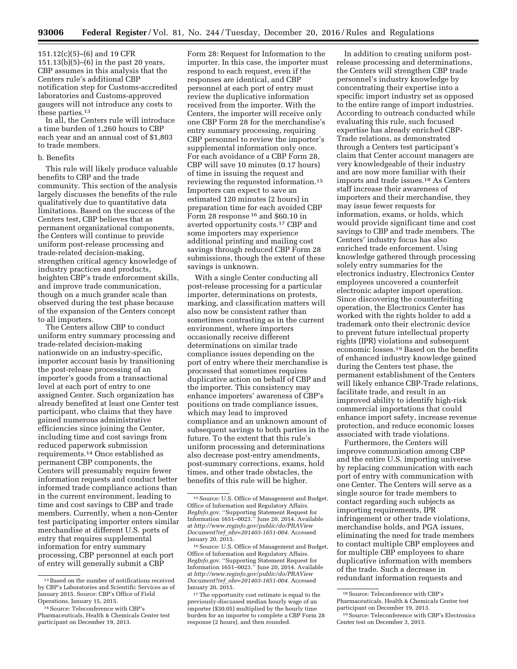151.12(c)(5)–(6) and 19 CFR 151.13(b)(5)–(6) in the past 20 years, CBP assumes in this analysis that the Centers rule's additional CBP notification step for Customs-accredited laboratories and Customs-approved gaugers will not introduce any costs to these parties.13

In all, the Centers rule will introduce a time burden of 1,260 hours to CBP each year and an annual cost of \$1,803 to trade members.

#### b. Benefits

This rule will likely produce valuable benefits to CBP and the trade community. This section of the analysis largely discusses the benefits of the rule qualitatively due to quantitative data limitations. Based on the success of the Centers test, CBP believes that as permanent organizational components, the Centers will continue to provide uniform post-release processing and trade-related decision-making, strengthen critical agency knowledge of industry practices and products, heighten CBP's trade enforcement skills, and improve trade communication, though on a much grander scale than observed during the test phase because of the expansion of the Centers concept to all importers.

The Centers allow CBP to conduct uniform entry summary processing and trade-related decision-making nationwide on an industry-specific, importer account basis by transitioning the post-release processing of an importer's goods from a transactional level at each port of entry to one assigned Center. Such organization has already benefited at least one Center test participant, who claims that they have gained numerous administrative efficiencies since joining the Center, including time and cost savings from reduced paperwork submission requirements.14 Once established as permanent CBP components, the Centers will presumably require fewer information requests and conduct better informed trade compliance actions than in the current environment, leading to time and cost savings to CBP and trade members. Currently, when a non-Center test participating importer enters similar merchandise at different U.S. ports of entry that requires supplemental information for entry summary processing, CBP personnel at each port of entry will generally submit a CBP

Form 28: Request for Information to the importer. In this case, the importer must respond to each request, even if the responses are identical, and CBP personnel at each port of entry must review the duplicative information received from the importer. With the Centers, the importer will receive only one CBP Form 28 for the merchandise's entry summary processing, requiring CBP personnel to review the importer's supplemental information only once. For each avoidance of a CBP Form 28, CBP will save 10 minutes (0.17 hours) of time in issuing the request and reviewing the requested information.15 Importers can expect to save an estimated 120 minutes (2 hours) in preparation time for each avoided CBP Form 28 response 16 and \$60.10 in averted opportunity costs.17 CBP and some importers may experience additional printing and mailing cost savings through reduced CBP Form 28 submissions, though the extent of these savings is unknown.

With a single Center conducting all post-release processing for a particular importer, determinations on protests, marking, and classification matters will also now be consistent rather than sometimes contrasting as in the current environment, where importers occasionally receive different determinations on similar trade compliance issues depending on the port of entry where their merchandise is processed that sometimes requires duplicative action on behalf of CBP and the importer. This consistency may enhance importers' awareness of CBP's positions on trade compliance issues, which may lead to improved compliance and an unknown amount of subsequent savings to both parties in the future. To the extent that this rule's uniform processing and determinations also decrease post-entry amendments, post-summary corrections, exams, hold times, and other trade obstacles, the benefits of this rule will be higher.

16Source: U.S. Office of Management and Budget, Office of Information and Regulatory Affairs. *RegInfo.gov.* ''Supporting Statement Request for Information 1651–0023.'' June 20, 2014. Available at *[http://www.reginfo.gov/public/do/PRAView](http://www.reginfo.gov/public/do/PRAViewDocument?ref_nbr=201403-1651-004) Document?ref*\_*[nbr=201403-1651-004.](http://www.reginfo.gov/public/do/PRAViewDocument?ref_nbr=201403-1651-004)* Accessed January 20, 2015.

<sup>17</sup>The opportunity cost estimate is equal to the previously-discussed median hourly wage of an importer (\$30.05) multiplied by the hourly time burden for an importer to complete a CBP Form 28 response (2 hours), and then rounded.

In addition to creating uniform postrelease processing and determinations, the Centers will strengthen CBP trade personnel's industry knowledge by concentrating their expertise into a specific import industry set as opposed to the entire range of import industries. According to outreach conducted while evaluating this rule, such focused expertise has already enriched CBP-Trade relations, as demonstrated through a Centers test participant's claim that Center account managers are very knowledgeable of their industry and are now more familiar with their imports and trade issues.18 As Centers staff increase their awareness of importers and their merchandise, they may issue fewer requests for information, exams, or holds, which would provide significant time and cost savings to CBP and trade members. The Centers' industry focus has also enriched trade enforcement. Using knowledge gathered through processing solely entry summaries for the electronics industry, Electronics Center employees uncovered a counterfeit electronic adapter import operation. Since discovering the counterfeiting operation, the Electronics Center has worked with the rights holder to add a trademark onto their electronic device to prevent future intellectual property rights (IPR) violations and subsequent economic losses.19 Based on the benefits of enhanced industry knowledge gained during the Centers test phase, the permanent establishment of the Centers will likely enhance CBP-Trade relations, facilitate trade, and result in an improved ability to identify high-risk commercial importations that could enhance import safety, increase revenue protection, and reduce economic losses associated with trade violations.

Furthermore, the Centers will improve communication among CBP and the entire U.S. importing universe by replacing communication with each port of entry with communication with one Center. The Centers will serve as a single source for trade members to contact regarding such subjects as importing requirements, IPR infringement or other trade violations, merchandise holds, and PGA issues, eliminating the need for trade members to contact multiple CBP employees and for multiple CBP employees to share duplicative information with members of the trade. Such a decrease in redundant information requests and

<sup>13</sup>Based on the number of notifications received by CBP's Laboratories and Scientific Services as of January 2015. Source: CBP's Office of Field Operations, January 15, 2015.

<sup>14</sup>Source: Teleconference with CBP's Pharmaceuticals, Health & Chemicals Center test participant on December 19, 2013.

<sup>15</sup>Source: U.S. Office of Management and Budget, Office of Information and Regulatory Affairs. *RegInfo.gov.* ''Supporting Statement Request for Information 1651–0023.'' June 20, 2014. Available at *[http://www.reginfo.gov/public/do/PRAView](http://www.reginfo.gov/public/do/PRAViewDocument?ref_nbr=201403-1651-004) Document?ref*\_*[nbr=201403-1651-004.](http://www.reginfo.gov/public/do/PRAViewDocument?ref_nbr=201403-1651-004)* Accessed January 20, 2015.

<sup>18</sup>Source: Teleconference with CBP's Pharmaceuticals, Health & Chemicals Center test participant on December 19, 2013.

<sup>19</sup>Source: Teleconference with CBP's Electronics Center test on December 3, 2013.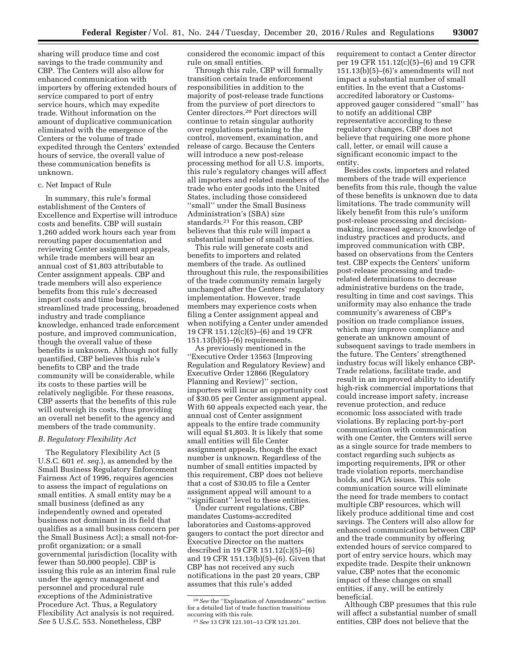sharing will produce time and cost savings to the trade community and CBP. The Centers will also allow for enhanced communication with importers by offering extended hours of service compared to port of entry service hours, which may expedite trade. Without information on the amount of duplicative communication eliminated with the emergence of the Centers or the volume of trade expedited through the Centers' extended hours of service, the overall value of these communication benefits is unknown.

## c. Net Impact of Rule

In summary, this rule's formal establishment of the Centers of Excellence and Expertise will introduce costs and benefits. CBP will sustain 1,260 added work hours each year from rerouting paper documentation and reviewing Center assignment appeals, while trade members will bear an annual cost of \$1,803 attributable to Center assignment appeals. CBP and trade members will also experience benefits from this rule's decreased import costs and time burdens, streamlined trade processing, broadened industry and trade compliance knowledge, enhanced trade enforcement posture, and improved communication, though the overall value of these benefits is unknown. Although not fully quantified, CBP believes this rule's benefits to CBP and the trade community will be considerable, while its costs to these parties will be relatively negligible. For these reasons, CBP asserts that the benefits of this rule will outweigh its costs, thus providing an overall net benefit to the agency and members of the trade community.

#### *B. Regulatory Flexibility Act*

The Regulatory Flexibility Act (5 U.S.C. 601 *et. seq.*), as amended by the Small Business Regulatory Enforcement Fairness Act of 1996, requires agencies to assess the impact of regulations on small entities. A small entity may be a small business (defined as any independently owned and operated business not dominant in its field that qualifies as a small business concern per the Small Business Act); a small not-forprofit organization; or a small governmental jurisdiction (locality with fewer than 50,000 people). CBP is issuing this rule as an interim final rule under the agency management and personnel and procedural rule exceptions of the Administrative Procedure Act. Thus, a Regulatory Flexibility Act analysis is not required. *See* 5 U.S.C. 553. Nonetheless, CBP

considered the economic impact of this rule on small entities.

Through this rule, CBP will formally transition certain trade enforcement responsibilities in addition to the majority of post-release trade functions from the purview of port directors to Center directors.20 Port directors will continue to retain singular authority over regulations pertaining to the control, movement, examination, and release of cargo. Because the Centers will introduce a new post-release processing method for all U.S. imports, this rule's regulatory changes will affect all importers and related members of the trade who enter goods into the United States, including those considered ''small'' under the Small Business Administration's (SBA) size standards.21 For this reason, CBP believes that this rule will impact a substantial number of small entities.

This rule will generate costs and benefits to importers and related members of the trade. As outlined throughout this rule, the responsibilities of the trade community remain largely unchanged after the Centers' regulatory implementation. However, trade members may experience costs when filing a Center assignment appeal and when notifying a Center under amended 19 CFR 151.12(c)(5)–(6) and 19 CFR 151.13(b)(5)–(6) requirements.

As previously mentioned in the ''Executive Order 13563 (Improving Regulation and Regulatory Review) and Executive Order 12866 (Regulatory Planning and Review)'' section, importers will incur an opportunity cost of \$30.05 per Center assignment appeal. With 60 appeals expected each year, the annual cost of Center assignment appeals to the entire trade community will equal \$1,803. It is likely that some small entities will file Center assignment appeals, though the exact number is unknown. Regardless of the number of small entities impacted by this requirement, CBP does not believe that a cost of \$30.05 to file a Center assignment appeal will amount to a "significant" level to these entities.

Under current regulations, CBP mandates Customs-accredited laboratories and Customs-approved gaugers to contact the port director and Executive Director on the matters described in 19 CFR 151.12(c)(5)–(6) and 19 CFR 151.13(b)(5)–(6). Given that CBP has not received any such notifications in the past 20 years, CBP assumes that this rule's added

requirement to contact a Center director per 19 CFR 151.12(c)(5)–(6) and 19 CFR  $151.13(b)(5)–(6)'s$  amendments will not impact a substantial number of small entities. In the event that a Customsaccredited laboratory or Customsapproved gauger considered ''small'' has to notify an additional CBP representative according to these regulatory changes, CBP does not believe that requiring one more phone call, letter, or email will cause a significant economic impact to the entity.

Besides costs, importers and related members of the trade will experience benefits from this rule, though the value of these benefits is unknown due to data limitations. The trade community will likely benefit from this rule's uniform post-release processing and decisionmaking, increased agency knowledge of industry practices and products, and improved communication with CBP, based on observations from the Centers test. CBP expects the Centers' uniform post-release processing and traderelated determinations to decrease administrative burdens on the trade, resulting in time and cost savings. This uniformity may also enhance the trade community's awareness of CBP's position on trade compliance issues, which may improve compliance and generate an unknown amount of subsequent savings to trade members in the future. The Centers' strengthened industry focus will likely enhance CBP-Trade relations, facilitate trade, and result in an improved ability to identify high-risk commercial importations that could increase import safety, increase revenue protection, and reduce economic loss associated with trade violations. By replacing port-by-port communication with communication with one Center, the Centers will serve as a single source for trade members to contact regarding such subjects as importing requirements, IPR or other trade violation reports, merchandise holds, and PGA issues. This sole communication source will eliminate the need for trade members to contact multiple CBP resources, which will likely produce additional time and cost savings. The Centers will also allow for enhanced communication between CBP and the trade community by offering extended hours of service compared to port of entry service hours, which may expedite trade. Despite their unknown value, CBP notes that the economic impact of these changes on small entities, if any, will be entirely beneficial.

Although CBP presumes that this rule will affect a substantial number of small entities, CBP does not believe that the

<sup>20</sup>*See* the ''Explanation of Amendments'' section for a detailed list of trade function transitions occurring with this rule.

<sup>21</sup>*See* 13 CFR 121.101–13 CFR 121.201.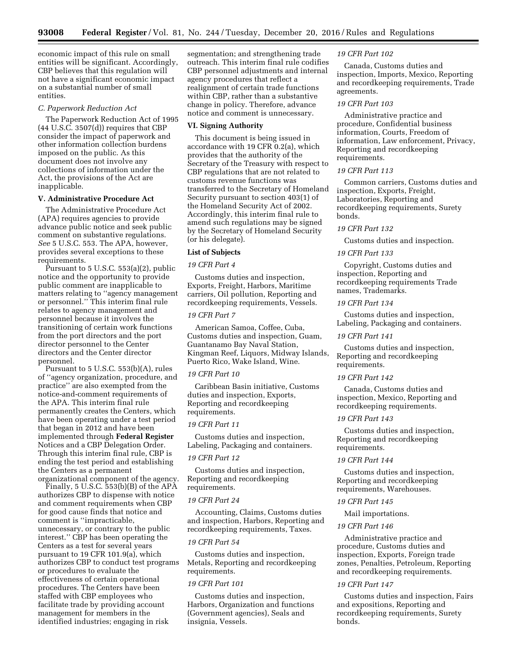economic impact of this rule on small entities will be significant. Accordingly, CBP believes that this regulation will not have a significant economic impact on a substantial number of small entities.

#### *C. Paperwork Reduction Act*

The Paperwork Reduction Act of 1995 (44 U.S.C. 3507(d)) requires that CBP consider the impact of paperwork and other information collection burdens imposed on the public. As this document does not involve any collections of information under the Act, the provisions of the Act are inapplicable.

## **V. Administrative Procedure Act**

The Administrative Procedure Act (APA) requires agencies to provide advance public notice and seek public comment on substantive regulations. *See* 5 U.S.C. 553. The APA, however, provides several exceptions to these requirements.

Pursuant to 5 U.S.C. 553(a)(2), public notice and the opportunity to provide public comment are inapplicable to matters relating to ''agency management or personnel.'' This interim final rule relates to agency management and personnel because it involves the transitioning of certain work functions from the port directors and the port director personnel to the Center directors and the Center director personnel.

Pursuant to 5 U.S.C. 553(b)(A), rules of ''agency organization, procedure, and practice'' are also exempted from the notice-and-comment requirements of the APA. This interim final rule permanently creates the Centers, which have been operating under a test period that began in 2012 and have been implemented through **Federal Register**  Notices and a CBP Delegation Order. Through this interim final rule, CBP is ending the test period and establishing the Centers as a permanent

organizational component of the agency. Finally, 5 U.S.C. 553(b)(B) of the APA authorizes CBP to dispense with notice and comment requirements when CBP for good cause finds that notice and comment is ''impracticable, unnecessary, or contrary to the public interest.'' CBP has been operating the Centers as a test for several years pursuant to 19 CFR 101.9(a), which authorizes CBP to conduct test programs or procedures to evaluate the effectiveness of certain operational procedures. The Centers have been staffed with CBP employees who facilitate trade by providing account management for members in the identified industries; engaging in risk

segmentation; and strengthening trade outreach. This interim final rule codifies CBP personnel adjustments and internal agency procedures that reflect a realignment of certain trade functions within CBP, rather than a substantive change in policy. Therefore, advance notice and comment is unnecessary.

#### **VI. Signing Authority**

This document is being issued in accordance with 19 CFR 0.2(a), which provides that the authority of the Secretary of the Treasury with respect to CBP regulations that are not related to customs revenue functions was transferred to the Secretary of Homeland Security pursuant to section 403(1) of the Homeland Security Act of 2002. Accordingly, this interim final rule to amend such regulations may be signed by the Secretary of Homeland Security (or his delegate).

#### **List of Subjects**

#### *19 CFR Part 4*

Customs duties and inspection, Exports, Freight, Harbors, Maritime carriers, Oil pollution, Reporting and recordkeeping requirements, Vessels.

## *19 CFR Part 7*

American Samoa, Coffee, Cuba, Customs duties and inspection, Guam, Guantanamo Bay Naval Station, Kingman Reef, Liquors, Midway Islands, Puerto Rico, Wake Island, Wine.

#### *19 CFR Part 10*

Caribbean Basin initiative, Customs duties and inspection, Exports, Reporting and recordkeeping requirements.

## *19 CFR Part 11*

Customs duties and inspection, Labeling, Packaging and containers.

## *19 CFR Part 12*

Customs duties and inspection, Reporting and recordkeeping requirements.

#### *19 CFR Part 24*

Accounting, Claims, Customs duties and inspection, Harbors, Reporting and recordkeeping requirements, Taxes.

#### *19 CFR Part 54*

Customs duties and inspection, Metals, Reporting and recordkeeping requirements.

## *19 CFR Part 101*

Customs duties and inspection, Harbors, Organization and functions (Government agencies), Seals and insignia, Vessels.

#### *19 CFR Part 102*

Canada, Customs duties and inspection, Imports, Mexico, Reporting and recordkeeping requirements, Trade agreements.

## *19 CFR Part 103*

Administrative practice and procedure, Confidential business information, Courts, Freedom of information, Law enforcement, Privacy, Reporting and recordkeeping requirements.

#### *19 CFR Part 113*

Common carriers, Customs duties and inspection, Exports, Freight, Laboratories, Reporting and recordkeeping requirements, Surety bonds.

## *19 CFR Part 132*

Customs duties and inspection.

#### *19 CFR Part 133*

Copyright, Customs duties and inspection, Reporting and recordkeeping requirements Trade names, Trademarks.

## *19 CFR Part 134*

Customs duties and inspection, Labeling, Packaging and containers.

#### *19 CFR Part 141*

Customs duties and inspection, Reporting and recordkeeping requirements.

#### *19 CFR Part 142*

Canada, Customs duties and inspection, Mexico, Reporting and recordkeeping requirements.

## *19 CFR Part 143*

Customs duties and inspection, Reporting and recordkeeping requirements.

#### *19 CFR Part 144*

Customs duties and inspection, Reporting and recordkeeping requirements, Warehouses.

## *19 CFR Part 145*

#### Mail importations.

## *19 CFR Part 146*

Administrative practice and procedure, Customs duties and inspection, Exports, Foreign trade zones, Penalties, Petroleum, Reporting and recordkeeping requirements.

## *19 CFR Part 147*

Customs duties and inspection, Fairs and expositions, Reporting and recordkeeping requirements, Surety bonds.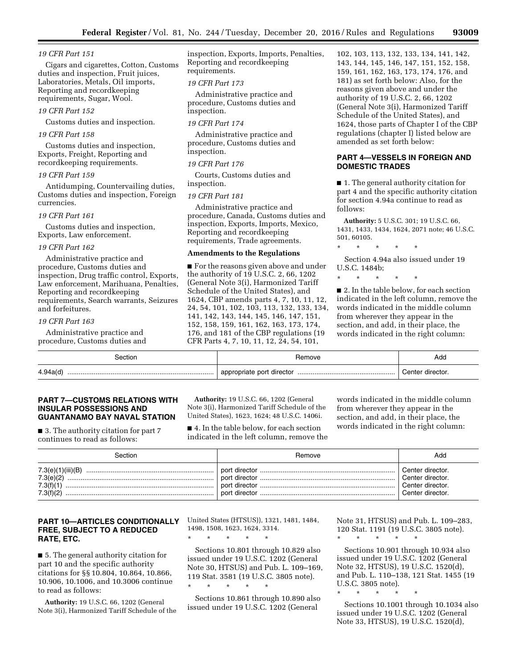## *19 CFR Part 151*

Cigars and cigarettes, Cotton, Customs duties and inspection, Fruit juices, Laboratories, Metals, Oil imports, Reporting and recordkeeping requirements, Sugar, Wool.

## *19 CFR Part 152*

Customs duties and inspection.

## *19 CFR Part 158*

Customs duties and inspection, Exports, Freight, Reporting and recordkeeping requirements.

#### *19 CFR Part 159*

Antidumping, Countervailing duties, Customs duties and inspection, Foreign currencies.

#### *19 CFR Part 161*

Customs duties and inspection, Exports, Law enforcement.

#### *19 CFR Part 162*

Administrative practice and procedure, Customs duties and inspection, Drug traffic control, Exports, Law enforcement, Marihuana, Penalties, Reporting and recordkeeping requirements, Search warrants, Seizures and forfeitures.

#### *19 CFR Part 163*

Administrative practice and procedure, Customs duties and inspection, Exports, Imports, Penalties, Reporting and recordkeeping requirements.

## *19 CFR Part 173*

Administrative practice and procedure, Customs duties and inspection.

#### *19 CFR Part 174*

Administrative practice and procedure, Customs duties and inspection.

#### *19 CFR Part 176*

Courts, Customs duties and inspection.

#### *19 CFR Part 181*

Administrative practice and procedure, Canada, Customs duties and inspection, Exports, Imports, Mexico, Reporting and recordkeeping requirements, Trade agreements.

#### **Amendments to the Regulations**

■ For the reasons given above and under the authority of 19 U.S.C. 2, 66, 1202 (General Note 3(i), Harmonized Tariff Schedule of the United States), and 1624, CBP amends parts 4, 7, 10, 11, 12, 24, 54, 101, 102, 103, 113, 132, 133, 134, 141, 142, 143, 144, 145, 146, 147, 151, 152, 158, 159, 161, 162, 163, 173, 174, 176, and 181 of the CBP regulations (19 CFR Parts 4, 7, 10, 11, 12, 24, 54, 101,

102, 103, 113, 132, 133, 134, 141, 142, 143, 144, 145, 146, 147, 151, 152, 158, 159, 161, 162, 163, 173, 174, 176, and 181) as set forth below: Also, for the reasons given above and under the authority of 19 U.S.C. 2, 66, 1202 (General Note 3(i), Harmonized Tariff Schedule of the United States), and 1624, those parts of Chapter I of the CBP regulations (chapter I) listed below are amended as set forth below:

## **PART 4—VESSELS IN FOREIGN AND DOMESTIC TRADES**

■ 1. The general authority citation for part 4 and the specific authority citation for section 4.94a continue to read as follows:

**Authority:** 5 U.S.C. 301; 19 U.S.C. 66, 1431, 1433, 1434, 1624, 2071 note; 46 U.S.C. 501, 60105.

## \* \* \* \* \*

Section 4.94a also issued under 19 U.S.C. 1484b;

\* \* \* \* \*

■ 2. In the table below, for each section indicated in the left column, remove the words indicated in the middle column from wherever they appear in the section, and add, in their place, the words indicated in the right column:

| section  | Remove | Add              |
|----------|--------|------------------|
| 4.94a(d) |        | Center director. |

## **PART 7—CUSTOMS RELATIONS WITH INSULAR POSSESSIONS AND GUANTANAMO BAY NAVAL STATION**

■ 3. The authority citation for part 7 continues to read as follows:

**Authority:** 19 U.S.C. 66, 1202 (General Note 3(i), Harmonized Tariff Schedule of the United States), 1623, 1624; 48 U.S.C. 1406i.

■ 4. In the table below, for each section indicated in the left column, remove the

words indicated in the middle column from wherever they appear in the section, and add, in their place, the words indicated in the right column:

| Section                             | Remove | Add                                                                          |
|-------------------------------------|--------|------------------------------------------------------------------------------|
| 7.3(e)(2)<br>7.3(f)(1)<br>7.3(f)(2) |        | Center director.<br>Center director.<br>Center director.<br>Center director. |

## **PART 10—ARTICLES CONDITIONALLY FREE, SUBJECT TO A REDUCED RATE, ETC.**

■ 5. The general authority citation for part 10 and the specific authority citations for §§ 10.804, 10.864, 10.866, 10.906, 10.1006, and 10.3006 continue to read as follows:

**Authority:** 19 U.S.C. 66, 1202 (General Note 3(i), Harmonized Tariff Schedule of the United States (HTSUS)), 1321, 1481, 1484, 1498, 1508, 1623, 1624, 3314.

\* \* \* \* \*

Sections 10.801 through 10.829 also issued under 19 U.S.C. 1202 (General Note 30, HTSUS) and Pub. L. 109–169, 119 Stat. 3581 (19 U.S.C. 3805 note). \* \* \* \* \*

Sections 10.861 through 10.890 also issued under 19 U.S.C. 1202 (General

Note 31, HTSUS) and Pub. L. 109–283, 120 Stat. 1191 (19 U.S.C. 3805 note).

\* \* \* \* \*

\* \* \* \* \*

Sections 10.901 through 10.934 also issued under 19 U.S.C. 1202 (General Note 32, HTSUS), 19 U.S.C. 1520(d), and Pub. L. 110–138, 121 Stat. 1455 (19 U.S.C. 3805 note).

Sections 10.1001 through 10.1034 also issued under 19 U.S.C. 1202 (General Note 33, HTSUS), 19 U.S.C. 1520(d),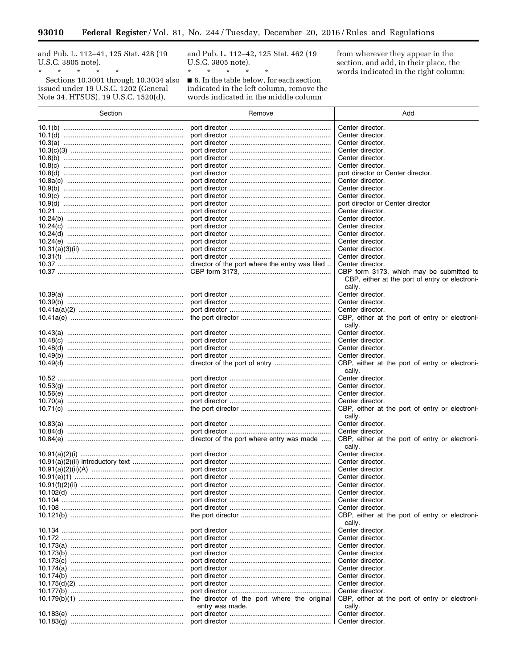and Pub. L. 112-41, 125 Stat. 428 (19 U.S.C. 3805 note).

 $\equiv$ 

Sections 10.3001 through 10.3034 also<br>issued under 19 U.S.C. 1202 (General<br>Note 34, HTSUS), 19 U.S.C. 1520(d),

and Pub. L. 112-42, 125 Stat. 462 (19 U.S.C. 3805 note).

 $\blacksquare$  6. In the table below, for each section indicated in the left column, remove the words indicated in the middle column

from wherever they appear in the section, and add, in their place, the words indicated in the right column:

| Section         | Remove                                         | Add                                                                |
|-----------------|------------------------------------------------|--------------------------------------------------------------------|
|                 |                                                | Center director.                                                   |
|                 |                                                | Center director.                                                   |
|                 |                                                | Center director.                                                   |
|                 |                                                | Center director.                                                   |
|                 |                                                | Center director.                                                   |
|                 |                                                | Center director.                                                   |
|                 |                                                | port director or Center director.                                  |
|                 |                                                | Center director.<br>Center director.                               |
|                 |                                                | Center director.                                                   |
|                 |                                                | port director or Center director                                   |
|                 |                                                | Center director.                                                   |
|                 |                                                | Center director.                                                   |
|                 |                                                | Center director.                                                   |
|                 |                                                | Center director.                                                   |
|                 |                                                | Center director.                                                   |
|                 |                                                | Center director.<br>Center director.                               |
|                 | director of the port where the entry was filed | Center director.                                                   |
|                 |                                                | CBP form 3173, which may be submitted to                           |
|                 |                                                | CBP, either at the port of entry or electroni-<br>cally.           |
|                 |                                                | Center director.                                                   |
|                 |                                                | Center director.                                                   |
|                 |                                                | Center director.                                                   |
|                 |                                                | CBP, either at the port of entry or electroni-<br>cally.           |
|                 |                                                | Center director.<br>Center director.                               |
|                 |                                                | Center director.                                                   |
|                 |                                                | Center director.                                                   |
|                 |                                                | CBP, either at the port of entry or electroni-<br>cally.           |
|                 |                                                | Center director.                                                   |
|                 |                                                | Center director.                                                   |
|                 |                                                | Center director.                                                   |
|                 |                                                | Center director.<br>CBP, either at the port of entry or electroni- |
|                 |                                                | cally.<br>Center director.                                         |
|                 |                                                | Center director.                                                   |
|                 | director of the port where entry was made      | CBP, either at the port of entry or electroni-<br>cally.           |
|                 |                                                | Center director.                                                   |
|                 |                                                | Center director.                                                   |
|                 |                                                | Center director.                                                   |
|                 |                                                | Center director.                                                   |
| 10.91(f)(2)(ii) |                                                | Center director.                                                   |
|                 |                                                | Center director.<br>Center director.                               |
|                 |                                                | Center director.                                                   |
|                 |                                                | CBP, either at the port of entry or electroni-<br>cally.           |
|                 |                                                | Center director.                                                   |
|                 |                                                | Center director.                                                   |
|                 |                                                | Center director.                                                   |
|                 |                                                | Center director.                                                   |
|                 |                                                | Center director.                                                   |
|                 |                                                | Center director.                                                   |
|                 |                                                | Center director.                                                   |
|                 |                                                | Center director.<br>Center director.                               |
|                 | the director of the port where the original    | CBP, either at the port of entry or electroni-                     |
|                 | entry was made.                                | cally.                                                             |
|                 |                                                | Center director.<br>Center director.                               |
|                 |                                                |                                                                    |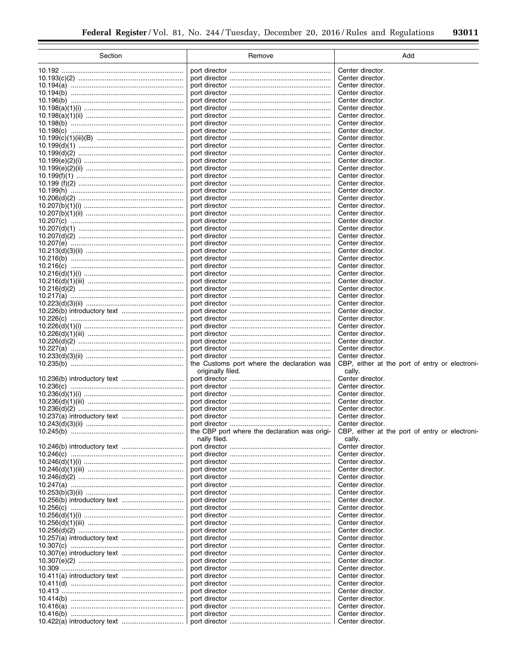| Section | Remove                                        | Add                                            |
|---------|-----------------------------------------------|------------------------------------------------|
|         |                                               | Center director.                               |
|         |                                               | Center director.                               |
|         |                                               | Center director.                               |
|         |                                               | Center director.                               |
|         |                                               | Center director.                               |
|         |                                               | Center director.<br>Center director.           |
|         |                                               | Center director.                               |
|         |                                               | Center director.                               |
|         |                                               | Center director.                               |
|         |                                               | Center director.                               |
|         |                                               | Center director.                               |
|         |                                               | Center director.<br>Center director.           |
|         |                                               | Center director.                               |
|         |                                               | Center director.                               |
|         |                                               | Center director.                               |
|         |                                               | Center director.                               |
|         |                                               | Center director.                               |
|         |                                               | Center director.<br>Center director.           |
|         |                                               | Center director.                               |
|         |                                               | Center director.                               |
|         |                                               | Center director.                               |
|         |                                               | Center director.                               |
|         |                                               | Center director.                               |
|         |                                               | Center director.                               |
|         |                                               | Center director.<br>Center director.           |
|         |                                               | Center director.                               |
|         |                                               | Center director.                               |
|         |                                               | Center director.                               |
|         |                                               | Center director.                               |
|         |                                               | Center director.                               |
|         |                                               | Center director.<br>Center director.           |
|         |                                               | Center director.                               |
|         |                                               | Center director.                               |
|         |                                               | Center director.                               |
|         | the Customs port where the declaration was    | CBP, either at the port of entry or electroni- |
|         | originally filed.                             | cally.                                         |
|         |                                               | Center director.<br>Center director.           |
|         |                                               | Center director.                               |
|         |                                               | Center director.                               |
|         |                                               | Center director.                               |
|         |                                               | Center director.                               |
|         |                                               | Center director.                               |
|         | the CBP port where the declaration was origi- | CBP, either at the port of entry or electroni- |
|         | nally filed.                                  | cally.<br>Center director.                     |
|         |                                               | Center director.                               |
|         |                                               | Center director.                               |
|         |                                               | Center director.                               |
|         |                                               | Center director.                               |
|         |                                               | Center director.                               |
|         |                                               | Center director.<br>Center director.           |
|         |                                               | Center director.                               |
|         |                                               | Center director.                               |
|         |                                               | Center director.                               |
|         |                                               | Center director.                               |
|         |                                               | Center director.                               |
|         |                                               | Center director.                               |
|         |                                               | Center director.<br>Center director.           |
|         |                                               | Center director.                               |
|         |                                               | Center director.                               |
|         |                                               | Center director.                               |
|         |                                               | Center director.                               |
|         |                                               | Center director.                               |
|         |                                               | Center director.                               |
|         |                                               | Center director.                               |
|         |                                               | Center director.                               |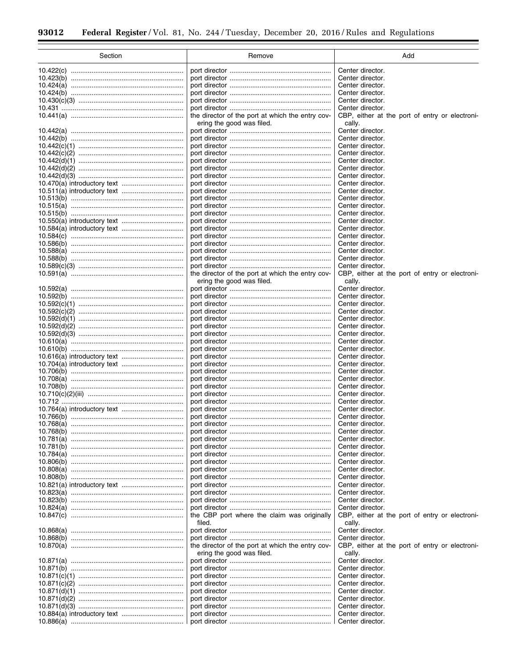÷.

 $\equiv$ 

| Section | Remove                                           | Add                                            |
|---------|--------------------------------------------------|------------------------------------------------|
|         |                                                  | Center director.                               |
|         |                                                  | Center director.                               |
|         |                                                  | Center director.                               |
|         |                                                  | Center director.                               |
|         |                                                  | Center director.                               |
|         |                                                  | Center director.                               |
|         | the director of the port at which the entry cov- | CBP, either at the port of entry or electroni- |
|         | ering the good was filed.                        | cally.                                         |
|         |                                                  | Center director.                               |
|         |                                                  | Center director.                               |
|         |                                                  | Center director.                               |
|         |                                                  | Center director.                               |
|         |                                                  | Center director.                               |
|         |                                                  | Center director.                               |
|         |                                                  | Center director.                               |
|         |                                                  | Center director.                               |
|         |                                                  | Center director.                               |
|         |                                                  | Center director.                               |
|         |                                                  | Center director.                               |
|         |                                                  | Center director.                               |
|         |                                                  | Center director.                               |
|         |                                                  | Center director.                               |
|         |                                                  | Center director.                               |
|         |                                                  | Center director.                               |
|         |                                                  | Center director.                               |
|         |                                                  | Center director.                               |
|         |                                                  | Center director.                               |
|         | the director of the port at which the entry cov- | CBP, either at the port of entry or electroni- |
|         | ering the good was filed.                        | cally.                                         |
|         |                                                  | Center director.                               |
|         |                                                  | Center director.                               |
|         |                                                  | Center director.                               |
|         |                                                  | Center director.                               |
|         |                                                  | Center director.                               |
|         |                                                  | Center director.                               |
|         |                                                  | Center director.                               |
|         |                                                  | Center director.                               |
|         |                                                  | Center director.                               |
|         |                                                  | Center director.                               |
|         |                                                  | Center director.                               |
|         |                                                  | Center director.                               |
|         |                                                  | Center director.                               |
|         |                                                  | Center director.<br>Center director.           |
|         |                                                  | Center director.                               |
|         |                                                  | Center director.                               |
|         |                                                  | Center director.                               |
|         |                                                  | Center director.                               |
|         |                                                  | Center director.                               |
|         |                                                  | Center director.                               |
|         |                                                  | Center director.                               |
|         |                                                  | Center director.                               |
|         |                                                  | Center director.                               |
|         |                                                  | Center director.                               |
|         |                                                  | Center director.                               |
|         |                                                  | Center director.                               |
|         |                                                  | Center director.                               |
|         |                                                  | Center director.                               |
|         |                                                  | Center director.                               |
|         | the CBP port where the claim was originally      | CBP, either at the port of entry or electroni- |
|         | filed.                                           | cally.                                         |
|         |                                                  | Center director.                               |
|         |                                                  | Center director.                               |
|         | the director of the port at which the entry cov- | CBP, either at the port of entry or electroni- |
|         | ering the good was filed.                        | cally.                                         |
|         |                                                  | Center director.                               |
|         |                                                  | Center director.                               |
|         |                                                  | Center director.                               |
|         |                                                  | Center director.                               |
|         |                                                  | Center director.                               |
|         |                                                  | Center director.                               |
|         |                                                  | Center director.                               |
|         |                                                  | Center director.                               |
|         |                                                  | Center director.                               |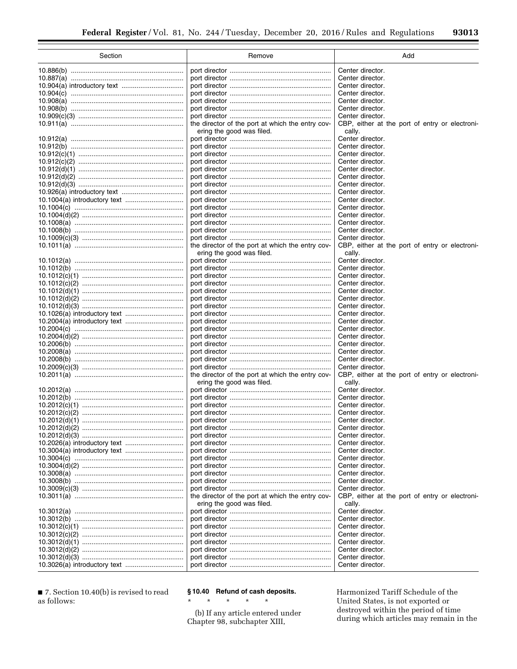| Section | Remove                                           | Add                                            |
|---------|--------------------------------------------------|------------------------------------------------|
|         |                                                  | Center director.                               |
|         |                                                  | Center director.                               |
|         |                                                  | Center director.                               |
|         |                                                  | Center director.                               |
|         |                                                  | Center director.                               |
|         |                                                  | Center director.                               |
|         |                                                  | Center director.                               |
|         | the director of the port at which the entry cov- | CBP, either at the port of entry or electroni- |
|         | ering the good was filed.                        | cally.                                         |
|         |                                                  | Center director.                               |
|         |                                                  | Center director.<br>Center director.           |
|         |                                                  | Center director.                               |
|         |                                                  | Center director.                               |
|         |                                                  | Center director.                               |
|         |                                                  | Center director.                               |
|         |                                                  | Center director.                               |
|         |                                                  | Center director.                               |
|         |                                                  | Center director.                               |
|         |                                                  | Center director.                               |
|         |                                                  | Center director.                               |
|         |                                                  | Center director.                               |
|         |                                                  | Center director.                               |
|         | the director of the port at which the entry cov- | CBP, either at the port of entry or electroni- |
|         | ering the good was filed.                        | cally.                                         |
|         |                                                  | Center director.                               |
|         |                                                  | Center director.                               |
|         |                                                  | Center director.                               |
|         |                                                  | Center director.                               |
|         |                                                  | Center director.<br>Center director.           |
|         |                                                  | Center director.                               |
|         |                                                  | Center director.                               |
|         |                                                  | Center director.                               |
|         |                                                  | Center director.                               |
|         |                                                  | Center director.                               |
|         |                                                  | Center director.                               |
|         |                                                  | Center director.                               |
|         |                                                  | Center director.                               |
|         |                                                  | Center director.                               |
|         | the director of the port at which the entry cov- | CBP, either at the port of entry or electroni- |
|         | ering the good was filed.                        | cally.                                         |
|         |                                                  | Center director.                               |
|         |                                                  | Center director.                               |
|         |                                                  | Center director.<br>Center director.           |
|         |                                                  | Center director.                               |
|         |                                                  | Center director.                               |
|         |                                                  | Center director.                               |
|         |                                                  | Center director.                               |
|         |                                                  | Center director.                               |
|         |                                                  | Center director.                               |
|         |                                                  | Center director.                               |
|         |                                                  | Center director.                               |
|         |                                                  | Center director.                               |
|         |                                                  | Center director.                               |
|         | the director of the port at which the entry cov- | CBP, either at the port of entry or electroni- |
|         | ering the good was filed.                        | cally.                                         |
|         |                                                  | Center director.                               |
|         |                                                  | Center director.                               |
|         |                                                  | Center director.                               |
|         |                                                  | Center director.                               |
|         |                                                  | Center director.                               |
|         |                                                  | Center director.<br>Center director.           |
|         |                                                  | Center director.                               |
|         |                                                  |                                                |

■ 7. Section 10.40(b) is revised to read as follows:

## **§ 10.40 Refund of cash deposits.**

\* \* \* \* \*

(b) If any article entered under Chapter 98, subchapter XIII,

Harmonized Tariff Schedule of the United States, is not exported or destroyed within the period of time during which articles may remain in the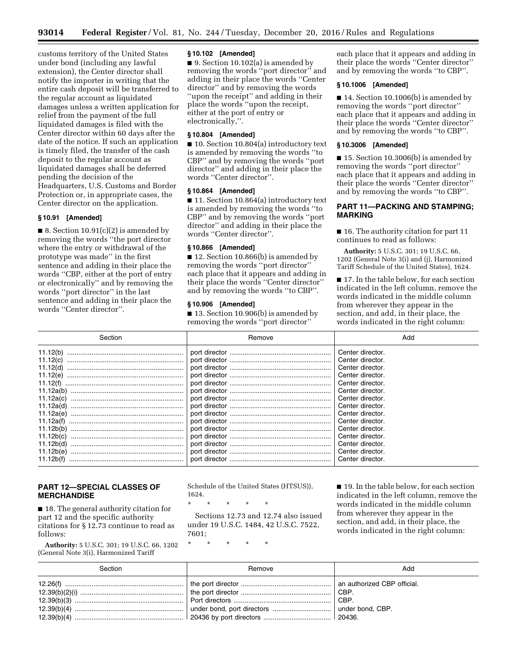customs territory of the United States under bond (including any lawful extension), the Center director shall notify the importer in writing that the entire cash deposit will be transferred to the regular account as liquidated damages unless a written application for relief from the payment of the full liquidated damages is filed with the Center director within 60 days after the date of the notice. If such an application is timely filed, the transfer of the cash deposit to the regular account as liquidated damages shall be deferred pending the decision of the Headquarters, U.S. Customs and Border Protection or, in appropriate cases, the Center director on the application.

## **§ 10.91 [Amended]**

■ 8. Section  $10.91(c)(2)$  is amended by removing the words ''the port director where the entry or withdrawal of the prototype was made'' in the first sentence and adding in their place the words ''CBP, either at the port of entry or electronically'' and by removing the words ''port director'' in the last sentence and adding in their place the words ''Center director''.

#### **§ 10.102 [Amended]**

■ 9. Section 10.102(a) is amended by removing the words "port director" and adding in their place the words ''Center director'' and by removing the words ''upon the receipt'' and adding in their place the words ''upon the receipt, either at the port of entry or electronically,''.

## **§ 10.804 [Amended]**

■ 10. Section 10.804(a) introductory text is amended by removing the words ''to CBP'' and by removing the words ''port director'' and adding in their place the words ''Center director''.

#### **§ 10.864 [Amended]**

■ 11. Section 10.864(a) introductory text is amended by removing the words ''to CBP'' and by removing the words ''port director'' and adding in their place the words ''Center director''.

#### **§ 10.866 [Amended]**

■ 12. Section 10.866(b) is amended by removing the words ''port director'' each place that it appears and adding in their place the words ''Center director'' and by removing the words ''to CBP''.

#### **§ 10.906 [Amended]**

■ 13. Section 10.906(b) is amended by removing the words ''port director''

each place that it appears and adding in their place the words ''Center director'' and by removing the words ''to CBP''.

## **§ 10.1006 [Amended]**

■ 14. Section 10.1006(b) is amended by removing the words ''port director'' each place that it appears and adding in their place the words ''Center director'' and by removing the words ''to CBP''.

#### **§ 10.3006 [Amended]**

■ 15. Section 10.3006(b) is amended by removing the words ''port director'' each place that it appears and adding in their place the words ''Center director'' and by removing the words ''to CBP''.

## **PART 11—PACKING AND STAMPING; MARKING**

■ 16. The authority citation for part 11 continues to read as follows:

**Authority:** 5 U.S.C. 301; 19 U.S.C. 66, 1202 (General Note 3(i) and (j), Harmonized Tariff Schedule of the United States), 1624.

■ 17. In the table below, for each section indicated in the left column, remove the words indicated in the middle column from wherever they appear in the section, and add, in their place, the words indicated in the right column:

| Section                                                                                                                                                                                                              | Remove        | Add                                                                                                                                                                                                                                                                                                      |
|----------------------------------------------------------------------------------------------------------------------------------------------------------------------------------------------------------------------|---------------|----------------------------------------------------------------------------------------------------------------------------------------------------------------------------------------------------------------------------------------------------------------------------------------------------------|
| 11.12(b)<br>11.12(c)<br>11.12(d)<br>11.12(e)<br>11.12(f)<br>11.12a(b)<br>11.12a(c)<br>11.12a(d)<br>11.12a(e)<br>11.12a(f)<br>11.12b(b)<br>11.12b(c)<br>11.12 <sub>b</sub> (d)<br>11.12b(e)<br>11.12 <sub>b</sub> (f) | port director | Center director.<br>Center director.<br>Center director.<br>Center director.<br>Center director.<br>Center director.<br>Center director.<br>Center director.<br>Center director.<br>Center director.<br>Center director.<br>Center director.<br>Center director.<br>Center director.<br>Center director. |

## **PART 12—SPECIAL CLASSES OF MERCHANDISE**

■ 18. The general authority citation for part 12 and the specific authority citations for § 12.73 continue to read as follows:

**Authority:** 5 U.S.C. 301; 19 U.S.C. 66, 1202 (General Note 3(i), Harmonized Tariff

Schedule of the United States (HTSUS)), 1624.

\* \* \* \* \*

Sections 12.73 and 12.74 also issued under 19 U.S.C. 1484, 42 U.S.C. 7522, 7601;

\* \* \* \* \*

■ 19. In the table below, for each section indicated in the left column, remove the words indicated in the middle column from wherever they appear in the section, and add, in their place, the words indicated in the right column:

| Section | Remove | Add    |
|---------|--------|--------|
|         |        | ∣ CBP. |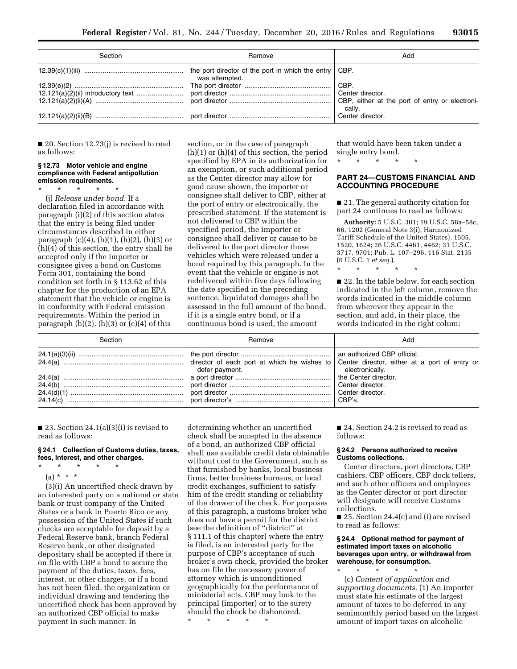| Section | Remove                                                                  | Add                                                      |
|---------|-------------------------------------------------------------------------|----------------------------------------------------------|
|         | the port director of the port in which the entry CBP.<br>was attempted. |                                                          |
|         |                                                                         |                                                          |
|         |                                                                         |                                                          |
|         |                                                                         | CBP, either at the port of entry or electroni-<br>cally. |
|         |                                                                         | Center director.                                         |

■ 20. Section 12.73(j) is revised to read as follows:

#### **§ 12.73 Motor vehicle and engine compliance with Federal antipollution emission requirements.**

\* \* \* \* \* (j) *Release under bond.* If a declaration filed in accordance with paragraph (i)(2) of this section states that the entry is being filed under circumstances described in either paragraph  $(c)(4)$ ,  $(h)(1)$ ,  $(h)(2)$ ,  $(h)(3)$  or (h)(4) of this section, the entry shall be accepted only if the importer or consignee gives a bond on Customs Form 301, containing the bond condition set forth in § 113.62 of this chapter for the production of an EPA statement that the vehicle or engine is in conformity with Federal emission requirements. Within the period in paragraph  $(h)(2)$ ,  $(h)(3)$  or  $(c)(4)$  of this

section, or in the case of paragraph (h)(1) or (h)(4) of this section, the period specified by EPA in its authorization for an exemption, or such additional period as the Center director may allow for good cause shown, the importer or consignee shall deliver to CBP, either at the port of entry or electronically, the prescribed statement. If the statement is not delivered to CBP within the specified period, the importer or consignee shall deliver or cause to be delivered to the port director those vehicles which were released under a bond required by this paragraph. In the event that the vehicle or engine is not redelivered within five days following the date specified in the preceding sentence, liquidated damages shall be assessed in the full amount of the bond, if it is a single entry bond, or if a continuous bond is used, the amount

that would have been taken under a single entry bond.

\* \* \* \* \*

## **PART 24—CUSTOMS FINANCIAL AND ACCOUNTING PROCEDURE**

■ 21. The general authority citation for part 24 continues to read as follows:

**Authority:** 5 U.S.C. 301; 19 U.S.C. 58a–58c, 66, 1202 (General Note 3(i), Harmonized Tariff Schedule of the United States), 1505, 1520, 1624; 26 U.S.C. 4461, 4462; 31 U.S.C. 3717, 9701; Pub. L. 107–296, 116 Stat. 2135 (6 U.S.C. 1 *et seq.*).

\* \* \* \* \* ■ 22. In the table below, for each section

indicated in the left column, remove the words indicated in the middle column from wherever they appear in the section, and add, in their place, the words indicated in the right colum:

| Section | Remove         | Add             |
|---------|----------------|-----------------|
|         | defer payment. | electronically. |

 $\blacksquare$  23. Section 24.1(a)(3)(i) is revised to read as follows:

#### **§ 24.1 Collection of Customs duties, taxes, fees, interest, and other charges.**

- \* \* \* \* \*
- (a) \* \* \*

(3)(i) An uncertified check drawn by an interested party on a national or state bank or trust company of the United States or a bank in Puerto Rico or any possession of the United States if such checks are acceptable for deposit by a Federal Reserve bank, branch Federal Reserve bank, or other designated depositary shall be accepted if there is on file with CBP a bond to secure the payment of the duties, taxes, fees, interest, or other charges, or if a bond has not been filed, the organization or individual drawing and tendering the uncertified check has been approved by an authorized CBP official to make payment in such manner. In

determining whether an uncertified check shall be accepted in the absence of a bond, an authorized CBP official shall use available credit data obtainable without cost to the Government, such as that furnished by banks, local business firms, better business bureaus, or local credit exchanges, sufficient to satisfy him of the credit standing or reliability of the drawer of the check. For purposes of this paragraph, a customs broker who does not have a permit for the district (see the definition of ''district'' at § 111.1 of this chapter) where the entry is filed, is an interested party for the purpose of CBP's acceptance of such broker's own check, provided the broker has on file the necessary power of attorney which is unconditioned geographically for the performance of ministerial acts. CBP may look to the principal (importer) or to the surety should the check be dishonored. \* \* \* \* \*

■ 24. Section 24.2 is revised to read as follows:

#### **§ 24.2 Persons authorized to receive Customs collections.**

Center directors, port directors, CBP cashiers, CBP officers, CBP dock tellers, and such other officers and employees as the Center director or port director will designate will receive Customs collections.

■ 25. Section 24.4(c) and (i) are revised to read as follows:

## **§ 24.4 Optional method for payment of estimated import taxes on alcoholic beverages upon entry, or withdrawal from warehouse, for consumption.**

\* \* \* \* \* (c) *Content of application and supporting documents.* (1) An importer must state his estimate of the largest amount of taxes to be deferred in any semimonthly period based on the largest amount of import taxes on alcoholic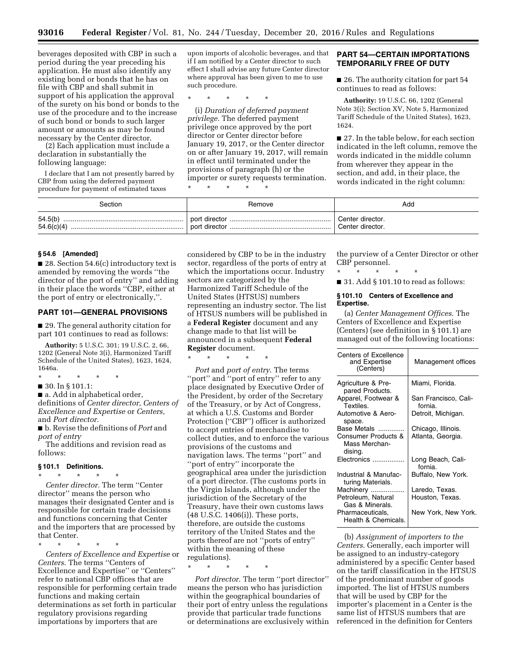beverages deposited with CBP in such a period during the year preceding his application. He must also identify any existing bond or bonds that he has on file with CBP and shall submit in support of his application the approval of the surety on his bond or bonds to the use of the procedure and to the increase of such bond or bonds to such larger amount or amounts as may be found necessary by the Center director.

(2) Each application must include a declaration in substantially the following language:

I declare that I am not presently barred by CBP from using the deferred payment procedure for payment of estimated taxes

upon imports of alcoholic beverages, and that if I am notified by a Center director to such effect I shall advise any future Center director where approval has been given to me to use such procedure.

\* \* \* \* \*

(i) *Duration of deferred payment privilege.* The deferred payment privilege once approved by the port director or Center director before January 19, 2017, or the Center director on or after January 19, 2017, will remain in effect until terminated under the provisions of paragraph (h) or the importer or surety requests termination. \* \* \* \* \*

**PART 54—CERTAIN IMPORTATIONS TEMPORARILY FREE OF DUTY** 

■ 26. The authority citation for part 54 continues to read as follows:

**Authority:** 19 U.S.C. 66, 1202 (General Note 3(i); Section XV, Note 5, Harmonized Tariff Schedule of the United States), 1623, 1624.

■ 27. In the table below, for each section indicated in the left column, remove the words indicated in the middle column from wherever they appear in the section, and add, in their place, the words indicated in the right column:

| Section | Remove        | Add                                               |
|---------|---------------|---------------------------------------------------|
| 54.5(b) | port director | Center director.<br><sup>'</sup> Center director. |

#### **§ 54.6 [Amended]**

■ 28. Section 54.6(c) introductory text is amended by removing the words ''the director of the port of entry'' and adding in their place the words ''CBP, either at the port of entry or electronically,''.

#### **PART 101—GENERAL PROVISIONS**

■ 29. The general authority citation for part 101 continues to read as follows:

**Authority:** 5 U.S.C. 301; 19 U.S.C. 2, 66, 1202 (General Note 3(i), Harmonized Tariff Schedule of the United States), 1623, 1624, 1646a.

- \* \* \* \* \*
- 30. In § 101.1:

■ a. Add in alphabetical order, definitions of *Center director, Centers of Excellence and Expertise* or *Centers,*  and *Port director*.

■ b. Revise the definitions of *Port* and *port of entry* 

The additions and revision read as follows:

## **§ 101.1 Definitions.**

\* \* \* \* \* *Center director.* The term ''Center director'' means the person who manages their designated Center and is responsible for certain trade decisions and functions concerning that Center and the importers that are processed by that Center.

\* \* \* \* \* *Centers of Excellence and Expertise* or *Centers*. The terms ''Centers of Excellence and Expertise'' or ''Centers'' refer to national CBP offices that are responsible for performing certain trade functions and making certain determinations as set forth in particular regulatory provisions regarding importations by importers that are

considered by CBP to be in the industry sector, regardless of the ports of entry at which the importations occur. Industry sectors are categorized by the Harmonized Tariff Schedule of the United States (HTSUS) numbers representing an industry sector. The list of HTSUS numbers will be published in a **Federal Register** document and any change made to that list will be announced in a subsequent **Federal Register** document.

\* \* \* \* \*

*Port* and *port of entry*. The terms "port" and "port of entry" refer to any place designated by Executive Order of the President, by order of the Secretary of the Treasury, or by Act of Congress, at which a U.S. Customs and Border Protection (''CBP'') officer is authorized to accept entries of merchandise to collect duties, and to enforce the various provisions of the customs and navigation laws. The terms ''port'' and ''port of entry'' incorporate the geographical area under the jurisdiction of a port director. (The customs ports in the Virgin Islands, although under the jurisdiction of the Secretary of the Treasury, have their own customs laws (48 U.S.C. 1406(i)). These ports, therefore, are outside the customs territory of the United States and the ports thereof are not ''ports of entry'' within the meaning of these regulations).

\* \* \* \* \*

*Port director*. The term ''port director'' means the person who has jurisdiction within the geographical boundaries of their port of entry unless the regulations provide that particular trade functions or determinations are exclusively within

the purview of a Center Director or other CBP personnel.

\* \* \* \* \*

■ 31. Add § 101.10 to read as follows:

#### **§ 101.10 Centers of Excellence and Expertise.**

(a) *Center Management Offices*. The Centers of Excellence and Expertise (Centers) (see definition in § 101.1) are managed out of the following locations:

| Centers of Excellence<br>and Expertise<br>(Centers) | Management offices              |
|-----------------------------------------------------|---------------------------------|
| Agriculture & Pre-<br>pared Products.               | Miami, Florida.                 |
| Apparel, Footwear &<br>Textiles.                    | San Francisco, Cali-<br>fornia. |
| Automotive & Aero-<br>space.                        | Detroit, Michigan.              |
| Base Metals                                         | Chicago, Illinois.              |
| Consumer Products &<br>Mass Merchan-<br>dising.     | Atlanta, Georgia.               |
| Electronics                                         | Long Beach, Cali-<br>fornia.    |
| Industrial & Manufac-<br>turing Materials.          | Buffalo, New York.              |
| Machinery                                           | Laredo, Texas.                  |
| Petroleum, Natural<br>Gas & Minerals.               | Houston, Texas.                 |
| Pharmaceuticals,<br>Health & Chemicals.             | New York, New York.             |

(b) *Assignment of importers to the Centers*. Generally, each importer will be assigned to an industry-category administered by a specific Center based on the tariff classification in the HTSUS of the predominant number of goods imported. The list of HTSUS numbers that will be used by CBP for the importer's placement in a Center is the same list of HTSUS numbers that are referenced in the definition for Centers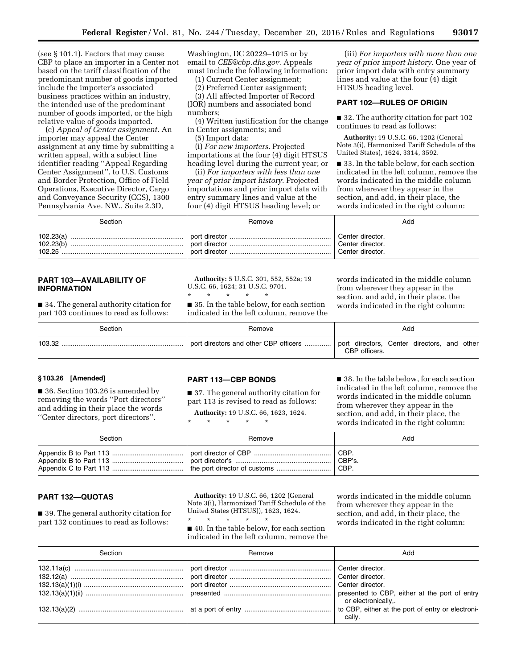(see § 101.1). Factors that may cause CBP to place an importer in a Center not based on the tariff classification of the predominant number of goods imported include the importer's associated business practices within an industry, the intended use of the predominant number of goods imported, or the high relative value of goods imported.

(c) *Appeal of Center assignment.* An importer may appeal the Center assignment at any time by submitting a written appeal, with a subject line identifier reading ''Appeal Regarding Center Assignment'', to U.S. Customs and Border Protection, Office of Field Operations, Executive Director, Cargo and Conveyance Security (CCS), 1300 Pennsylvania Ave. NW., Suite 2.3D,

Washington, DC 20229–1015 or by email to *[CEE@cbp.dhs.gov](mailto:CEE@cbp.dhs.gov)*. Appeals must include the following information:

(1) Current Center assignment;

(2) Preferred Center assignment;

(3) All affected Importer of Record

(IOR) numbers and associated bond numbers;

(4) Written justification for the change in Center assignments; and

(5) Import data:

(i) *For new importers.* Projected importations at the four (4) digit HTSUS heading level during the current year; or

(ii) *For importers with less than one year of prior import history.* Projected importations and prior import data with entry summary lines and value at the four (4) digit HTSUS heading level; or

(iii) *For importers with more than one year of prior import history.* One year of prior import data with entry summary lines and value at the four (4) digit HTSUS heading level.

## **PART 102—RULES OF ORIGIN**

■ 32. The authority citation for part 102 continues to read as follows:

**Authority:** 19 U.S.C. 66, 1202 (General Note 3(i), Harmonized Tariff Schedule of the United States), 1624, 3314, 3592.

■ 33. In the table below, for each section indicated in the left column, remove the words indicated in the middle column from wherever they appear in the section, and add, in their place, the words indicated in the right column:

| Section                            | Remove        | Add                                                      |
|------------------------------------|---------------|----------------------------------------------------------|
| $102.23(a)$<br>102.23(b)<br>102.25 | port director | Center director.<br>Center director.<br>Center director. |

## **PART 103—AVAILABILITY OF INFORMATION**

■ 34. The general authority citation for part 103 continues to read as follows:

**Authority:** 5 U.S.C. 301, 552, 552a; 19 U.S.C. 66, 1624; 31 U.S.C. 9701. \* \* \* \* \*

■ 35. In the table below, for each section indicated in the left column, remove the words indicated in the middle column from wherever they appear in the section, and add, in their place, the words indicated in the right column:

| Section | Remove                                | Ada                                                          |
|---------|---------------------------------------|--------------------------------------------------------------|
| 103.32  | port directors and other CBP officers | port directors, Center directors, and other<br>CBP officers. |

## **§ 103.26 [Amended]**

■ 36. Section 103.26 is amended by removing the words ''Port directors'' and adding in their place the words ''Center directors, port directors''.

## **PART 113—CBP BONDS**

■ 37. The general authority citation for part 113 is revised to read as follows: **Authority:** 19 U.S.C. 66, 1623, 1624.

\* \* \* \* \*

■ 38. In the table below, for each section indicated in the left column, remove the words indicated in the middle column from wherever they appear in the section, and add, in their place, the words indicated in the right column:

| Section | Remove | Add        |
|---------|--------|------------|
|         |        | <b>CBP</b> |
|         |        | CBP's.     |
|         |        | . CBP      |

## **PART 132—QUOTAS**

■ 39. The general authority citation for part 132 continues to read as follows:

**Authority:** 19 U.S.C. 66, 1202 (General Note 3(i), Harmonized Tariff Schedule of the United States (HTSUS)), 1623, 1624.

\* \* \* \* \* ■ 40. In the table below, for each section indicated in the left column, remove the

words indicated in the middle column from wherever they appear in the section, and add, in their place, the words indicated in the right column:

| Section | Remove | Add                                                                                |
|---------|--------|------------------------------------------------------------------------------------|
|         |        | presented to CBP, either at the port of entry                                      |
|         |        | or electronically,.<br>to CBP, either at the port of entry or electroni-<br>cally. |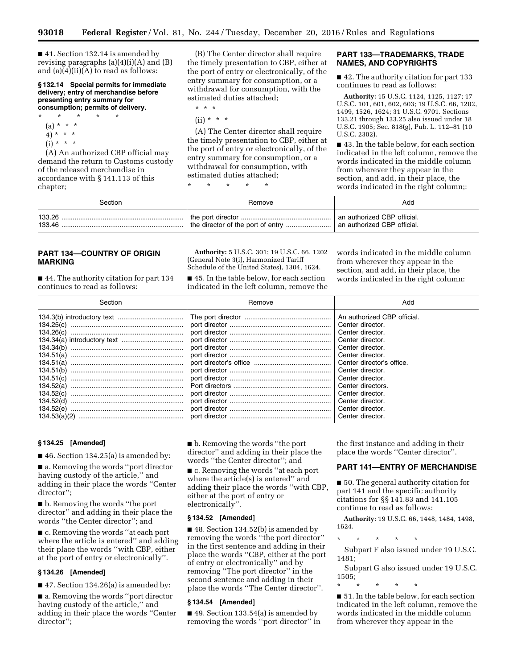■ 41. Section 132.14 is amended by revising paragraphs  $(a)(4)(i)(A)$  and  $(B)$ and  $(a)(4)(ii)(A)$  to read as follows:

**§ 132.14 Special permits for immediate delivery; entry of merchandise before presenting entry summary for consumption; permits of delivery.** 

- \* \* \* \* \* (a) \* \* \*
	- 4) \* \* \*
	- $(i) * * * *$

(A) An authorized CBP official may demand the return to Customs custody of the released merchandise in accordance with § 141.113 of this chapter;

(B) The Center director shall require the timely presentation to CBP, either at the port of entry or electronically, of the entry summary for consumption, or a withdrawal for consumption, with the estimated duties attached;

\* \* \*

 $(ii) * * * *$ 

(A) The Center director shall require the timely presentation to CBP, either at the port of entry or electronically, of the entry summary for consumption, or a withdrawal for consumption, with estimated duties attached;

\* \* \* \* \*

## **PART 133—TRADEMARKS, TRADE NAMES, AND COPYRIGHTS**

■ 42. The authority citation for part 133 continues to read as follows:

**Authority:** 15 U.S.C. 1124, 1125, 1127; 17 U.S.C. 101, 601, 602, 603; 19 U.S.C. 66, 1202, 1499, 1526, 1624; 31 U.S.C. 9701. Sections 133.21 through 133.25 also issued under 18 U.S.C. 1905; Sec. 818(g), Pub. L. 112–81 (10 U.S.C. 2302).

■ 43. In the table below, for each section indicated in the left column, remove the words indicated in the middle column from wherever they appear in the section, and add, in their place, the words indicated in the right column;:

| Section | Remove | Add                         |
|---------|--------|-----------------------------|
| 133.26  |        | an authorized CBP official. |
| 133.46  |        | an authorized CBP official. |

## **PART 134—COUNTRY OF ORIGIN MARKING**

■ 44. The authority citation for part 134 continues to read as follows:

**Authority:** 5 U.S.C. 301; 19 U.S.C. 66, 1202 (General Note 3(i), Harmonized Tariff Schedule of the United States), 1304, 1624.

■ 45. In the table below, for each section indicated in the left column, remove the words indicated in the middle column from wherever they appear in the section, and add, in their place, the words indicated in the right column:

| Section                                                                                                                        | Remove | Add                                                                                                                                                                                                                                                                                   |
|--------------------------------------------------------------------------------------------------------------------------------|--------|---------------------------------------------------------------------------------------------------------------------------------------------------------------------------------------------------------------------------------------------------------------------------------------|
| 134.25(c)<br>134.26(c)<br>134.51(a)<br>134.51(a)<br>134.51(b)<br>134.51(c)<br>134.52(a)<br>134.52(c)<br>134.52(d)<br>134.52(e) |        | An authorized CBP official.<br>Center director.<br>Center director.<br>Center director.<br>Center director.<br>Center director.<br>Center director's office.<br>Center director.<br>Center director.<br>Center directors.<br>Center director.<br>Center director.<br>Center director. |
|                                                                                                                                |        |                                                                                                                                                                                                                                                                                       |

#### **§ 134.25 [Amended]**

■ 46. Section 134.25(a) is amended by:

■ a. Removing the words "port director having custody of the article,'' and adding in their place the words ''Center director'';

■ b. Removing the words "the port" director'' and adding in their place the words ''the Center director''; and

■ c. Removing the words "at each port where the article is entered'' and adding their place the words ''with CBP, either at the port of entry or electronically''.

## **§ 134.26 [Amended]**

 $\blacksquare$  47. Section 134.26(a) is amended by:

■ a. Removing the words "port director having custody of the article,'' and adding in their place the words ''Center director'';

■ b. Removing the words "the port director'' and adding in their place the words ''the Center director''; and

■ c. Removing the words "at each port where the article(s) is entered'' and adding their place the words ''with CBP, either at the port of entry or electronically''.

#### **§ 134.52 [Amended]**

■ 48. Section 134.52(b) is amended by removing the words ''the port director'' in the first sentence and adding in their place the words ''CBP, either at the port of entry or electronically'' and by removing ''The port director'' in the second sentence and adding in their place the words ''The Center director''.

#### **§ 134.54 [Amended]**

 $\blacksquare$  49. Section 133.54(a) is amended by removing the words ''port director'' in the first instance and adding in their place the words ''Center director''.

#### **PART 141—ENTRY OF MERCHANDISE**

■ 50. The general authority citation for part 141 and the specific authority citations for §§ 141.83 and 141.105 continue to read as follows:

**Authority:** 19 U.S.C. 66, 1448, 1484, 1498, 1624.

\* \* \* \* \*

Subpart F also issued under 19 U.S.C. 1481;

Subpart G also issued under 19 U.S.C. 1505;

\* \* \* \* \*

■ 51. In the table below, for each section indicated in the left column, remove the words indicated in the middle column from wherever they appear in the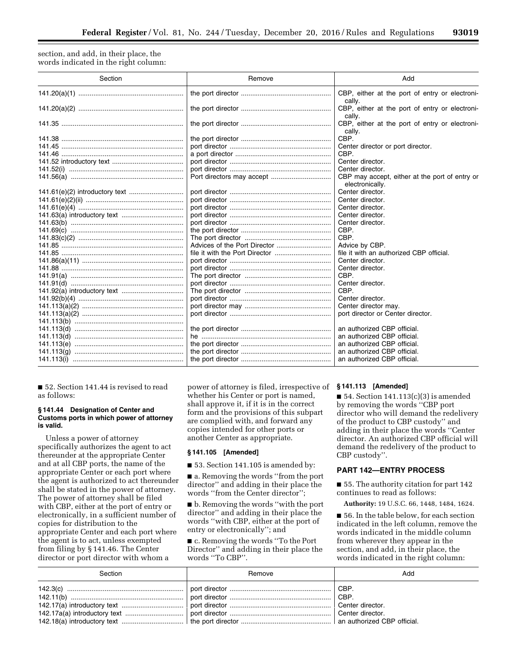section, and add, in their place, the words indicated in the right column:

| Section | Remove | Add                                                               |
|---------|--------|-------------------------------------------------------------------|
|         |        | CBP, either at the port of entry or electroni-<br>cally.          |
|         |        | CBP, either at the port of entry or electroni-<br>cally.          |
|         |        | CBP, either at the port of entry or electroni-<br>cally.          |
|         |        | CBP.                                                              |
|         |        | Center director or port director.                                 |
|         |        | CBP.                                                              |
|         |        | Center director.                                                  |
|         |        | Center director.                                                  |
|         |        | CBP may accept, either at the port of entry or<br>electronically. |
|         |        | Center director.                                                  |
|         |        | Center director.                                                  |
|         |        | Center director.                                                  |
|         |        | Center director.                                                  |
|         |        | Center director.                                                  |
|         |        | CBP.                                                              |
|         |        | CBP.                                                              |
|         |        | Advice by CBP.                                                    |
|         |        | file it with an authorized CBP official.                          |
|         |        | Center director.                                                  |
|         |        | Center director.                                                  |
|         |        | CBP.                                                              |
|         |        | Center director.                                                  |
|         |        | CBP.                                                              |
|         |        | Center director.                                                  |
|         |        | Center director may.                                              |
|         |        | port director or Center director.                                 |
|         |        |                                                                   |
|         |        | an authorized CBP official.                                       |
|         |        | an authorized CBP official.                                       |
|         |        | an authorized CBP official.                                       |
|         |        | an authorized CBP official.                                       |
|         |        | an authorized CBP official.                                       |

■ 52. Section 141.44 is revised to read as follows:

## **§ 141.44 Designation of Center and Customs ports in which power of attorney is valid.**

Unless a power of attorney specifically authorizes the agent to act thereunder at the appropriate Center and at all CBP ports, the name of the appropriate Center or each port where the agent is authorized to act thereunder shall be stated in the power of attorney. The power of attorney shall be filed with CBP, either at the port of entry or electronically, in a sufficient number of copies for distribution to the appropriate Center and each port where the agent is to act, unless exempted from filing by § 141.46. The Center director or port director with whom a

power of attorney is filed, irrespective of **§ 141.113 [Amended]**  whether his Center or port is named, shall approve it, if it is in the correct form and the provisions of this subpart are complied with, and forward any copies intended for other ports or another Center as appropriate.

## **§ 141.105 [Amended]**

■ 53. Section 141.105 is amended by:

■ a. Removing the words "from the port director'' and adding in their place the words ''from the Center director'';

■ b. Removing the words "with the port director'' and adding in their place the words ''with CBP, either at the port of entry or electronically''; and

■ c. Removing the words "To the Port Director'' and adding in their place the words ''To CBP''.

■ 54. Section  $141.113(c)(3)$  is amended by removing the words ''CBP port director who will demand the redelivery of the product to CBP custody'' and adding in their place the words ''Center director. An authorized CBP official will demand the redelivery of the product to CBP custody''.

## **PART 142—ENTRY PROCESS**

■ 55. The authority citation for part 142 continues to read as follows:

**Authority:** 19 U.S.C. 66, 1448, 1484, 1624.

■ 56. In the table below, for each section indicated in the left column, remove the words indicated in the middle column from wherever they appear in the section, and add, in their place, the words indicated in the right column:

| Section | Remove | Add |
|---------|--------|-----|
|         |        |     |
|         |        |     |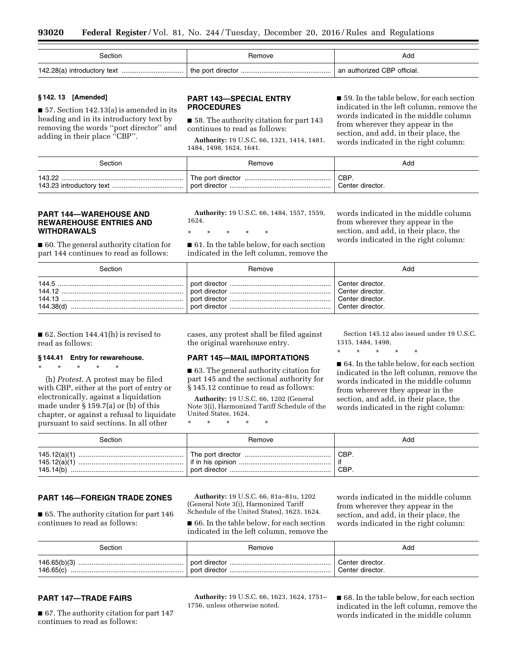| Section | Remove | Add                         |
|---------|--------|-----------------------------|
|         |        | an authorized CBP official. |

## **§ 142. 13 [Amended]**

■ 57. Section 142.13(a) is amended in its heading and in its introductory text by removing the words ''port director'' and adding in their place ''CBP''.

## **PART 143—SPECIAL ENTRY PROCEDURES**

■ 58. The authority citation for part 143 continues to read as follows:

**Authority:** 19 U.S.C. 66, 1321, 1414, 1481, 1484, 1498, 1624, 1641.

■ 59. In the table below, for each section indicated in the left column, remove the words indicated in the middle column from wherever they appear in the section, and add, in their place, the words indicated in the right column:

| Section | Remove | Add              |
|---------|--------|------------------|
| 143.22  |        | <b>CBP</b>       |
|         |        | Center director. |

## **PART 144—WAREHOUSE AND REWAREHOUSE ENTRIES AND WITHDRAWALS**

■ 60. The general authority citation for part 144 continues to read as follows:

**Authority:** 19 U.S.C. 66, 1484, 1557, 1559, 1624.

\* \* \* \* \*

■ 61. In the table below, for each section indicated in the left column, remove the words indicated in the middle column from wherever they appear in the section, and add, in their place, the words indicated in the right column:

| Section                                 | Remove | Add                                                                          |
|-----------------------------------------|--------|------------------------------------------------------------------------------|
| 144.5<br>144.12<br>144.13.<br>144.38(d) |        | Center director.<br>Center director.<br>Center director.<br>Center director. |

■ 62. Section 144.41(h) is revised to read as follows:

## **§ 144.41 Entry for rewarehouse.**

\* \* \* \* \*

(h) *Protest.* A protest may be filed with CBP, either at the port of entry or electronically, against a liquidation made under § 159.7(a) or (b) of this chapter, or against a refusal to liquidate pursuant to said sections. In all other

cases, any protest shall be filed against the original warehouse entry.

## **PART 145—MAIL IMPORTATIONS**

■ 63. The general authority citation for part 145 and the sectional authority for § 145.12 continue to read as follows:

**Authority:** 19 U.S.C. 66, 1202 (General Note 3(i), Harmonized Tariff Schedule of the United States, 1624.

\* \* \* \* \*

Section 145.12 also issued under 19 U.S.C. 1315, 1484, 1498;

\* \* \* \* \*

■ 64. In the table below, for each section indicated in the left column, remove the words indicated in the middle column from wherever they appear in the section, and add, in their place, the words indicated in the right column:

| Section | Remove | Add          |
|---------|--------|--------------|
|         |        | ∣ CBP<br>CBP |

## **PART 146—FOREIGN TRADE ZONES**

■ 65. The authority citation for part 146 continues to read as follows:

**Authority:** 19 U.S.C. 66, 81a–81u, 1202 (General Note 3(i), Harmonized Tariff Schedule of the United States), 1623, 1624.

■ 66. In the table below, for each section indicated in the left column, remove the words indicated in the middle column from wherever they appear in the section, and add, in their place, the words indicated in the right column:

| Section   | Remove | Add                                  |
|-----------|--------|--------------------------------------|
| 146.65(c) |        | Center director.<br>Center director. |

# **PART 147—TRADE FAIRS**

■ 67. The authority citation for part 147 continues to read as follows:

**Authority:** 19 U.S.C. 66, 1623, 1624, 1751– 1756, unless otherwise noted.

■ 68. In the table below, for each section indicated in the left column, remove the words indicated in the middle column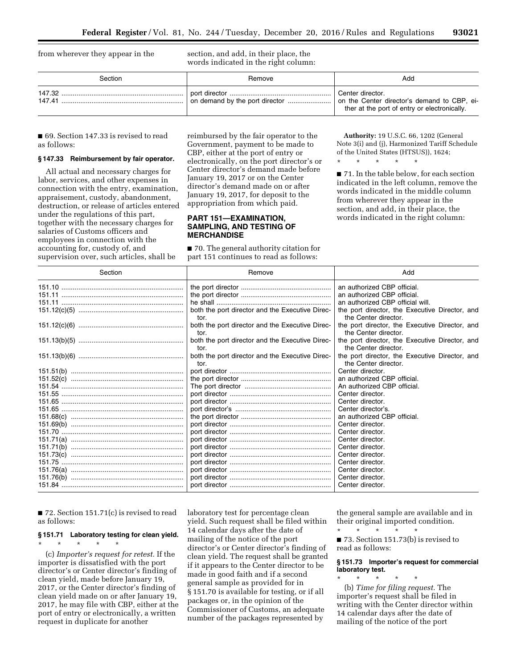from wherever they appear in the section, and add, in their place, the words indicated in the right column:

| Section          | Remove | Add                                                                                                             |
|------------------|--------|-----------------------------------------------------------------------------------------------------------------|
| 147.32<br>147.41 |        | Center director.<br>on the Center director's demand to CBP, ei-<br>ther at the port of entry or electronically. |

■ 69. Section 147.33 is revised to read as follows:

## **§ 147.33 Reimbursement by fair operator.**

All actual and necessary charges for labor, services, and other expenses in connection with the entry, examination, appraisement, custody, abandonment, destruction, or release of articles entered under the regulations of this part, together with the necessary charges for salaries of Customs officers and employees in connection with the accounting for, custody of, and supervision over, such articles, shall be

reimbursed by the fair operator to the Government, payment to be made to CBP, either at the port of entry or electronically, on the port director's or Center director's demand made before January 19, 2017 or on the Center director's demand made on or after January 19, 2017, for deposit to the appropriation from which paid.

## **PART 151—EXAMINATION, SAMPLING, AND TESTING OF MERCHANDISE**

■ 70. The general authority citation for part 151 continues to read as follows:

**Authority:** 19 U.S.C. 66, 1202 (General Note 3(i) and (j), Harmonized Tariff Schedule of the United States (HTSUS)), 1624;

\* \* \* \* \*

■ 71. In the table below, for each section indicated in the left column, remove the words indicated in the middle column from wherever they appear in the section, and add, in their place, the words indicated in the right column:

| Section | Remove                                                  | Add                                                                    |
|---------|---------------------------------------------------------|------------------------------------------------------------------------|
|         |                                                         | an authorized CBP official.                                            |
|         |                                                         | an authorized CBP official.                                            |
|         |                                                         | an authorized CBP official will.                                       |
|         | both the port director and the Executive Direc-<br>tor. | the port director, the Executive Director, and<br>the Center director. |
|         | both the port director and the Executive Direc-<br>tor. | the port director, the Executive Director, and<br>the Center director. |
|         | both the port director and the Executive Direc-<br>tor. | the port director, the Executive Director, and<br>the Center director. |
|         | both the port director and the Executive Direc-<br>tor. | the port director, the Executive Director, and<br>the Center director. |
|         |                                                         | Center director.                                                       |
|         |                                                         | an authorized CBP official.                                            |
|         |                                                         | An authorized CBP official.                                            |
|         |                                                         | Center director.                                                       |
|         |                                                         | Center director.                                                       |
|         |                                                         | Center director's.                                                     |
|         |                                                         | an authorized CBP official.                                            |
|         |                                                         | Center director.                                                       |
|         |                                                         | Center director.                                                       |
|         |                                                         | Center director.                                                       |
|         |                                                         | Center director.                                                       |
|         |                                                         | Center director.                                                       |
|         |                                                         | Center director.                                                       |
|         |                                                         | Center director.                                                       |
|         |                                                         | Center director.                                                       |
|         |                                                         | Center director.                                                       |

 $\blacksquare$  72. Section 151.71(c) is revised to read as follows:

# **§ 151.71 Laboratory testing for clean yield.**  \* \* \* \* \*

(c) *Importer's request for retest.* If the importer is dissatisfied with the port director's or Center director's finding of clean yield, made before January 19, 2017, or the Center director's finding of clean yield made on or after January 19, 2017, he may file with CBP, either at the port of entry or electronically, a written request in duplicate for another

laboratory test for percentage clean yield. Such request shall be filed within 14 calendar days after the date of mailing of the notice of the port director's or Center director's finding of clean yield. The request shall be granted if it appears to the Center director to be made in good faith and if a second general sample as provided for in § 151.70 is available for testing, or if all packages or, in the opinion of the Commissioner of Customs, an adequate number of the packages represented by

the general sample are available and in their original imported condition. \* \* \* \* \*

■ 73. Section 151.73(b) is revised to read as follows:

## **§ 151.73 Importer's request for commercial laboratory test.**

\* \* \* \* \* (b) *Time for filing request.* The importer's request shall be filed in writing with the Center director within 14 calendar days after the date of mailing of the notice of the port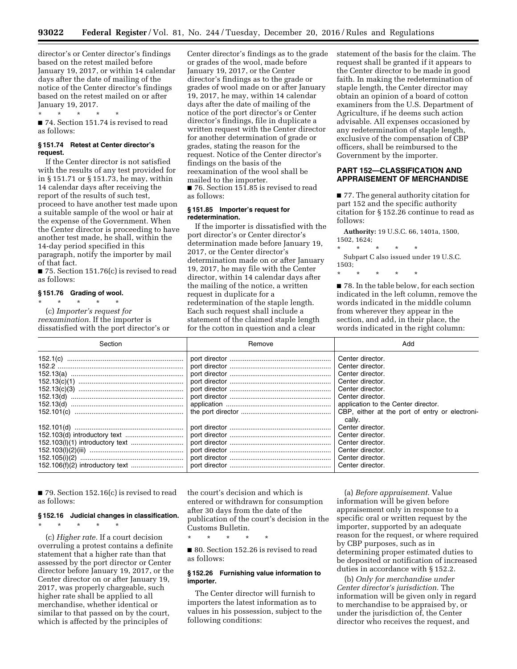director's or Center director's findings based on the retest mailed before January 19, 2017, or within 14 calendar days after the date of mailing of the notice of the Center director's findings based on the retest mailed on or after January 19, 2017.

■ 74. Section 151.74 is revised to read as follows:

## **§ 151.74 Retest at Center director's request.**

\* \* \* \* \*

If the Center director is not satisfied with the results of any test provided for in § 151.71 or § 151.73, he may, within 14 calendar days after receiving the report of the results of such test, proceed to have another test made upon a suitable sample of the wool or hair at the expense of the Government. When the Center director is proceeding to have another test made, he shall, within the 14-day period specified in this paragraph, notify the importer by mail of that fact.

■ 75. Section 151.76(c) is revised to read as follows:

#### **§ 151.76 Grading of wool.**

\* \* \* \* \* (c) *Importer's request for reexamination.* If the importer is dissatisfied with the port director's or Center director's findings as to the grade or grades of the wool, made before January 19, 2017, or the Center director's findings as to the grade or grades of wool made on or after January 19, 2017, he may, within 14 calendar days after the date of mailing of the notice of the port director's or Center director's findings, file in duplicate a written request with the Center director for another determination of grade or grades, stating the reason for the request. Notice of the Center director's findings on the basis of the reexamination of the wool shall be mailed to the importer. ■ 76. Section 151.85 is revised to read

as follows:

## **§ 151.85 Importer's request for redetermination.**

If the importer is dissatisfied with the port director's or Center director's determination made before January 19, 2017, or the Center director's determination made on or after January 19, 2017, he may file with the Center director, within 14 calendar days after the mailing of the notice, a written request in duplicate for a redetermination of the staple length. Each such request shall include a statement of the claimed staple length for the cotton in question and a clear

statement of the basis for the claim. The request shall be granted if it appears to the Center director to be made in good faith. In making the redetermination of staple length, the Center director may obtain an opinion of a board of cotton examiners from the U.S. Department of Agriculture, if he deems such action advisable. All expenses occasioned by any redetermination of staple length, exclusive of the compensation of CBP officers, shall be reimbursed to the Government by the importer.

## **PART 152—CLASSIFICATION AND APPRAISEMENT OF MERCHANDISE**

■ 77. The general authority citation for part 152 and the specific authority citation for § 152.26 continue to read as follows:

**Authority:** 19 U.S.C. 66, 1401a, 1500, 1502, 1624;

\* \* \* \* \*

Subpart C also issued under 19 U.S.C. 1503;

\* \* \* \* \*

■ 78. In the table below, for each section indicated in the left column, remove the words indicated in the middle column from wherever they appear in the section, and add, in their place, the words indicated in the right column:

| Section | Remove | Add                                                                                                                                                                                                                     |
|---------|--------|-------------------------------------------------------------------------------------------------------------------------------------------------------------------------------------------------------------------------|
|         |        | Center director.<br>Center director.<br>Center director.<br>Center director.<br>Center director.<br>Center director.<br>application to the Center director.<br>CBP, either at the port of entry or electroni-<br>cally. |
|         |        | Center director.<br>Center director.<br>Center director.<br>Center director.<br>Center director.<br>Center director.                                                                                                    |

 $\blacksquare$  79. Section 152.16(c) is revised to read as follows:

# **§ 152.16 Judicial changes in classification.**

\* \* \* \* \* (c) *Higher rate.* If a court decision overruling a protest contains a definite statement that a higher rate than that assessed by the port director or Center director before January 19, 2017, or the Center director on or after January 19, 2017, was properly chargeable, such higher rate shall be applied to all merchandise, whether identical or similar to that passed on by the court, which is affected by the principles of

the court's decision and which is entered or withdrawn for consumption after 30 days from the date of the publication of the court's decision in the Customs Bulletin.

\* \* \* \* \*

■ 80. Section 152.26 is revised to read as follows:

## **§ 152.26 Furnishing value information to importer.**

The Center director will furnish to importers the latest information as to values in his possession, subject to the following conditions:

(a) *Before appraisement.* Value information will be given before appraisement only in response to a specific oral or written request by the importer, supported by an adequate reason for the request, or where required by CBP purposes, such as in determining proper estimated duties to be deposited or notification of increased duties in accordance with § 152.2.

(b) *Only for merchandise under Center director's jurisdiction.* The information will be given only in regard to merchandise to be appraised by, or under the jurisdiction of, the Center director who receives the request, and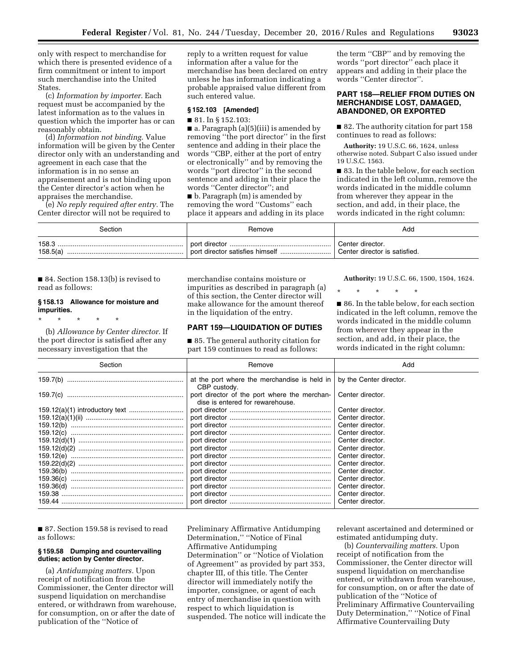only with respect to merchandise for which there is presented evidence of a firm commitment or intent to import such merchandise into the United States.

(c) *Information by importer.* Each request must be accompanied by the latest information as to the values in question which the importer has or can reasonably obtain.

(d) *Information not binding.* Value information will be given by the Center director only with an understanding and agreement in each case that the information is in no sense an appraisement and is not binding upon the Center director's action when he appraises the merchandise.

(e) *No reply required after entry.* The Center director will not be required to

reply to a written request for value information after a value for the merchandise has been declared on entry unless he has information indicating a probable appraised value different from such entered value.

#### **§ 152.103 [Amended]**

#### ■ 81. In § 152.103:

■ a. Paragraph (a)(5)(iii) is amended by removing ''the port director'' in the first sentence and adding in their place the words ''CBP, either at the port of entry or electronically'' and by removing the words ''port director'' in the second sentence and adding in their place the words ''Center director''; and

■ b. Paragraph (m) is amended by removing the word ''Customs'' each place it appears and adding in its place

the term ''CBP'' and by removing the words ''port director'' each place it appears and adding in their place the words ''Center director''.

## **PART 158—RELIEF FROM DUTIES ON MERCHANDISE LOST, DAMAGED, ABANDONED, OR EXPORTED**

■ 82. The authority citation for part 158 continues to read as follows:

**Authority:** 19 U.S.C. 66, 1624, unless otherwise noted. Subpart C also issued under 19 U.S.C. 1563.

■ 83. In the table below, for each section indicated in the left column, remove the words indicated in the middle column from wherever they appear in the section, and add, in their place, the words indicated in the right column:

| Section           | Remove         | Add                                               |
|-------------------|----------------|---------------------------------------------------|
| 158.3<br>158.5(a) | bort director. | Center director.<br>Center director is satisfied. |

■ 84. Section 158.13(b) is revised to read as follows:

## **§ 158.13 Allowance for moisture and impurities.**

\* \* \* \* \* (b) *Allowance by Center director.* If the port director is satisfied after any necessary investigation that the

merchandise contains moisture or impurities as described in paragraph (a) of this section, the Center director will make allowance for the amount thereof in the liquidation of the entry.

## **PART 159—LIQUIDATION OF DUTIES**

■ 85. The general authority citation for part 159 continues to read as follows:

**Authority:** 19 U.S.C. 66, 1500, 1504, 1624.

\* \* \* \* \* ■ 86. In the table below, for each section indicated in the left column, remove the words indicated in the middle column

from wherever they appear in the section, and add, in their place, the words indicated in the right column:

| Section   | Remove                                                                           | Add                     |
|-----------|----------------------------------------------------------------------------------|-------------------------|
|           | at the port where the merchandise is held in<br>CBP custody.                     | by the Center director. |
|           | port director of the port where the merchan-<br>dise is entered for rewarehouse. | Center director.        |
|           |                                                                                  | Center director.        |
|           |                                                                                  | Center director.        |
|           |                                                                                  | Center director.        |
|           |                                                                                  | Center director.        |
|           |                                                                                  | Center director.        |
|           |                                                                                  | Center director.        |
|           |                                                                                  | Center director.        |
|           |                                                                                  | Center director.        |
|           |                                                                                  | Center director.        |
| 159.36(c) |                                                                                  | Center director.        |
|           |                                                                                  | Center director.        |
|           |                                                                                  | Center director.        |
|           |                                                                                  | Center director.        |

■ 87. Section 159.58 is revised to read as follows:

#### **§ 159.58 Dumping and countervailing duties; action by Center director.**

(a) *Antidumping matters.* Upon receipt of notification from the Commissioner, the Center director will suspend liquidation on merchandise entered, or withdrawn from warehouse, for consumption, on or after the date of publication of the ''Notice of

Preliminary Affirmative Antidumping Determination,'' ''Notice of Final Affirmative Antidumping Determination'' or ''Notice of Violation of Agreement'' as provided by part 353, chapter III, of this title. The Center director will immediately notify the importer, consignee, or agent of each entry of merchandise in question with respect to which liquidation is suspended. The notice will indicate the relevant ascertained and determined or estimated antidumping duty.

(b) *Countervailing matters.* Upon receipt of notification from the Commissioner, the Center director will suspend liquidation on merchandise entered, or withdrawn from warehouse, for consumption, on or after the date of publication of the ''Notice of Preliminary Affirmative Countervailing Duty Determination,'' ''Notice of Final Affirmative Countervailing Duty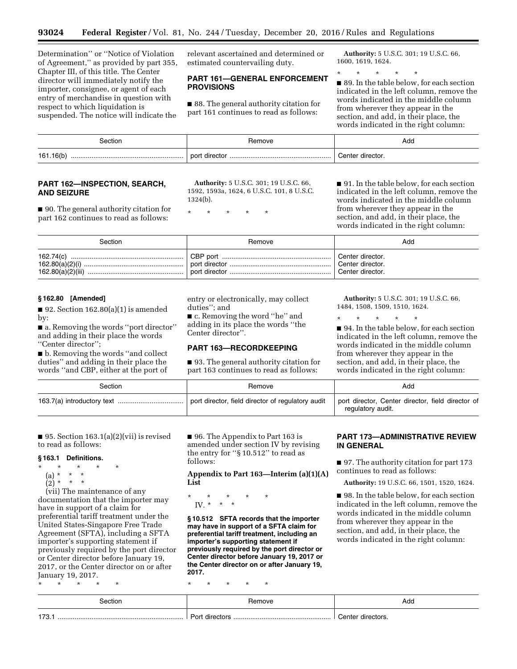Determination'' or ''Notice of Violation of Agreement,'' as provided by part 355, Chapter III, of this title. The Center director will immediately notify the importer, consignee, or agent of each entry of merchandise in question with respect to which liquidation is suspended. The notice will indicate the

relevant ascertained and determined or estimated countervailing duty.

## **PART 161—GENERAL ENFORCEMENT PROVISIONS**

■ 88. The general authority citation for part 161 continues to read as follows:

**Authority:** 5 U.S.C. 301; 19 U.S.C. 66, 1600, 1619, 1624.

\* \* \* \* \*

■ 89. In the table below, for each section indicated in the left column, remove the words indicated in the middle column from wherever they appear in the section, and add, in their place, the words indicated in the right column:

| ∍ctior         | nove.          | Add                |
|----------------|----------------|--------------------|
| 161.16(b)<br>. | nor<br>ше∈<br> | `ente∟<br>dırector |

## **PART 162—INSPECTION, SEARCH, AND SEIZURE**

■ 90. The general authority citation for part 162 continues to read as follows:

**Authority:** 5 U.S.C. 301; 19 U.S.C. 66, 1592, 1593a, 1624, 6 U.S.C. 101, 8 U.S.C. 1324(b).

\* \* \* \* \*

■ 91. In the table below, for each section indicated in the left column, remove the words indicated in the middle column from wherever they appear in the section, and add, in their place, the words indicated in the right column:

| Section | Remove | Add                                                      |
|---------|--------|----------------------------------------------------------|
|         |        | Center director.<br>Center director.<br>Center director. |

## **§ 162.80 [Amended]**

 $\blacksquare$  92. Section 162.80(a)(1) is amended by:

■ a. Removing the words "port director" and adding in their place the words ''Center director'';

■ b. Removing the words "and collect duties'' and adding in their place the words ''and CBP, either at the port of entry or electronically, may collect duties''; and

■ c. Removing the word "he" and adding in its place the words ''the Center director''.

# **PART 163—RECORDKEEPING**

■ 93. The general authority citation for part 163 continues to read as follows:

**Authority:** 5 U.S.C. 301; 19 U.S.C. 66, 1484, 1508, 1509, 1510, 1624.

\* \* \* \* \* ■ 94. In the table below, for each section indicated in the left column, remove the words indicated in the middle column from wherever they appear in the section, and add, in their place, the words indicated in the right column:

| Section | Remove                                            | Add                                                                    |
|---------|---------------------------------------------------|------------------------------------------------------------------------|
|         | port director, field director of regulatory audit | port director, Center director, field director of<br>regulatory audit. |

■ 95. Section  $163.1(a)(2)(vii)$  is revised to read as follows:

## **§ 163.1 Definitions.**

\* \* \* \* \*

\* \* \* \* \*

- (a) \* \* \*
- (2) \* \* \*

(vii) The maintenance of any documentation that the importer may have in support of a claim for

preferential tariff treatment under the United States-Singapore Free Trade Agreement (SFTA), including a SFTA importer's supporting statement if previously required by the port director or Center director before January 19, 2017, or the Center director on or after January 19, 2017.

■ 96. The Appendix to Part 163 is amended under section IV by revising the entry for ''§ 10.512'' to read as follows:

**Appendix to Part 163—Interim (a)(1)(A) List** 

\* \* \* \* \* IV. \* \* \*

**§ 10.512 SFTA records that the importer may have in support of a SFTA claim for preferential tariff treatment, including an importer's supporting statement if previously required by the port director or Center director before January 19, 2017 or the Center director on or after January 19, 2017.** 

# \* \* \* \* \*

# **PART 173—ADMINISTRATIVE REVIEW IN GENERAL**

■ 97. The authority citation for part 173 continues to read as follows:

**Authority:** 19 U.S.C. 66, 1501, 1520, 1624.

■ 98. In the table below, for each section indicated in the left column, remove the words indicated in the middle column from wherever they appear in the section, and add, in their place, the words indicated in the right column:

| ctior. | $\cdots$ | Add |
|--------|----------|-----|
| 173    |          |     |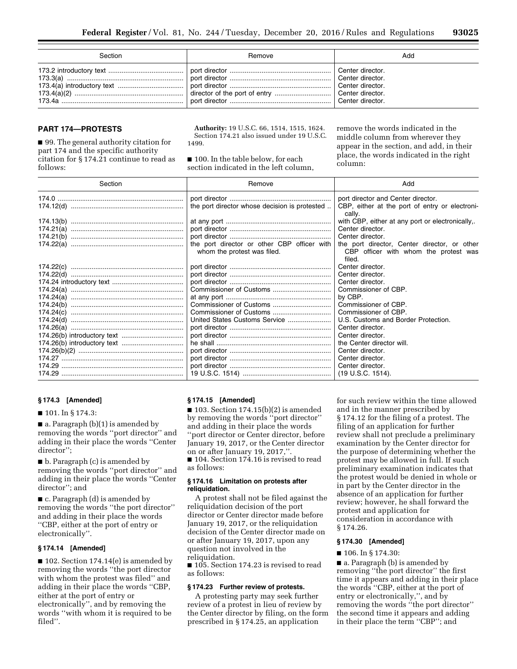| Section | Remove | Add |
|---------|--------|-----|
|         |        |     |

## **PART 174—PROTESTS**

■ 99. The general authority citation for part 174 and the specific authority citation for § 174.21 continue to read as follows:

**Authority:** 19 U.S.C. 66, 1514, 1515, 1624. Section 174.21 also issued under 19 U.S.C. 1499.

■ 100. In the table below, for each section indicated in the left column,

remove the words indicated in the middle column from wherever they appear in the section, and add, in their place, the words indicated in the right column:

| Section | Remove                                                                     | Add                                                                                             |
|---------|----------------------------------------------------------------------------|-------------------------------------------------------------------------------------------------|
|         |                                                                            | port director and Center director.                                                              |
|         | the port director whose decision is protested                              | CBP, either at the port of entry or electroni-<br>cally.                                        |
|         |                                                                            | with CBP, either at any port or electronically,.                                                |
|         |                                                                            | Center director.                                                                                |
|         |                                                                            | Center director.                                                                                |
|         | the port director or other CBP officer with<br>whom the protest was filed. | the port director, Center director, or other<br>CBP officer with whom the protest was<br>filed. |
|         |                                                                            | Center director.                                                                                |
|         |                                                                            | Center director.                                                                                |
|         |                                                                            | Center director.                                                                                |
|         |                                                                            | Commissioner of CBP.                                                                            |
|         |                                                                            | by CBP.                                                                                         |
|         |                                                                            | Commissioner of CBP.                                                                            |
|         |                                                                            | Commissioner of CBP.                                                                            |
|         | United States Customs Service                                              | U.S. Customs and Border Protection.                                                             |
|         |                                                                            | Center director.                                                                                |
|         |                                                                            | Center director.                                                                                |
|         |                                                                            | the Center director will.                                                                       |
|         |                                                                            | Center director.                                                                                |
|         |                                                                            | Center director.                                                                                |
|         |                                                                            | Center director.                                                                                |
|         |                                                                            | (19 U.S.C. 1514).                                                                               |

#### **§ 174.3 [Amended]**

#### ■ 101. In § 174.3:

 $\blacksquare$  a. Paragraph (b)(1) is amended by removing the words ''port director'' and adding in their place the words ''Center director'';

■ b. Paragraph (c) is amended by removing the words ''port director'' and adding in their place the words ''Center director''; and

■ c. Paragraph (d) is amended by removing the words ''the port director'' and adding in their place the words ''CBP, either at the port of entry or electronically''.

## **§ 174.14 [Amended]**

■ 102. Section 174.14(e) is amended by removing the words ''the port director with whom the protest was filed'' and adding in their place the words ''CBP, either at the port of entry or electronically'', and by removing the words ''with whom it is required to be filed''.

#### **§ 174.15 [Amended]**

■ 103. Section 174.15(b)(2) is amended by removing the words ''port director'' and adding in their place the words ''port director or Center director, before January 19, 2017, or the Center director on or after January 19, 2017,''. ■ 104. Section 174.16 is revised to read as follows:

## **§ 174.16 Limitation on protests after reliquidation.**

A protest shall not be filed against the reliquidation decision of the port director or Center director made before January 19, 2017, or the reliquidation decision of the Center director made on or after January 19, 2017, upon any question not involved in the reliquidation.

■ 105. Section 174.23 is revised to read as follows:

## **§ 174.23 Further review of protests.**

A protesting party may seek further review of a protest in lieu of review by the Center director by filing, on the form prescribed in § 174.25, an application

for such review within the time allowed and in the manner prescribed by § 174.12 for the filing of a protest. The filing of an application for further review shall not preclude a preliminary examination by the Center director for the purpose of determining whether the protest may be allowed in full. If such preliminary examination indicates that the protest would be denied in whole or in part by the Center director in the absence of an application for further review; however, he shall forward the protest and application for consideration in accordance with § 174.26.

#### **§ 174.30 [Amended]**

■ 106. In § 174.30:

■ a. Paragraph (b) is amended by removing ''the port director'' the first time it appears and adding in their place the words ''CBP, either at the port of entry or electronically,", and by removing the words ''the port director'' the second time it appears and adding in their place the term ''CBP''; and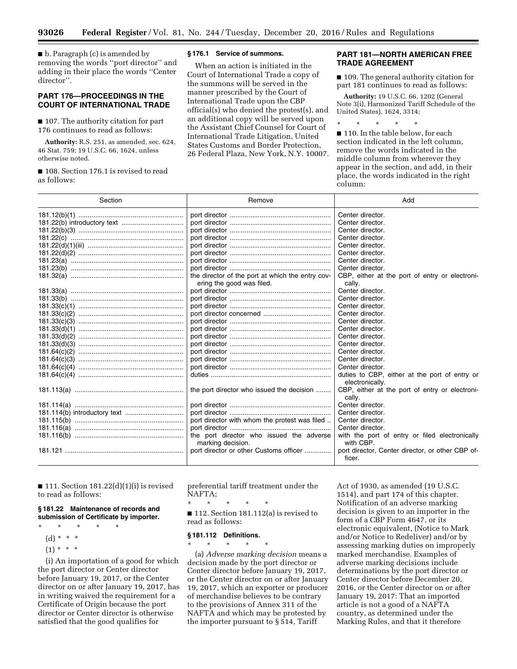■ b. Paragraph (c) is amended by removing the words ''port director'' and adding in their place the words ''Center director''.

## **PART 176—PROCEEDINGS IN THE COURT OF INTERNATIONAL TRADE**

■ 107. The authority citation for part 176 continues to read as follows:

**Authority:** R.S. 251, as amended, sec. 624, 46 Stat. 759; 19 U.S.C. 66, 1624, unless otherwise noted.

■ 108. Section 176.1 is revised to read as follows:

#### **§ 176.1 Service of summons.**

When an action is initiated in the Court of International Trade a copy of the summons will be served in the manner prescribed by the Court of International Trade upon the CBP official(s) who denied the protest(s), and an additional copy will be served upon the Assistant Chief Counsel for Court of International Trade Litigation, United States Customs and Border Protection, 26 Federal Plaza, New York, N.Y. 10007.

## **PART 181—NORTH AMERICAN FREE TRADE AGREEMENT**

■ 109. The general authority citation for part 181 continues to read as follows:

**Authority:** 19 U.S.C. 66, 1202 (General Note 3(i), Harmonized Tariff Schedule of the United States), 1624, 3314;

\* \* \* \* \*

■ 110. In the table below, for each section indicated in the left column, remove the words indicated in the middle column from wherever they appear in the section, and add, in their place, the words indicated in the right column:

| Section | Remove                                                        | Add                                                         |
|---------|---------------------------------------------------------------|-------------------------------------------------------------|
|         |                                                               | Center director.                                            |
|         |                                                               | Center director.                                            |
|         |                                                               | Center director.                                            |
|         |                                                               | Center director.                                            |
|         |                                                               | Center director.                                            |
|         |                                                               | Center director.                                            |
|         |                                                               | Center director.                                            |
|         |                                                               | Center director.                                            |
|         | the director of the port at which the entry cov-              | CBP, either at the port of entry or electroni-              |
|         | ering the good was filed.                                     | cally.                                                      |
|         |                                                               | Center director.                                            |
|         |                                                               | Center director.                                            |
|         |                                                               | Center director.                                            |
|         |                                                               | Center director.                                            |
|         |                                                               | Center director.                                            |
|         |                                                               | Center director.                                            |
|         |                                                               | Center director.                                            |
|         |                                                               | Center director.                                            |
|         |                                                               | Center director.                                            |
|         |                                                               | Center director.                                            |
|         |                                                               | Center director.                                            |
|         |                                                               | duties to CBP, either at the port of entry or               |
|         |                                                               | electronically.                                             |
|         | the port director who issued the decision                     | CBP, either at the port of entry or electroni-<br>cally.    |
|         |                                                               | Center director.                                            |
|         |                                                               | Center director.                                            |
|         | port director with whom the protest was filed                 | Center director.                                            |
|         |                                                               | Center director.                                            |
|         | the port director who issued the adverse<br>marking decision. | with the port of entry or filed electronically<br>with CBP. |
|         | port director or other Customs officer                        | port director, Center director, or other CBP of-<br>ficer.  |

 $\blacksquare$  111. Section 181.22(d)(1)(i) is revised to read as follows:

#### **§ 181.22 Maintenance of records and submission of Certificate by importer.**

- \* \* \* \* \*
- (d) \* \* \*
- $(1) * * * *$

(i) An importation of a good for which the port director or Center director before January 19, 2017, or the Center director on or after January 19, 2017, has in writing waived the requirement for a Certificate of Origin because the port director or Center director is otherwise satisfied that the good qualifies for

preferential tariff treatment under the NAFTA;

\* \* \* \* \*

■ 112. Section 181.112(a) is revised to read as follows:

## **§ 181.112 Definitions.**

\* \* \* \* \* (a) *Adverse marking decision* means a decision made by the port director or Center director before January 19, 2017, or the Center director on or after January 19, 2017, which an exporter or producer of merchandise believes to be contrary to the provisions of Annex 311 of the NAFTA and which may be protested by the importer pursuant to § 514, Tariff

Act of 1930, as amended (19 U.S.C. 1514), and part 174 of this chapter. Notification of an adverse marking decision is given to an importer in the form of a CBP Form 4647, or its electronic equivalent, (Notice to Mark and/or Notice to Redeliver) and/or by assessing marking duties on improperly marked merchandise. Examples of adverse marking decisions include determinations by the port director or Center director before December 20, 2016, or the Center director on or after January 19, 2017: That an imported article is not a good of a NAFTA country, as determined under the Marking Rules, and that it therefore